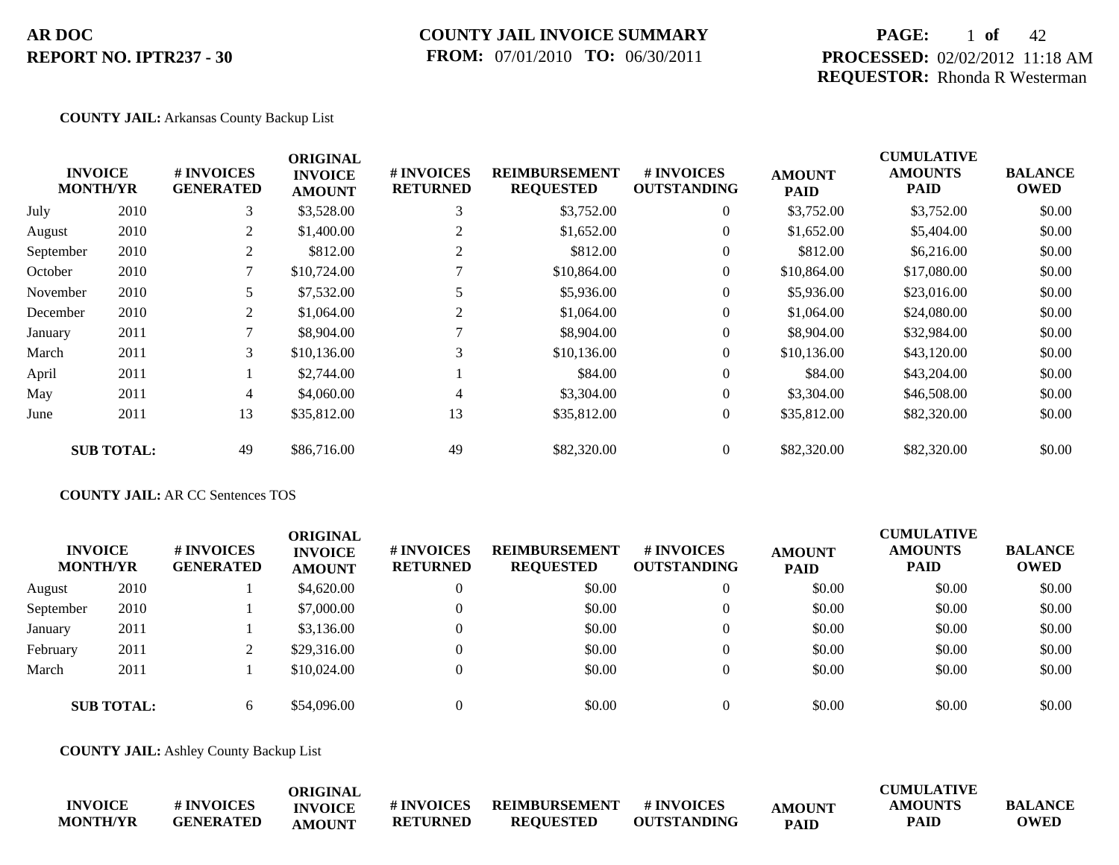### **COUNTY JAIL INVOICE SUMMARY FROM:** 07/01/2010 **TO:** 06/30/2011

## **PAGE:** 1 **of** 42 **PROCESSED:** 02/02/2012 11:18 AM **REQUESTOR:** Rhonda R Westerman

#### **COUNTY JAIL:** Arkansas County Backup List

|           |                                   |                                | <b>ORIGINAL</b>                 |                               |                                          |                                  |                              | <b>CUMULATIVE</b>             |                               |
|-----------|-----------------------------------|--------------------------------|---------------------------------|-------------------------------|------------------------------------------|----------------------------------|------------------------------|-------------------------------|-------------------------------|
|           | <b>INVOICE</b><br><b>MONTH/YR</b> | # INVOICES<br><b>GENERATED</b> | <b>INVOICE</b><br><b>AMOUNT</b> | # INVOICES<br><b>RETURNED</b> | <b>REIMBURSEMENT</b><br><b>REQUESTED</b> | # INVOICES<br><b>OUTSTANDING</b> | <b>AMOUNT</b><br><b>PAID</b> | <b>AMOUNTS</b><br><b>PAID</b> | <b>BALANCE</b><br><b>OWED</b> |
| July      | 2010                              | 3                              | \$3,528.00                      | 3                             | \$3,752.00                               | $\overline{0}$                   | \$3,752.00                   | \$3,752.00                    | \$0.00                        |
| August    | 2010                              | 2                              | \$1,400.00                      |                               | \$1,652.00                               | $\overline{0}$                   | \$1,652.00                   | \$5,404.00                    | \$0.00                        |
| September | 2010                              | 2                              | \$812.00                        |                               | \$812.00                                 | $\overline{0}$                   | \$812.00                     | \$6,216.00                    | \$0.00                        |
| October   | 2010                              |                                | \$10,724.00                     |                               | \$10,864.00                              | $\overline{0}$                   | \$10,864.00                  | \$17,080.00                   | \$0.00                        |
| November  | 2010                              | 5.                             | \$7,532.00                      |                               | \$5,936.00                               | $\overline{0}$                   | \$5,936.00                   | \$23,016.00                   | \$0.00                        |
| December  | 2010                              | 2                              | \$1,064.00                      | 2                             | \$1,064.00                               | $\overline{0}$                   | \$1,064.00                   | \$24,080.00                   | \$0.00                        |
| January   | 2011                              |                                | \$8,904.00                      |                               | \$8,904.00                               | $\overline{0}$                   | \$8,904.00                   | \$32,984.00                   | \$0.00                        |
| March     | 2011                              | 3                              | \$10,136.00                     | 3                             | \$10,136.00                              | $\overline{0}$                   | \$10,136.00                  | \$43,120.00                   | \$0.00                        |
| April     | 2011                              |                                | \$2,744.00                      |                               | \$84.00                                  | $\overline{0}$                   | \$84.00                      | \$43,204.00                   | \$0.00                        |
| May       | 2011                              | 4                              | \$4,060.00                      | 4                             | \$3,304.00                               | $\overline{0}$                   | \$3,304.00                   | \$46,508.00                   | \$0.00                        |
| June      | 2011                              | 13                             | \$35,812.00                     | 13                            | \$35,812.00                              | $\overline{0}$                   | \$35,812.00                  | \$82,320.00                   | \$0.00                        |
|           | <b>SUB TOTAL:</b>                 | 49                             | \$86,716.00                     | 49                            | \$82,320.00                              | $\overline{0}$                   | \$82,320.00                  | \$82,320.00                   | \$0.00                        |

### **COUNTY JAIL:** AR CC Sentences TOS

| <b>INVOICE</b><br><b>MONTH/YR</b> |                   | # INVOICES<br><b>GENERATED</b> | ORIGINAL<br><b>INVOICE</b><br><b>AMOUNT</b> | <b>#INVOICES</b><br><b>RETURNED</b> | <b>REIMBURSEMENT</b><br><b>REQUESTED</b> | # INVOICES<br><b>OUTSTANDING</b> | <b>AMOUNT</b><br><b>PAID</b> | <b>CUMULATIVE</b><br><b>AMOUNTS</b><br><b>PAID</b> | <b>BALANCE</b><br><b>OWED</b> |
|-----------------------------------|-------------------|--------------------------------|---------------------------------------------|-------------------------------------|------------------------------------------|----------------------------------|------------------------------|----------------------------------------------------|-------------------------------|
| August                            | 2010              |                                | \$4,620.00                                  | $\boldsymbol{0}$                    | \$0.00                                   | 0                                | \$0.00                       | \$0.00                                             | \$0.00                        |
| September                         | 2010              |                                | \$7,000.00                                  | $\mathbf{0}$                        | \$0.00                                   | 0                                | \$0.00                       | \$0.00                                             | \$0.00                        |
| January                           | 2011              |                                | \$3,136.00                                  | $\mathbf{0}$                        | \$0.00                                   | 0                                | \$0.00                       | \$0.00                                             | \$0.00                        |
| February                          | 2011              |                                | \$29,316.00                                 | $\theta$                            | \$0.00                                   | $\theta$                         | \$0.00                       | \$0.00                                             | \$0.00                        |
| March                             | 2011              |                                | \$10,024.00                                 | $\theta$                            | \$0.00                                   | 0                                | \$0.00                       | \$0.00                                             | \$0.00                        |
|                                   | <b>SUB TOTAL:</b> | 6                              | \$54,096.00                                 | $\Omega$                            | \$0.00                                   |                                  | \$0.00                       | \$0.00                                             | \$0.00                        |

**COUNTY JAIL:** Ashley County Backup List

|                 |                  | ORIGINAI       |                 |                      |                    |               | CUMULATIVE     |                |
|-----------------|------------------|----------------|-----------------|----------------------|--------------------|---------------|----------------|----------------|
| <b>INVOICE</b>  | # INVOICES       | <b>INVOICE</b> | # INVOICES      | <b>REIMBURSEMENT</b> | # INVOICES         | <b>AMOUNT</b> | <b>AMOUNTS</b> | <b>BALANCE</b> |
| <b>MONTH/YR</b> | <b>GENERATED</b> | <b>AMOUNT</b>  | <b>RETURNED</b> | <b>REOUESTED</b>     | <b>OUTSTANDING</b> | <b>PAID</b>   | PAID           | <b>OWED</b>    |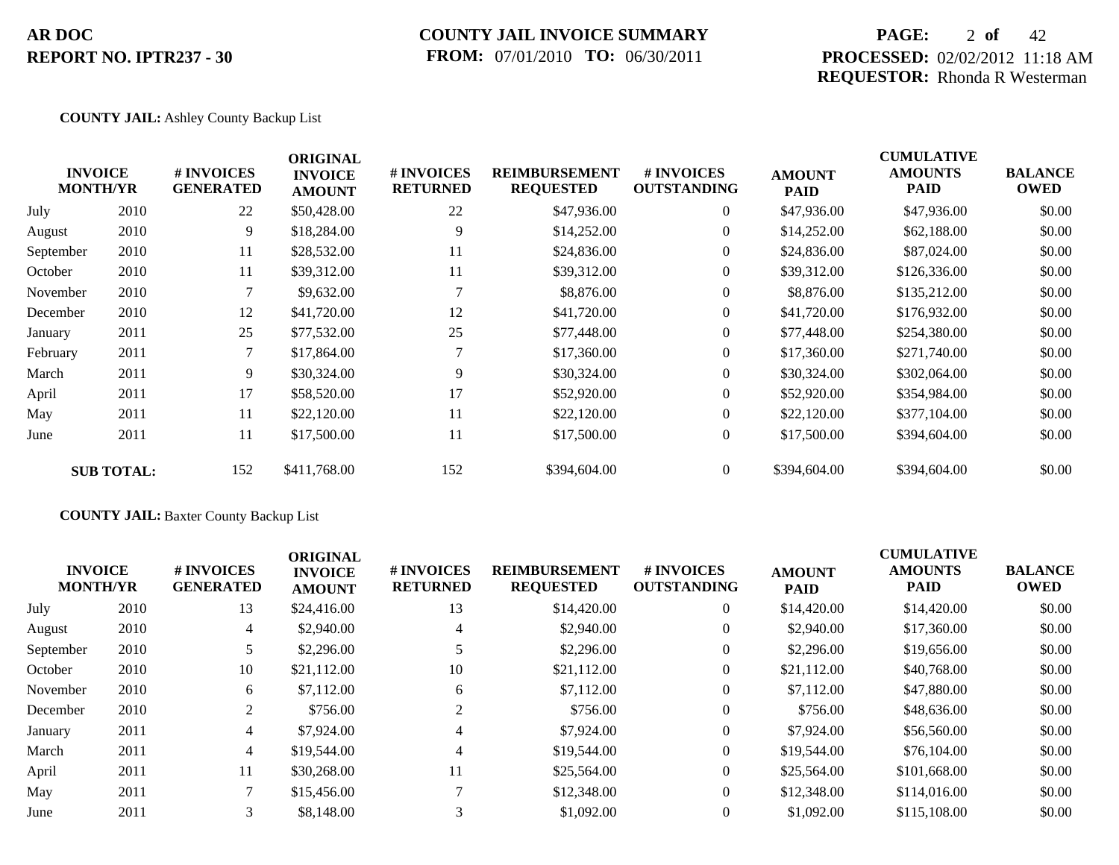## **COUNTY JAIL INVOICE SUMMARY FROM:** 07/01/2010 **TO:** 06/30/2011

## **PAGE:** 2 **of** 42 **PROCESSED:** 02/02/2012 11:18 AM **REQUESTOR:** Rhonda R Westerman

### **COUNTY JAIL:** Ashley County Backup List

|           | <b>INVOICE</b><br><b>MONTH/YR</b> | # INVOICES<br><b>GENERATED</b> | <b>ORIGINAL</b><br><b>INVOICE</b><br><b>AMOUNT</b> | # INVOICES<br><b>RETURNED</b> | <b>REIMBURSEMENT</b><br><b>REQUESTED</b> | # INVOICES<br><b>OUTSTANDING</b> | <b>AMOUNT</b><br><b>PAID</b> | <b>CUMULATIVE</b><br><b>AMOUNTS</b><br><b>PAID</b> | <b>BALANCE</b><br><b>OWED</b> |
|-----------|-----------------------------------|--------------------------------|----------------------------------------------------|-------------------------------|------------------------------------------|----------------------------------|------------------------------|----------------------------------------------------|-------------------------------|
| July      | 2010                              | 22                             | \$50,428.00                                        | 22                            | \$47,936.00                              | $\overline{0}$                   | \$47,936.00                  | \$47,936.00                                        | \$0.00                        |
| August    | 2010                              | 9                              | \$18,284.00                                        | 9                             | \$14,252.00                              | $\overline{0}$                   | \$14,252.00                  | \$62,188.00                                        | \$0.00                        |
| September | 2010                              | 11                             | \$28,532.00                                        | 11                            | \$24,836.00                              | $\overline{0}$                   | \$24,836.00                  | \$87,024.00                                        | \$0.00                        |
| October   | 2010                              | 11                             | \$39,312.00                                        | 11                            | \$39,312.00                              | $\overline{0}$                   | \$39,312.00                  | \$126,336.00                                       | \$0.00                        |
| November  | 2010                              |                                | \$9,632.00                                         |                               | \$8,876.00                               | $\overline{0}$                   | \$8,876.00                   | \$135,212.00                                       | \$0.00                        |
| December  | 2010                              | 12                             | \$41,720.00                                        | 12                            | \$41,720.00                              | $\overline{0}$                   | \$41,720.00                  | \$176,932.00                                       | \$0.00                        |
| January   | 2011                              | 25                             | \$77,532.00                                        | 25                            | \$77,448.00                              | $\overline{0}$                   | \$77,448.00                  | \$254,380.00                                       | \$0.00                        |
| February  | 2011                              |                                | \$17,864.00                                        |                               | \$17,360.00                              | $\overline{0}$                   | \$17,360.00                  | \$271,740.00                                       | \$0.00                        |
| March     | 2011                              | 9                              | \$30,324.00                                        | 9                             | \$30,324.00                              | $\overline{0}$                   | \$30,324.00                  | \$302,064.00                                       | \$0.00                        |
| April     | 2011                              | 17                             | \$58,520.00                                        | 17                            | \$52,920.00                              | $\overline{0}$                   | \$52,920.00                  | \$354,984.00                                       | \$0.00                        |
| May       | 2011                              | 11                             | \$22,120.00                                        | 11                            | \$22,120.00                              | $\overline{0}$                   | \$22,120.00                  | \$377,104.00                                       | \$0.00                        |
| June      | 2011                              | 11                             | \$17,500.00                                        | 11                            | \$17,500.00                              | $\overline{0}$                   | \$17,500.00                  | \$394,604.00                                       | \$0.00                        |
|           | <b>SUB TOTAL:</b>                 | 152                            | \$411,768.00                                       | 152                           | \$394,604.00                             | $\overline{0}$                   | \$394,604.00                 | \$394,604.00                                       | \$0.00                        |

### **COUNTY JAIL:** Baxter County Backup List

| <b>INVOICE</b><br><b>MONTH/YR</b> |      | # INVOICES<br><b>GENERATED</b> | <b>ORIGINAL</b><br><b>INVOICE</b><br><b>AMOUNT</b> | <b># INVOICES</b><br><b>RETURNED</b> | <b>REIMBURSEMENT</b><br><b>REQUESTED</b> | <b>#INVOICES</b><br><b>OUTSTANDING</b> | <b>AMOUNT</b><br><b>PAID</b> | <b>CUMULATIVE</b><br><b>AMOUNTS</b><br><b>PAID</b> | <b>BALANCE</b><br><b>OWED</b> |
|-----------------------------------|------|--------------------------------|----------------------------------------------------|--------------------------------------|------------------------------------------|----------------------------------------|------------------------------|----------------------------------------------------|-------------------------------|
| July                              | 2010 | 13                             | \$24,416.00                                        | 13                                   | \$14,420.00                              | $\overline{0}$                         | \$14,420.00                  | \$14,420.00                                        | \$0.00                        |
| August                            | 2010 | 4                              | \$2,940.00                                         | 4                                    | \$2,940.00                               | $\overline{0}$                         | \$2,940.00                   | \$17,360.00                                        | \$0.00                        |
| September                         | 2010 |                                | \$2,296.00                                         |                                      | \$2,296.00                               | $\overline{0}$                         | \$2,296.00                   | \$19,656.00                                        | \$0.00                        |
| October                           | 2010 | 10                             | \$21,112.00                                        | 10                                   | \$21,112.00                              | $\overline{0}$                         | \$21,112.00                  | \$40,768.00                                        | \$0.00                        |
| November                          | 2010 | 6                              | \$7,112.00                                         | 6                                    | \$7,112.00                               | $\overline{0}$                         | \$7,112.00                   | \$47,880.00                                        | \$0.00                        |
| December                          | 2010 | 2                              | \$756.00                                           |                                      | \$756.00                                 | $\overline{0}$                         | \$756.00                     | \$48,636.00                                        | \$0.00                        |
| January                           | 2011 | $\overline{4}$                 | \$7,924.00                                         | 4                                    | \$7,924.00                               | $\overline{0}$                         | \$7,924.00                   | \$56,560.00                                        | \$0.00                        |
| March                             | 2011 | $\overline{4}$                 | \$19,544.00                                        | 4                                    | \$19,544.00                              | $\overline{0}$                         | \$19,544.00                  | \$76,104.00                                        | \$0.00                        |
| April                             | 2011 | 11                             | \$30,268,00                                        | 11                                   | \$25,564.00                              | $\overline{0}$                         | \$25,564.00                  | \$101,668.00                                       | \$0.00                        |
| May                               | 2011 |                                | \$15,456.00                                        |                                      | \$12,348.00                              | $\Omega$                               | \$12,348.00                  | \$114,016.00                                       | \$0.00                        |
| June                              | 2011 | 3                              | \$8,148.00                                         |                                      | \$1,092.00                               | $\overline{0}$                         | \$1,092.00                   | \$115,108.00                                       | \$0.00                        |
|                                   |      |                                |                                                    |                                      |                                          |                                        |                              |                                                    |                               |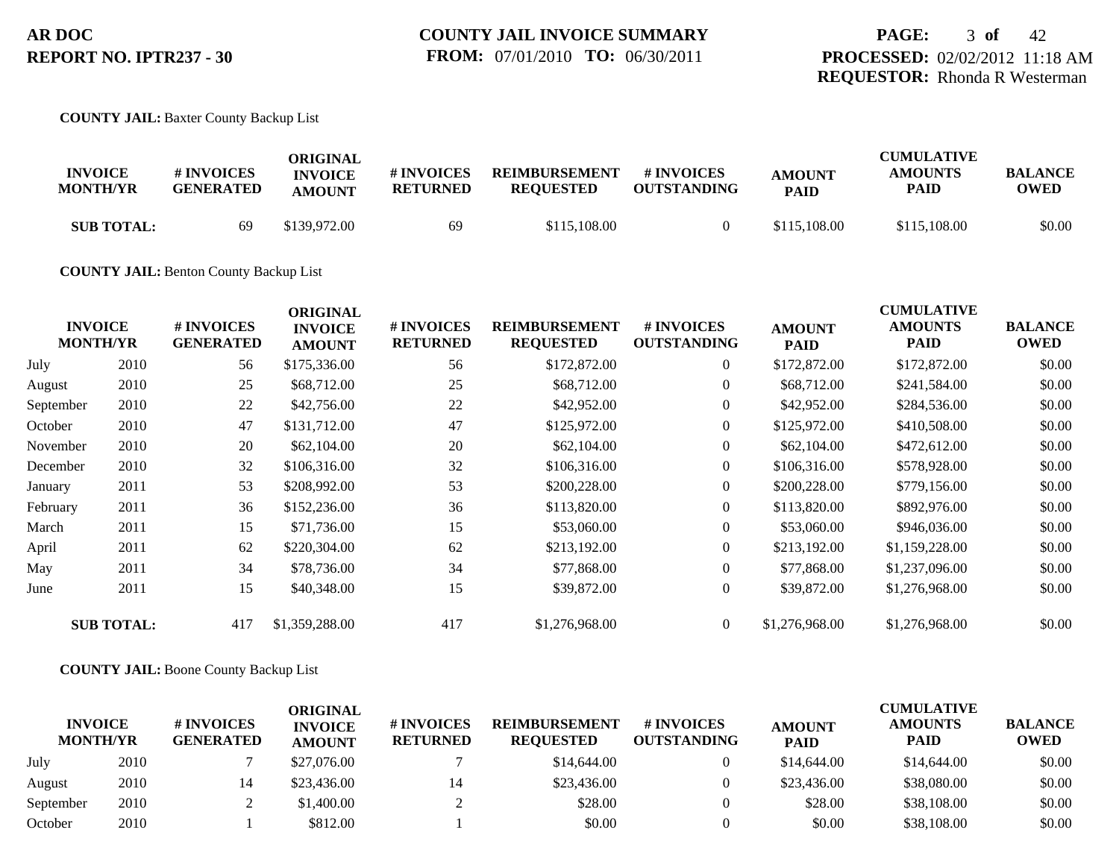#### **COUNTY JAIL:** Baxter County Backup List

| <b>INVOICE</b><br><b>MONTH/YR</b> | <b>#INVOICES</b><br><b>GENERATED</b> | ORIGINAL<br><b>INVOICE</b><br><b>AMOUNT</b> | # INVOICES<br><b>RETURNED</b> | <b>REIMBURSEMENT</b><br><b>REQUESTED</b> | # INVOICES<br><b>OUTSTANDING</b> | <b>AMOUNT</b><br><b>PAID</b> | <b>CUMULATIVE</b><br><b>AMOUNTS</b><br>PAID | <b>BALANCE</b><br>OWED |
|-----------------------------------|--------------------------------------|---------------------------------------------|-------------------------------|------------------------------------------|----------------------------------|------------------------------|---------------------------------------------|------------------------|
| <b>SUB TOTAL:</b>                 | 69                                   | \$139,972.00                                | 69                            | \$115,108.00                             |                                  | \$115,108.00                 | \$115,108.00                                | \$0.00                 |

#### **COUNTY JAIL:** Benton County Backup List

|      | # INVOICES<br><b>GENERATED</b>                         | <b>ORIGINAL</b><br><b>INVOICE</b><br><b>AMOUNT</b> | # INVOICES<br><b>RETURNED</b> | <b>REIMBURSEMENT</b><br><b>REQUESTED</b> | # INVOICES<br><b>OUTSTANDING</b> | <b>AMOUNT</b><br><b>PAID</b> | <b>CUMULATIVE</b><br><b>AMOUNTS</b><br><b>PAID</b> | <b>BALANCE</b><br><b>OWED</b> |
|------|--------------------------------------------------------|----------------------------------------------------|-------------------------------|------------------------------------------|----------------------------------|------------------------------|----------------------------------------------------|-------------------------------|
| 2010 | 56                                                     | \$175,336.00                                       | 56                            | \$172,872.00                             | $\overline{0}$                   | \$172,872.00                 | \$172,872.00                                       | \$0.00                        |
| 2010 | 25                                                     | \$68,712.00                                        | 25                            | \$68,712.00                              | $\overline{0}$                   | \$68,712.00                  | \$241,584.00                                       | \$0.00                        |
| 2010 | 22                                                     | \$42,756.00                                        | 22                            | \$42,952.00                              | $\overline{0}$                   | \$42,952.00                  | \$284,536.00                                       | \$0.00                        |
| 2010 | 47                                                     | \$131,712.00                                       | 47                            | \$125,972.00                             | $\overline{0}$                   | \$125,972.00                 | \$410,508.00                                       | \$0.00                        |
| 2010 | 20                                                     | \$62,104.00                                        | 20                            | \$62,104.00                              | $\overline{0}$                   | \$62,104.00                  | \$472,612.00                                       | \$0.00                        |
| 2010 | 32                                                     | \$106,316.00                                       | 32                            | \$106,316.00                             | $\overline{0}$                   | \$106,316.00                 | \$578,928.00                                       | \$0.00                        |
| 2011 | 53                                                     | \$208,992.00                                       | 53                            | \$200,228.00                             | $\overline{0}$                   | \$200,228.00                 | \$779,156.00                                       | \$0.00                        |
| 2011 | 36                                                     | \$152,236.00                                       | 36                            | \$113,820.00                             | $\overline{0}$                   | \$113,820.00                 | \$892,976.00                                       | \$0.00                        |
| 2011 | 15                                                     | \$71,736.00                                        | 15                            | \$53,060.00                              | $\overline{0}$                   | \$53,060.00                  | \$946,036.00                                       | \$0.00                        |
| 2011 | 62                                                     | \$220,304.00                                       | 62                            | \$213,192.00                             | $\overline{0}$                   | \$213,192.00                 | \$1,159,228.00                                     | \$0.00                        |
| 2011 | 34                                                     | \$78,736.00                                        | 34                            | \$77,868.00                              | $\overline{0}$                   | \$77,868.00                  | \$1,237,096.00                                     | \$0.00                        |
| 2011 | 15                                                     | \$40,348.00                                        | 15                            | \$39,872.00                              | $\overline{0}$                   | \$39,872.00                  | \$1,276,968.00                                     | \$0.00                        |
|      | 417                                                    | \$1,359,288.00                                     | 417                           | \$1,276,968.00                           | $\overline{0}$                   | \$1,276,968.00               | \$1,276,968.00                                     | \$0.00                        |
|      | <b>INVOICE</b><br><b>MONTH/YR</b><br><b>SUB TOTAL:</b> |                                                    |                               |                                          |                                  |                              |                                                    |                               |

### **COUNTY JAIL:** Boone County Backup List

| <b>INVOICE</b><br><b>MONTH/YR</b> |      | # INVOICES<br><b>GENERATED</b> | ORIGINAL<br><b>INVOICE</b><br><b>AMOUNT</b> | <b># INVOICES</b><br><b>RETURNED</b> | <b>REIMBURSEMENT</b><br><b>REOUESTED</b> | # INVOICES<br><b>OUTSTANDING</b> | <b>AMOUNT</b><br><b>PAID</b> | <b>CUMULATIVE</b><br><b>AMOUNTS</b><br><b>PAID</b> | <b>BALANCE</b><br><b>OWED</b> |
|-----------------------------------|------|--------------------------------|---------------------------------------------|--------------------------------------|------------------------------------------|----------------------------------|------------------------------|----------------------------------------------------|-------------------------------|
| July                              | 2010 |                                | \$27,076.00                                 |                                      | \$14,644.00                              |                                  | \$14,644.00                  | \$14,644.00                                        | \$0.00                        |
| August                            | 2010 |                                | \$23,436.00                                 | 14                                   | \$23,436.00                              |                                  | \$23,436.00                  | \$38,080.00                                        | \$0.00                        |
| September                         | 2010 |                                | \$1,400.00                                  |                                      | \$28.00                                  |                                  | \$28.00                      | \$38,108.00                                        | \$0.00                        |
| October                           | 2010 |                                | \$812.00                                    |                                      | \$0.00                                   |                                  | \$0.00                       | \$38,108.00                                        | \$0.00                        |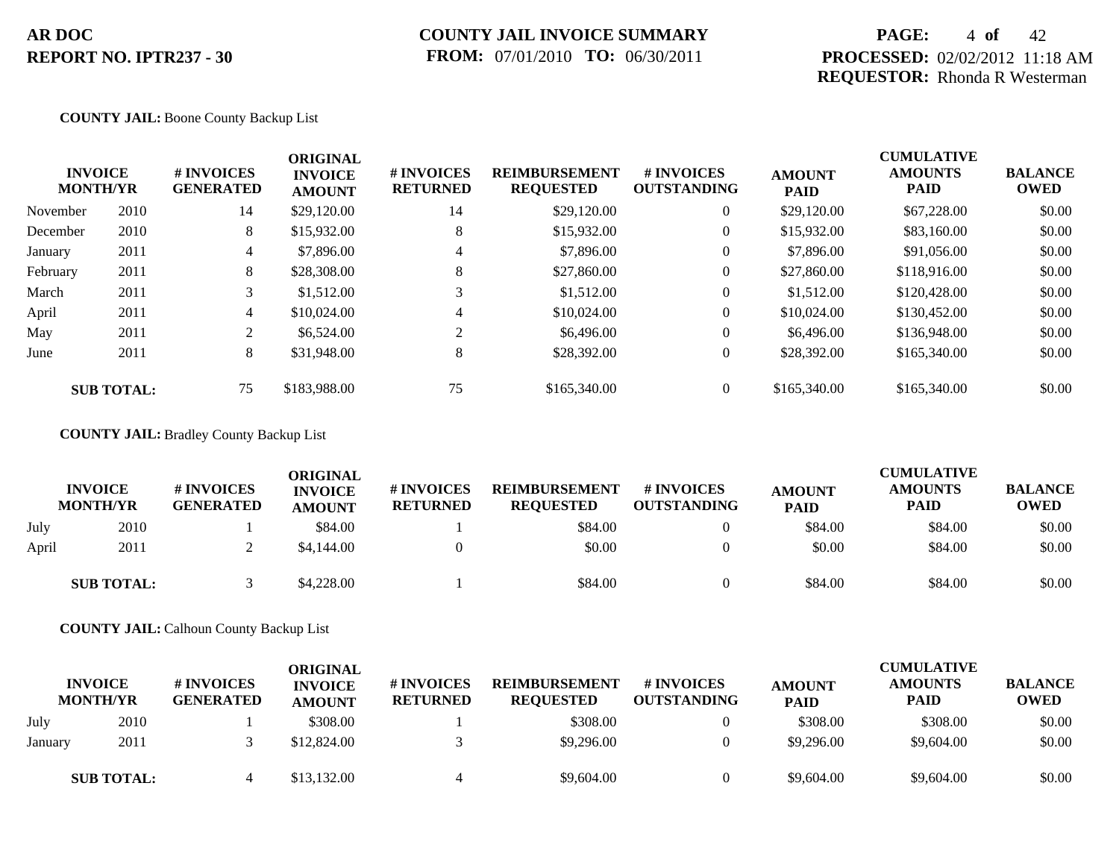### **COUNTY JAIL INVOICE SUMMARY FROM:** 07/01/2010 **TO:** 06/30/2011

## **PAGE:** 4 **of** 42 **PROCESSED:** 02/02/2012 11:18 AM **REQUESTOR:** Rhonda R Westerman

#### **COUNTY JAIL:** Boone County Backup List

|          | <b>INVOICE</b><br><b>MONTH/YR</b> | # INVOICES<br><b>GENERATED</b><br>14 | <b>ORIGINAL</b><br><b>INVOICE</b><br><b>AMOUNT</b> | # INVOICES<br><b>RETURNED</b> | <b>REIMBURSEMENT</b><br><b>REQUESTED</b> | <b>#INVOICES</b><br><b>OUTSTANDING</b> | <b>AMOUNT</b><br><b>PAID</b> | <b>CUMULATIVE</b><br><b>AMOUNTS</b><br>PAID | <b>BALANCE</b><br><b>OWED</b> |
|----------|-----------------------------------|--------------------------------------|----------------------------------------------------|-------------------------------|------------------------------------------|----------------------------------------|------------------------------|---------------------------------------------|-------------------------------|
| November | 2010                              |                                      | \$29,120.00                                        | 14                            | \$29,120.00                              | $\overline{0}$                         | \$29,120.00                  | \$67,228.00                                 | \$0.00                        |
| December | 2010                              | 8                                    | \$15,932.00                                        | 8                             | \$15,932.00                              | $\overline{0}$                         | \$15,932.00                  | \$83,160,00                                 | \$0.00                        |
| January  | 2011                              | 4                                    | \$7,896.00                                         | 4                             | \$7,896.00                               | $\overline{0}$                         | \$7,896.00                   | \$91,056.00                                 | \$0.00                        |
| February | 2011                              | 8                                    | \$28,308.00                                        | 8                             | \$27,860.00                              | $\overline{0}$                         | \$27,860.00                  | \$118,916.00                                | \$0.00                        |
| March    | 2011                              | 3                                    | \$1,512.00                                         |                               | \$1,512.00                               | $\overline{0}$                         | \$1,512.00                   | \$120,428.00                                | \$0.00                        |
| April    | 2011                              | $\overline{4}$                       | \$10,024.00                                        | 4                             | \$10,024.00                              | $\overline{0}$                         | \$10,024.00                  | \$130,452.00                                | \$0.00                        |
| May      | 2011                              | $\overline{2}$                       | \$6,524.00                                         | $\gamma$                      | \$6,496.00                               | $\overline{0}$                         | \$6,496.00                   | \$136,948.00                                | \$0.00                        |
| June     | 2011                              | 8                                    | \$31,948.00                                        | 8                             | \$28,392.00                              | $\overline{0}$                         | \$28,392.00                  | \$165,340.00                                | \$0.00                        |
|          | <b>SUB TOTAL:</b>                 | 75                                   | \$183,988.00                                       | 75                            | \$165,340.00                             | $\overline{0}$                         | \$165,340.00                 | \$165,340.00                                | \$0.00                        |

#### **COUNTY JAIL:** Bradley County Backup List

|       | <b>INVOICE</b><br><b>MONTH/YR</b> | # INVOICES<br><b>GENERATED</b> | ORIGINAL<br><b>INVOICE</b><br><b>AMOUNT</b> | <b>#INVOICES</b><br><b>RETURNED</b> | <b>REIMBURSEMENT</b><br><b>REQUESTED</b> | # INVOICES<br><b>OUTSTANDING</b> | <b>AMOUNT</b><br><b>PAID</b> | <b>CUMULATIVE</b><br><b>AMOUNTS</b><br><b>PAID</b> | <b>BALANCE</b><br><b>OWED</b> |
|-------|-----------------------------------|--------------------------------|---------------------------------------------|-------------------------------------|------------------------------------------|----------------------------------|------------------------------|----------------------------------------------------|-------------------------------|
| July  | 2010                              |                                | \$84.00                                     |                                     | \$84.00                                  |                                  | \$84.00                      | \$84.00                                            | \$0.00                        |
| April | 2011                              |                                | \$4,144.00                                  |                                     | \$0.00                                   |                                  | \$0.00                       | \$84.00                                            | \$0.00                        |
|       | <b>SUB TOTAL:</b>                 |                                | \$4,228,00                                  |                                     | \$84.00                                  |                                  | \$84.00                      | \$84.00                                            | \$0.00                        |

**COUNTY JAIL:** Calhoun County Backup List

|         | <b>INVOICE</b><br><b>MONTH/YR</b> | # INVOICES<br><b>GENERATED</b> | ORIGINAL<br><b>INVOICE</b><br><b>AMOUNT</b> | # INVOICES<br><b>RETURNED</b> | <b>REIMBURSEMENT</b><br><b>REQUESTED</b> | # INVOICES<br><b>OUTSTANDING</b> | <b>AMOUNT</b><br><b>PAID</b> | <b>CUMULATIVE</b><br><b>AMOUNTS</b><br>PAID | <b>BALANCE</b><br><b>OWED</b> |
|---------|-----------------------------------|--------------------------------|---------------------------------------------|-------------------------------|------------------------------------------|----------------------------------|------------------------------|---------------------------------------------|-------------------------------|
| July    | 2010                              |                                | \$308.00                                    |                               | \$308.00                                 |                                  | \$308.00                     | \$308.00                                    | \$0.00                        |
| January | 2011                              |                                | \$12,824.00                                 |                               | \$9,296.00                               |                                  | \$9,296.00                   | \$9,604.00                                  | \$0.00                        |
|         | <b>SUB TOTAL:</b>                 |                                | \$13,132.00                                 | 4                             | \$9,604.00                               |                                  | \$9,604.00                   | \$9,604.00                                  | \$0.00                        |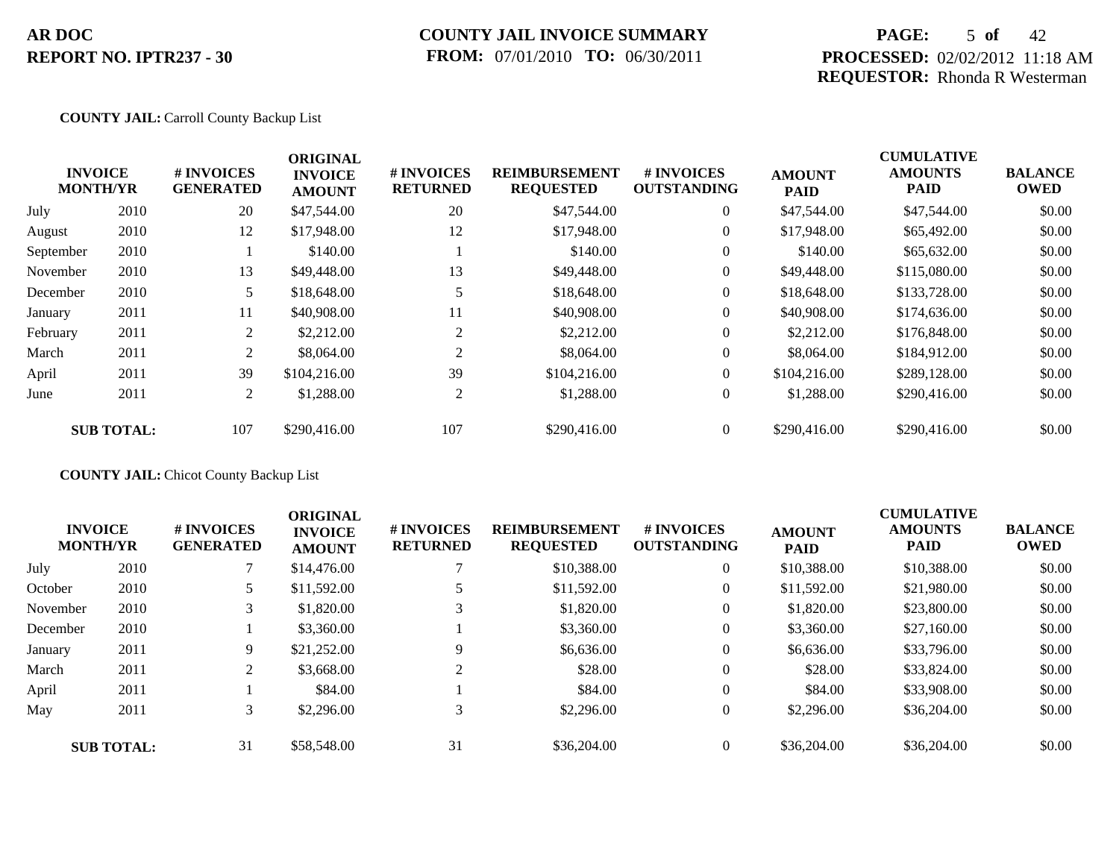## **COUNTY JAIL INVOICE SUMMARY FROM:** 07/01/2010 **TO:** 06/30/2011

## **PAGE:** 5 **of** 42 **PROCESSED:** 02/02/2012 11:18 AM **REQUESTOR:** Rhonda R Westerman

#### **COUNTY JAIL:** Carroll County Backup List

|           |                                   |                                | <b>ORIGINAL</b>                 |                               |                                          |                                        |                              | <b>CUMULATIVE</b>             |                               |
|-----------|-----------------------------------|--------------------------------|---------------------------------|-------------------------------|------------------------------------------|----------------------------------------|------------------------------|-------------------------------|-------------------------------|
|           | <b>INVOICE</b><br><b>MONTH/YR</b> | # INVOICES<br><b>GENERATED</b> | <b>INVOICE</b><br><b>AMOUNT</b> | # INVOICES<br><b>RETURNED</b> | <b>REIMBURSEMENT</b><br><b>REQUESTED</b> | <b>#INVOICES</b><br><b>OUTSTANDING</b> | <b>AMOUNT</b><br><b>PAID</b> | <b>AMOUNTS</b><br><b>PAID</b> | <b>BALANCE</b><br><b>OWED</b> |
| July      | 2010                              | 20                             | \$47,544.00                     | 20                            | \$47,544.00                              | $\overline{0}$                         | \$47,544.00                  | \$47,544.00                   | \$0.00                        |
| August    | 2010                              | 12                             | \$17,948.00                     | 12                            | \$17,948.00                              | $\overline{0}$                         | \$17,948.00                  | \$65,492.00                   | \$0.00                        |
| September | 2010                              |                                | \$140.00                        |                               | \$140.00                                 | $\overline{0}$                         | \$140.00                     | \$65,632.00                   | \$0.00                        |
| November  | 2010                              | 13                             | \$49,448.00                     | 13                            | \$49,448.00                              | $\overline{0}$                         | \$49,448.00                  | \$115,080.00                  | \$0.00                        |
| December  | 2010                              | 5                              | \$18,648.00                     |                               | \$18,648.00                              | $\overline{0}$                         | \$18,648.00                  | \$133,728.00                  | \$0.00                        |
| January   | 2011                              | 11                             | \$40,908.00                     | 11                            | \$40,908.00                              | $\overline{0}$                         | \$40,908.00                  | \$174,636.00                  | \$0.00                        |
| February  | 2011                              | 2                              | \$2,212.00                      | 2                             | \$2,212.00                               | $\overline{0}$                         | \$2,212.00                   | \$176,848.00                  | \$0.00                        |
| March     | 2011                              | 2                              | \$8,064.00                      | 2                             | \$8,064.00                               | $\overline{0}$                         | \$8,064.00                   | \$184,912.00                  | \$0.00                        |
| April     | 2011                              | 39                             | \$104,216.00                    | 39                            | \$104,216.00                             | $\overline{0}$                         | \$104,216.00                 | \$289,128.00                  | \$0.00                        |
| June      | 2011                              | 2                              | \$1,288.00                      | 2                             | \$1,288.00                               | $\overline{0}$                         | \$1,288.00                   | \$290,416.00                  | \$0.00                        |
|           | <b>SUB TOTAL:</b>                 | 107                            | \$290,416.00                    | 107                           | \$290,416.00                             | $\Omega$                               | \$290,416.00                 | \$290,416.00                  | \$0.00                        |

#### **COUNTY JAIL:** Chicot County Backup List

|          | <b>INVOICE</b><br><b>MONTH/YR</b> | # INVOICES<br><b>GENERATED</b> | <b>ORIGINAL</b><br><b>INVOICE</b><br><b>AMOUNT</b> | <b>#INVOICES</b><br><b>RETURNED</b> | <b>REIMBURSEMENT</b><br><b>REQUESTED</b> | <b>#INVOICES</b><br><b>OUTSTANDING</b> | <b>AMOUNT</b><br><b>PAID</b> | <b>CUMULATIVE</b><br><b>AMOUNTS</b><br><b>PAID</b> | <b>BALANCE</b><br><b>OWED</b> |
|----------|-----------------------------------|--------------------------------|----------------------------------------------------|-------------------------------------|------------------------------------------|----------------------------------------|------------------------------|----------------------------------------------------|-------------------------------|
| July     | 2010                              |                                | \$14,476.00                                        |                                     | \$10,388.00                              | $\overline{0}$                         | \$10,388.00                  | \$10,388.00                                        | \$0.00                        |
| October  | 2010                              |                                | \$11,592.00                                        |                                     | \$11,592.00                              | $\overline{0}$                         | \$11,592.00                  | \$21,980.00                                        | \$0.00                        |
| November | 2010                              | 3                              | \$1,820.00                                         | 3                                   | \$1,820.00                               | $\theta$                               | \$1,820.00                   | \$23,800.00                                        | \$0.00                        |
| December | 2010                              |                                | \$3,360.00                                         |                                     | \$3,360.00                               | $\theta$                               | \$3,360.00                   | \$27,160.00                                        | \$0.00                        |
| January  | 2011                              | 9                              | \$21,252.00                                        | 9                                   | \$6,636.00                               | $\theta$                               | \$6,636.00                   | \$33,796.00                                        | \$0.00                        |
| March    | 2011                              | 2                              | \$3,668.00                                         | 2                                   | \$28.00                                  | $\theta$                               | \$28.00                      | \$33,824.00                                        | \$0.00                        |
| April    | 2011                              |                                | \$84.00                                            |                                     | \$84.00                                  | $\theta$                               | \$84.00                      | \$33,908.00                                        | \$0.00                        |
| May      | 2011                              | 3                              | \$2,296.00                                         | 3                                   | \$2,296.00                               | $\overline{0}$                         | \$2,296.00                   | \$36,204.00                                        | \$0.00                        |
|          | <b>SUB TOTAL:</b>                 | 31                             | \$58,548.00                                        | 31                                  | \$36,204.00                              | $\Omega$                               | \$36,204.00                  | \$36,204.00                                        | \$0.00                        |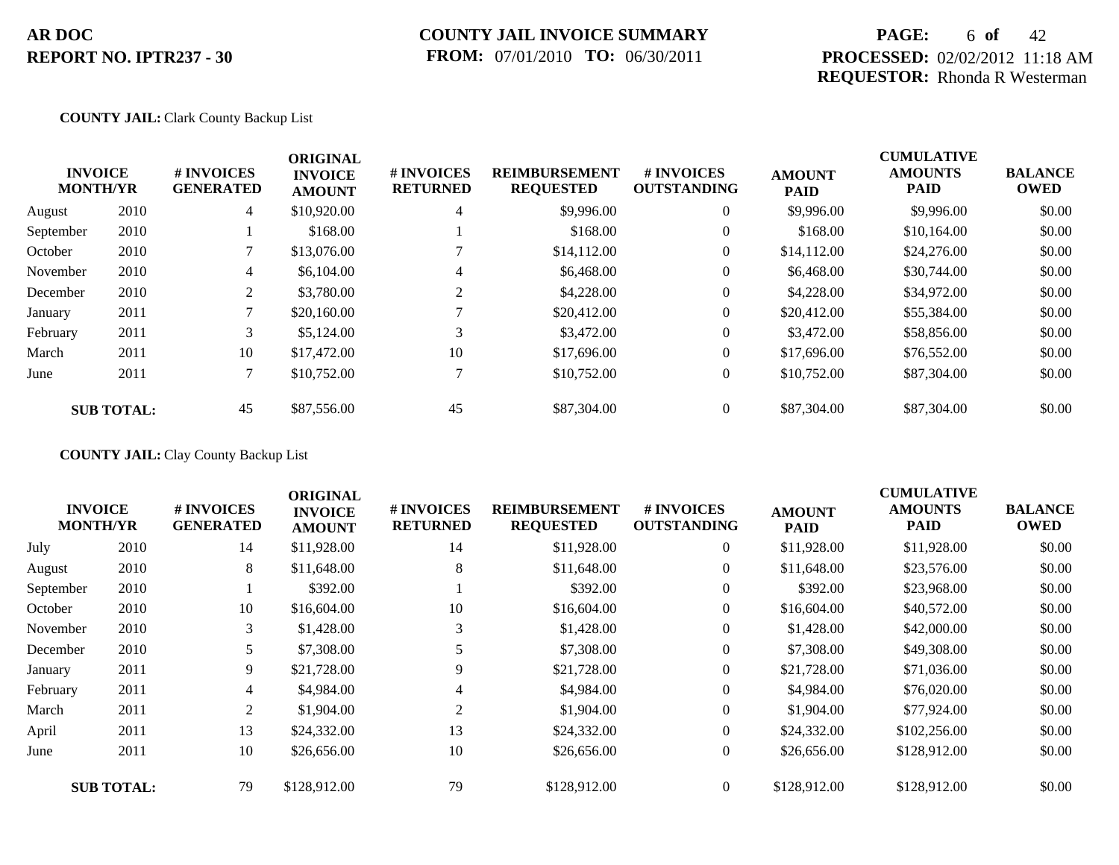### **COUNTY JAIL INVOICE SUMMARY FROM:** 07/01/2010 **TO:** 06/30/2011

## **PAGE:** 6 **of** 42 **PROCESSED:** 02/02/2012 11:18 AM **REQUESTOR:** Rhonda R Westerman

### **COUNTY JAIL:** Clark County Backup List

|           | <b>INVOICE</b><br><b>MONTH/YR</b> | # INVOICES<br><b>GENERATED</b> | <b>ORIGINAL</b><br><b>INVOICE</b><br><b>AMOUNT</b> | # INVOICES<br><b>RETURNED</b> | <b>REIMBURSEMENT</b><br><b>REQUESTED</b> | <b>#INVOICES</b><br><b>OUTSTANDING</b> | <b>AMOUNT</b><br><b>PAID</b> | <b>CUMULATIVE</b><br><b>AMOUNTS</b><br><b>PAID</b> | <b>BALANCE</b><br><b>OWED</b> |
|-----------|-----------------------------------|--------------------------------|----------------------------------------------------|-------------------------------|------------------------------------------|----------------------------------------|------------------------------|----------------------------------------------------|-------------------------------|
| August    | 2010                              | $\overline{4}$                 | \$10,920.00                                        | 4                             | \$9,996.00                               | $\theta$                               | \$9,996.00                   | \$9,996.00                                         | \$0.00                        |
| September | 2010                              |                                | \$168.00                                           |                               | \$168.00                                 | $\theta$                               | \$168.00                     | \$10,164.00                                        | \$0.00                        |
| October   | 2010                              |                                | \$13,076.00                                        |                               | \$14,112.00                              | $\overline{0}$                         | \$14,112.00                  | \$24,276.00                                        | \$0.00                        |
| November  | 2010                              | 4                              | \$6,104.00                                         | 4                             | \$6,468.00                               | $\boldsymbol{0}$                       | \$6,468.00                   | \$30,744.00                                        | \$0.00                        |
| December  | 2010                              | 2                              | \$3,780.00                                         | 2                             | \$4,228.00                               | $\theta$                               | \$4,228.00                   | \$34,972.00                                        | \$0.00                        |
| January   | 2011                              |                                | \$20,160.00                                        |                               | \$20,412.00                              | $\overline{0}$                         | \$20,412.00                  | \$55,384.00                                        | \$0.00                        |
| February  | 2011                              | 3                              | \$5,124.00                                         |                               | \$3,472.00                               | $\theta$                               | \$3,472.00                   | \$58,856.00                                        | \$0.00                        |
| March     | 2011                              | 10                             | \$17,472.00                                        | 10                            | \$17,696.00                              | $\overline{0}$                         | \$17,696.00                  | \$76,552.00                                        | \$0.00                        |
| June      | 2011                              |                                | \$10,752.00                                        |                               | \$10,752.00                              | $\overline{0}$                         | \$10,752.00                  | \$87,304.00                                        | \$0.00                        |
|           | <b>SUB TOTAL:</b>                 | 45                             | \$87,556.00                                        | 45                            | \$87,304.00                              | $\theta$                               | \$87,304.00                  | \$87,304.00                                        | \$0.00                        |

**COUNTY JAIL:** Clay County Backup List

|           | <b>INVOICE</b><br><b>MONTH/YR</b> | # INVOICES<br><b>GENERATED</b> | <b>ORIGINAL</b><br><b>INVOICE</b><br><b>AMOUNT</b> | # INVOICES<br><b>RETURNED</b> | <b>REIMBURSEMENT</b><br><b>REQUESTED</b> | <b># INVOICES</b><br><b>OUTSTANDING</b> | <b>AMOUNT</b><br><b>PAID</b> | <b>CUMULATIVE</b><br><b>AMOUNTS</b><br><b>PAID</b> | <b>BALANCE</b><br><b>OWED</b> |
|-----------|-----------------------------------|--------------------------------|----------------------------------------------------|-------------------------------|------------------------------------------|-----------------------------------------|------------------------------|----------------------------------------------------|-------------------------------|
| July      | 2010                              | 14                             | \$11,928.00                                        | 14                            | \$11,928.00                              | $\overline{0}$                          | \$11,928.00                  | \$11,928.00                                        | \$0.00                        |
| August    | 2010                              | 8                              | \$11,648.00                                        | 8                             | \$11,648.00                              | $\overline{0}$                          | \$11,648.00                  | \$23,576.00                                        | \$0.00                        |
| September | 2010                              |                                | \$392.00                                           |                               | \$392.00                                 | $\overline{0}$                          | \$392.00                     | \$23,968.00                                        | \$0.00                        |
| October   | 2010                              | 10                             | \$16,604.00                                        | 10                            | \$16,604.00                              | $\overline{0}$                          | \$16,604.00                  | \$40,572.00                                        | \$0.00                        |
| November  | 2010                              | 3                              | \$1,428.00                                         | 3                             | \$1,428.00                               | $\overline{0}$                          | \$1,428.00                   | \$42,000.00                                        | \$0.00                        |
| December  | 2010                              |                                | \$7,308.00                                         |                               | \$7,308.00                               | $\overline{0}$                          | \$7,308.00                   | \$49,308.00                                        | \$0.00                        |
| January   | 2011                              | 9.                             | \$21,728.00                                        | 9                             | \$21,728.00                              | $\overline{0}$                          | \$21,728.00                  | \$71,036.00                                        | \$0.00                        |
| February  | 2011                              | $\overline{4}$                 | \$4,984.00                                         | 4                             | \$4,984.00                               | $\overline{0}$                          | \$4,984.00                   | \$76,020.00                                        | \$0.00                        |
| March     | 2011                              | 2                              | \$1,904.00                                         | 2                             | \$1,904.00                               | $\overline{0}$                          | \$1,904.00                   | \$77,924.00                                        | \$0.00                        |
| April     | 2011                              | 13                             | \$24,332.00                                        | 13                            | \$24,332.00                              | $\overline{0}$                          | \$24,332.00                  | \$102,256.00                                       | \$0.00                        |
| June      | 2011                              | 10                             | \$26,656.00                                        | 10                            | \$26,656.00                              | $\overline{0}$                          | \$26,656.00                  | \$128,912.00                                       | \$0.00                        |
|           | <b>SUB TOTAL:</b>                 | 79                             | \$128,912.00                                       | 79                            | \$128,912.00                             | $\Omega$                                | \$128,912.00                 | \$128,912.00                                       | \$0.00                        |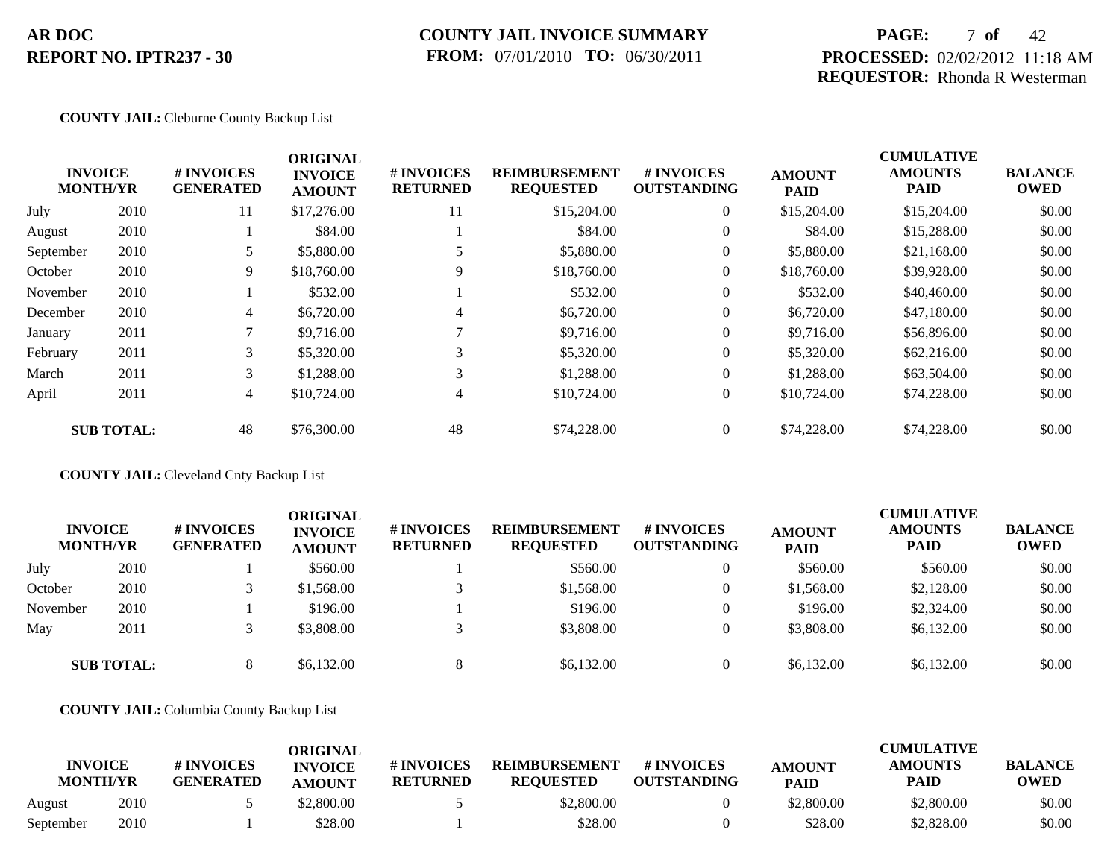### **COUNTY JAIL INVOICE SUMMARY FROM:** 07/01/2010 **TO:** 06/30/2011

## **PAGE:** 7 **of** 42 **PROCESSED:** 02/02/2012 11:18 AM **REQUESTOR:** Rhonda R Westerman

CUMU<del>LATIVE</del>

#### **COUNTY JAIL:** Cleburne County Backup List

|           | <b>INVOICE</b><br><b>MONTH/YR</b> | # INVOICES<br><b>GENERATED</b> | <b>ORIGINAL</b><br><b>INVOICE</b><br><b>AMOUNT</b> | # INVOICES<br><b>RETURNED</b> | <b>REIMBURSEMENT</b><br><b>REQUESTED</b> | # INVOICES<br><b>OUTSTANDING</b> | <b>AMOUNT</b><br><b>PAID</b> | <b>CUMULATIVE</b><br><b>AMOUNTS</b><br>PAID | <b>BALANCE</b><br><b>OWED</b> |
|-----------|-----------------------------------|--------------------------------|----------------------------------------------------|-------------------------------|------------------------------------------|----------------------------------|------------------------------|---------------------------------------------|-------------------------------|
| July      | 2010                              | 11                             | \$17,276.00                                        | 11                            | \$15,204.00                              | $\overline{0}$                   | \$15,204.00                  | \$15,204.00                                 | \$0.00                        |
| August    | 2010                              |                                | \$84.00                                            |                               | \$84.00                                  | $\overline{0}$                   | \$84.00                      | \$15,288.00                                 | \$0.00                        |
| September | 2010                              |                                | \$5,880.00                                         |                               | \$5,880.00                               | $\overline{0}$                   | \$5,880.00                   | \$21,168.00                                 | \$0.00                        |
| October   | 2010                              | 9                              | \$18,760.00                                        | 9                             | \$18,760.00                              | $\overline{0}$                   | \$18,760.00                  | \$39,928.00                                 | \$0.00                        |
| November  | 2010                              |                                | \$532.00                                           |                               | \$532.00                                 | $\overline{0}$                   | \$532.00                     | \$40,460.00                                 | \$0.00                        |
| December  | 2010                              | $\overline{4}$                 | \$6,720.00                                         | 4                             | \$6,720.00                               | $\overline{0}$                   | \$6,720.00                   | \$47,180,00                                 | \$0.00                        |
| January   | 2011                              |                                | \$9,716.00                                         |                               | \$9,716.00                               | $\overline{0}$                   | \$9,716.00                   | \$56,896.00                                 | \$0.00                        |
| February  | 2011                              | 3                              | \$5,320.00                                         | 3                             | \$5,320.00                               | $\overline{0}$                   | \$5,320.00                   | \$62,216.00                                 | \$0.00                        |
| March     | 2011                              | 3                              | \$1,288.00                                         | 3                             | \$1,288.00                               | $\overline{0}$                   | \$1,288.00                   | \$63,504.00                                 | \$0.00                        |
| April     | 2011                              | $\overline{4}$                 | \$10,724.00                                        | 4                             | \$10,724.00                              | 0                                | \$10,724.00                  | \$74,228.00                                 | \$0.00                        |
|           | <b>SUB TOTAL:</b>                 | 48                             | \$76,300.00                                        | 48                            | \$74,228.00                              | $\overline{0}$                   | \$74,228.00                  | \$74,228.00                                 | \$0.00                        |

**COUNTY JAIL:** Cleveland Cnty Backup List

| <b>INVOICE</b><br><b>MONTH/YR</b> |                   | # INVOICES<br><b>GENERATED</b> | ORIGINAL<br><b>INVOICE</b><br><b>AMOUNT</b> | # INVOICES<br><b>RETURNED</b> | <b>REIMBURSEMENT</b><br><b>REQUESTED</b> | # INVOICES<br><b>OUTSTANDING</b> | <b>AMOUNT</b><br><b>PAID</b> | <b>CUMULATIVE</b><br><b>AMOUNTS</b><br><b>PAID</b> | <b>BALANCE</b><br><b>OWED</b> |
|-----------------------------------|-------------------|--------------------------------|---------------------------------------------|-------------------------------|------------------------------------------|----------------------------------|------------------------------|----------------------------------------------------|-------------------------------|
| July                              | 2010              |                                | \$560.00                                    |                               | \$560.00                                 |                                  | \$560.00                     | \$560.00                                           | \$0.00                        |
| October                           | 2010              |                                | \$1,568.00                                  |                               | \$1,568.00                               |                                  | \$1,568.00                   | \$2,128.00                                         | \$0.00                        |
| November                          | 2010              |                                | \$196.00                                    |                               | \$196.00                                 |                                  | \$196.00                     | \$2,324.00                                         | \$0.00                        |
| May                               | 2011              |                                | \$3,808.00                                  |                               | \$3,808.00                               |                                  | \$3,808.00                   | \$6,132.00                                         | \$0.00                        |
|                                   | <b>SUB TOTAL:</b> |                                | \$6,132.00                                  | 8                             | \$6,132.00                               | $\theta$                         | \$6,132.00                   | \$6,132.00                                         | \$0.00                        |

**COUNTY JAIL:** Columbia County Backup List

|           | <b>INVOICE</b><br><b>MONTH/YR</b> | # INVOICES<br><b>GENERATED</b> | ORIGINAL<br><b>INVOICE</b><br><b>AMOUNT</b> | # INVOICES<br><b>RETURNED</b> | <b>REIMBURSEMENT</b><br><b>REQUESTED</b> | # INVOICES<br><b>OUTSTANDING</b> | <b>AMOUNT</b><br><b>PAID</b> | <b>CUMULATIVE</b><br><b>AMOUNTS</b><br>PAID | <b>BALANCE</b><br><b>OWED</b> |
|-----------|-----------------------------------|--------------------------------|---------------------------------------------|-------------------------------|------------------------------------------|----------------------------------|------------------------------|---------------------------------------------|-------------------------------|
| August    | 2010                              |                                | \$2,800.00                                  |                               | \$2,800.00                               |                                  | \$2,800.00                   | \$2,800.00                                  | \$0.00                        |
| September | 2010                              |                                | \$28.00                                     |                               | \$28.00                                  |                                  | \$28.00                      | \$2,828.00                                  | \$0.00                        |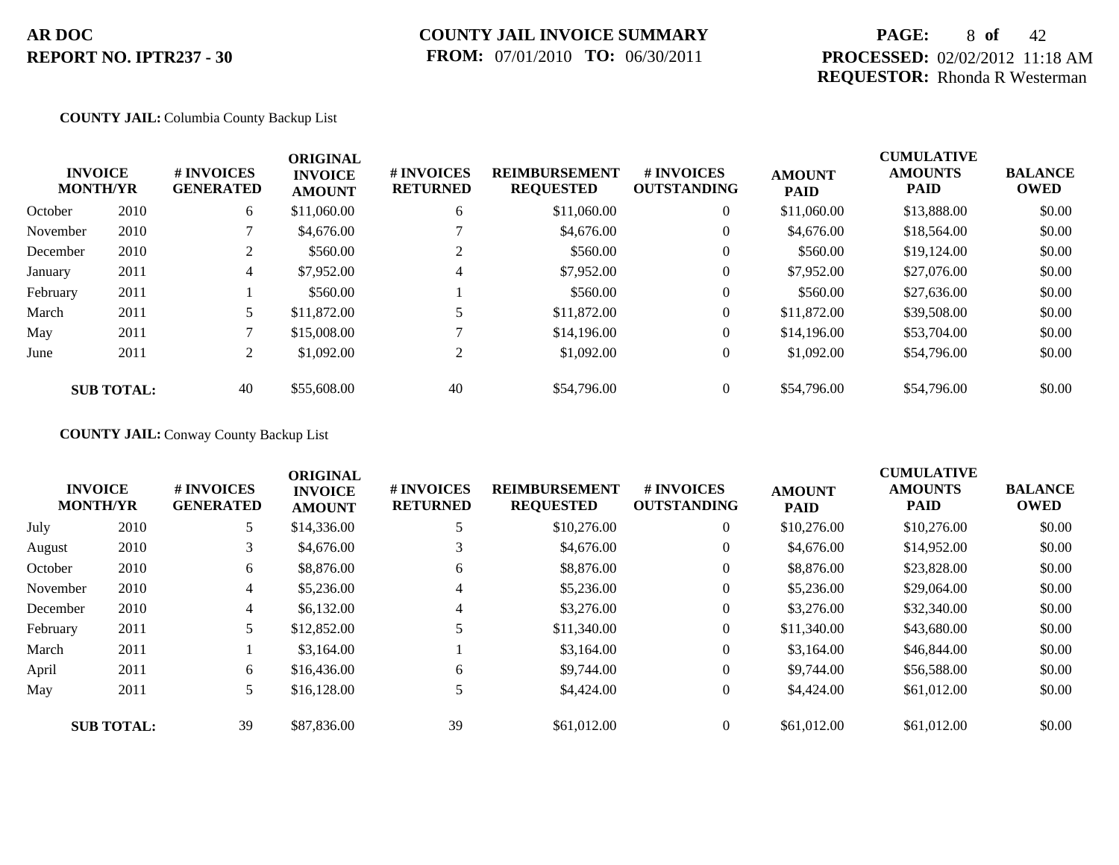### **COUNTY JAIL INVOICE SUMMARY FROM:** 07/01/2010 **TO:** 06/30/2011

## **PAGE:** 8 **of** 42 **PROCESSED:** 02/02/2012 11:18 AM **REQUESTOR:** Rhonda R Westerman

#### **COUNTY JAIL:** Columbia County Backup List

|          | <b>INVOICE</b><br><b>MONTH/YR</b> | # INVOICES<br><b>GENERATED</b> | <b>ORIGINAL</b><br><b>INVOICE</b><br><b>AMOUNT</b> | # INVOICES<br><b>RETURNED</b> | <b>REIMBURSEMENT</b><br><b>REQUESTED</b> | <b>#INVOICES</b><br><b>OUTSTANDING</b> | <b>AMOUNT</b><br><b>PAID</b> | <b>CUMULATIVE</b><br><b>AMOUNTS</b><br><b>PAID</b> | <b>BALANCE</b><br><b>OWED</b> |
|----------|-----------------------------------|--------------------------------|----------------------------------------------------|-------------------------------|------------------------------------------|----------------------------------------|------------------------------|----------------------------------------------------|-------------------------------|
| October  | 2010                              | 6                              | \$11,060.00                                        | 6                             | \$11,060.00                              | $\overline{0}$                         | \$11,060.00                  | \$13,888.00                                        | \$0.00                        |
| November | 2010                              |                                | \$4,676.00                                         |                               | \$4,676.00                               | $\overline{0}$                         | \$4,676.00                   | \$18,564.00                                        | \$0.00                        |
| December | 2010                              | 2                              | \$560.00                                           |                               | \$560.00                                 | $\overline{0}$                         | \$560.00                     | \$19,124.00                                        | \$0.00                        |
| January  | 2011                              | $\overline{4}$                 | \$7,952.00                                         | 4                             | \$7,952.00                               | $\overline{0}$                         | \$7,952.00                   | \$27,076.00                                        | \$0.00                        |
| February | 2011                              |                                | \$560.00                                           |                               | \$560.00                                 | $\overline{0}$                         | \$560.00                     | \$27,636.00                                        | \$0.00                        |
| March    | 2011                              | 5                              | \$11,872.00                                        |                               | \$11,872.00                              | $\overline{0}$                         | \$11,872.00                  | \$39,508.00                                        | \$0.00                        |
| May      | 2011                              |                                | \$15,008.00                                        |                               | \$14,196.00                              | $\overline{0}$                         | \$14,196.00                  | \$53,704.00                                        | \$0.00                        |
| June     | 2011                              | 2                              | \$1,092.00                                         | 2                             | \$1,092.00                               | $\overline{0}$                         | \$1,092.00                   | \$54,796.00                                        | \$0.00                        |
|          | <b>SUB TOTAL:</b>                 | 40                             | \$55,608.00                                        | 40                            | \$54,796.00                              | $\Omega$                               | \$54,796.00                  | \$54,796.00                                        | \$0.00                        |

### **COUNTY JAIL:** Conway County Backup List

|          | <b>INVOICE</b><br><b>MONTH/YR</b> | # INVOICES<br><b>GENERATED</b> | <b>ORIGINAL</b><br><b>INVOICE</b><br><b>AMOUNT</b> | # INVOICES<br><b>RETURNED</b> | <b>REIMBURSEMENT</b><br><b>REQUESTED</b> | # INVOICES<br><b>OUTSTANDING</b> | <b>AMOUNT</b><br><b>PAID</b> | <b>CUMULATIVE</b><br><b>AMOUNTS</b><br><b>PAID</b> | <b>BALANCE</b><br><b>OWED</b> |
|----------|-----------------------------------|--------------------------------|----------------------------------------------------|-------------------------------|------------------------------------------|----------------------------------|------------------------------|----------------------------------------------------|-------------------------------|
| July     | 2010                              | 5                              | \$14,336.00                                        |                               | \$10,276.00                              | $\overline{0}$                   | \$10,276.00                  | \$10,276.00                                        | \$0.00                        |
| August   | 2010                              | 3 <sup>1</sup>                 | \$4,676.00                                         |                               | \$4,676.00                               | $\theta$                         | \$4,676.00                   | \$14,952.00                                        | \$0.00                        |
| October  | 2010                              | 6                              | \$8,876.00                                         | 6                             | \$8,876.00                               | $\overline{0}$                   | \$8,876.00                   | \$23,828.00                                        | \$0.00                        |
| November | 2010                              | $\overline{4}$                 | \$5,236.00                                         | 4                             | \$5,236.00                               | $\overline{0}$                   | \$5,236.00                   | \$29,064.00                                        | \$0.00                        |
| December | 2010                              | $\overline{4}$                 | \$6,132.00                                         | 4                             | \$3,276.00                               | $\overline{0}$                   | \$3,276.00                   | \$32,340.00                                        | \$0.00                        |
| February | 2011                              | 5                              | \$12,852.00                                        |                               | \$11,340.00                              | $\overline{0}$                   | \$11,340.00                  | \$43,680.00                                        | \$0.00                        |
| March    | 2011                              |                                | \$3,164.00                                         |                               | \$3,164.00                               | $\overline{0}$                   | \$3,164.00                   | \$46,844.00                                        | \$0.00                        |
| April    | 2011                              | 6                              | \$16,436.00                                        | 6                             | \$9,744.00                               | $\overline{0}$                   | \$9,744.00                   | \$56,588.00                                        | \$0.00                        |
| May      | 2011                              | $5^{\circ}$                    | \$16,128.00                                        |                               | \$4,424.00                               | $\overline{0}$                   | \$4,424.00                   | \$61,012.00                                        | \$0.00                        |
|          | <b>SUB TOTAL:</b>                 | 39                             | \$87,836.00                                        | 39                            | \$61,012.00                              | $\Omega$                         | \$61,012.00                  | \$61,012.00                                        | \$0.00                        |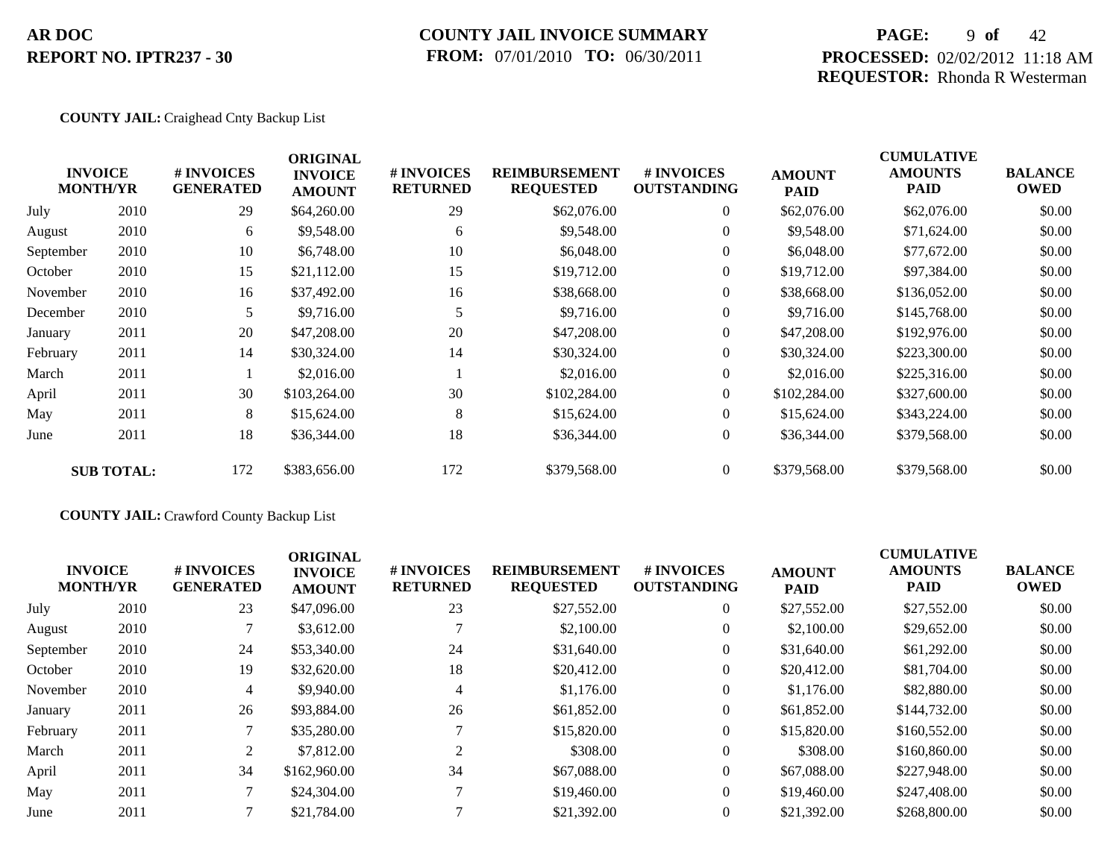## **COUNTY JAIL INVOICE SUMMARY FROM:** 07/01/2010 **TO:** 06/30/2011

## **PAGE:** 9 **of** 42 **PROCESSED:** 02/02/2012 11:18 AM **REQUESTOR:** Rhonda R Westerman

#### **COUNTY JAIL:** Craighead Cnty Backup List

| <b>INVOICE</b><br><b>MONTH/YR</b> |                   | # INVOICES<br><b>GENERATED</b> | <b>ORIGINAL</b><br><b>INVOICE</b><br><b>AMOUNT</b> | # INVOICES<br><b>RETURNED</b> | <b>REIMBURSEMENT</b><br><b>REQUESTED</b> | # INVOICES<br><b>OUTSTANDING</b> | <b>AMOUNT</b><br><b>PAID</b> | <b>CUMULATIVE</b><br><b>AMOUNTS</b><br>PAID | <b>BALANCE</b><br><b>OWED</b> |
|-----------------------------------|-------------------|--------------------------------|----------------------------------------------------|-------------------------------|------------------------------------------|----------------------------------|------------------------------|---------------------------------------------|-------------------------------|
| July                              | 2010              | 29                             | \$64,260.00                                        | 29                            | \$62,076.00                              | $\overline{0}$                   | \$62,076.00                  | \$62,076.00                                 | \$0.00                        |
| August                            | 2010              | 6                              | \$9,548.00                                         | 6                             | \$9,548.00                               | $\overline{0}$                   | \$9,548.00                   | \$71,624.00                                 | \$0.00                        |
| September                         | 2010              | 10                             | \$6,748.00                                         | 10                            | \$6,048.00                               | $\overline{0}$                   | \$6,048.00                   | \$77,672.00                                 | \$0.00                        |
| October                           | 2010              | 15                             | \$21,112.00                                        | 15                            | \$19,712.00                              | $\overline{0}$                   | \$19,712.00                  | \$97,384.00                                 | \$0.00                        |
| November                          | 2010              | 16                             | \$37,492.00                                        | 16                            | \$38,668.00                              | $\overline{0}$                   | \$38,668.00                  | \$136,052.00                                | \$0.00                        |
| December                          | 2010              | 5                              | \$9,716.00                                         | 5                             | \$9,716.00                               | $\overline{0}$                   | \$9,716.00                   | \$145,768.00                                | \$0.00                        |
| January                           | 2011              | 20                             | \$47,208.00                                        | 20                            | \$47,208.00                              | $\overline{0}$                   | \$47,208.00                  | \$192,976.00                                | \$0.00                        |
| February                          | 2011              | 14                             | \$30,324.00                                        | 14                            | \$30,324.00                              | $\overline{0}$                   | \$30,324.00                  | \$223,300.00                                | \$0.00                        |
| March                             | 2011              |                                | \$2,016.00                                         |                               | \$2,016.00                               | $\overline{0}$                   | \$2,016.00                   | \$225,316.00                                | \$0.00                        |
| April                             | 2011              | 30                             | \$103,264.00                                       | 30                            | \$102,284.00                             | $\theta$                         | \$102,284.00                 | \$327,600.00                                | \$0.00                        |
| May                               | 2011              | 8                              | \$15,624.00                                        | 8                             | \$15,624.00                              | $\overline{0}$                   | \$15,624.00                  | \$343,224.00                                | \$0.00                        |
| June                              | 2011              | 18                             | \$36,344.00                                        | 18                            | \$36,344.00                              | $\overline{0}$                   | \$36,344.00                  | \$379,568.00                                | \$0.00                        |
|                                   | <b>SUB TOTAL:</b> | 172                            | \$383,656.00                                       | 172                           | \$379,568.00                             | $\overline{0}$                   | \$379,568.00                 | \$379,568.00                                | \$0.00                        |
|                                   |                   |                                |                                                    |                               |                                          |                                  |                              |                                             |                               |

### **COUNTY JAIL:** Crawford County Backup List

| <b>INVOICE</b><br><b>MONTH/YR</b> |      | # INVOICES<br><b>GENERATED</b> | <b>ORIGINAL</b><br><b>INVOICE</b><br><b>AMOUNT</b> | # INVOICES<br><b>RETURNED</b> | <b>REIMBURSEMENT</b><br><b>REQUESTED</b> | # INVOICES<br><b>OUTSTANDING</b> | <b>AMOUNT</b><br><b>PAID</b> | <b>CUMULATIVE</b><br><b>AMOUNTS</b><br><b>PAID</b> | <b>BALANCE</b><br><b>OWED</b> |
|-----------------------------------|------|--------------------------------|----------------------------------------------------|-------------------------------|------------------------------------------|----------------------------------|------------------------------|----------------------------------------------------|-------------------------------|
| July                              | 2010 | 23                             | \$47,096.00                                        | 23                            | \$27,552.00                              | $\overline{0}$                   | \$27,552.00                  | \$27,552.00                                        | \$0.00                        |
| August                            | 2010 |                                | \$3,612.00                                         |                               | \$2,100.00                               | $\theta$                         | \$2,100.00                   | \$29,652.00                                        | \$0.00                        |
| September                         | 2010 | 24                             | \$53,340.00                                        | 24                            | \$31,640.00                              | $\overline{0}$                   | \$31,640.00                  | \$61,292.00                                        | \$0.00                        |
| October                           | 2010 | 19                             | \$32,620.00                                        | 18                            | \$20,412.00                              | $\overline{0}$                   | \$20,412.00                  | \$81,704.00                                        | \$0.00                        |
| November                          | 2010 | 4                              | \$9,940.00                                         | 4                             | \$1,176.00                               | $\overline{0}$                   | \$1,176.00                   | \$82,880,00                                        | \$0.00                        |
| January                           | 2011 | 26                             | \$93,884.00                                        | 26                            | \$61,852.00                              | $\overline{0}$                   | \$61,852.00                  | \$144,732.00                                       | \$0.00                        |
| February                          | 2011 |                                | \$35,280.00                                        |                               | \$15,820.00                              | $\overline{0}$                   | \$15,820.00                  | \$160,552.00                                       | \$0.00                        |
| March                             | 2011 | 2                              | \$7,812.00                                         | $\bigcap$                     | \$308.00                                 | $\overline{0}$                   | \$308.00                     | \$160,860.00                                       | \$0.00                        |
| April                             | 2011 | 34                             | \$162,960.00                                       | 34                            | \$67,088,00                              | $\overline{0}$                   | \$67,088.00                  | \$227,948.00                                       | \$0.00                        |
| May                               | 2011 |                                | \$24,304.00                                        |                               | \$19,460.00                              | $\Omega$                         | \$19,460.00                  | \$247,408.00                                       | \$0.00                        |
| June                              | 2011 |                                | \$21,784.00                                        |                               | \$21,392.00                              | $\overline{0}$                   | \$21,392.00                  | \$268,800.00                                       | \$0.00                        |
|                                   |      |                                |                                                    |                               |                                          |                                  |                              |                                                    |                               |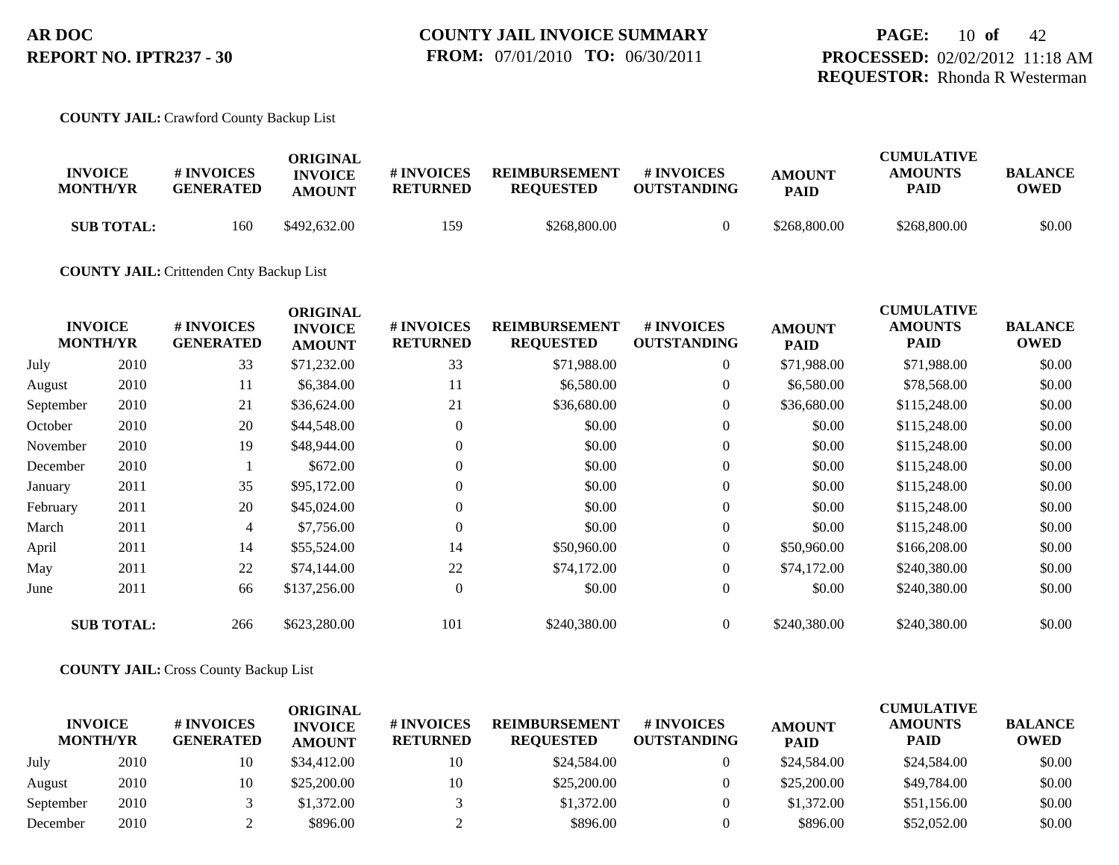#### **COUNTY JAIL:** Crawford County Backup List

| <b>INVOICE</b><br><b>MONTH/YR</b> | <b>#INVOICES</b><br><b>GENERATED</b> | ORIGINAL<br><b>INVOICE</b><br><b>AMOUNT</b> | # INVOICES<br><b>RETURNED</b> | <b>REIMBURSEMENT</b><br><b>REOUESTED</b> | # INVOICES<br><b>OUTSTANDING</b> | <b>AMOUNT</b><br><b>PAID</b> | <b>CUMULATIVE</b><br><b>AMOUNTS</b><br><b>PAID</b> | <b>BALANCE</b><br><b>OWED</b> |
|-----------------------------------|--------------------------------------|---------------------------------------------|-------------------------------|------------------------------------------|----------------------------------|------------------------------|----------------------------------------------------|-------------------------------|
| <b>SUB TOTAL:</b>                 | 160                                  | \$492,632.00                                | 159                           | \$268,800.00                             |                                  | \$268,800.00                 | \$268,800.00                                       | \$0.00                        |

#### **COUNTY JAIL:** Crittenden Cnty Backup List

| <b>INVOICE</b><br><b>MONTH/YR</b> | # INVOICES<br><b>GENERATED</b> | <b>ORIGINAL</b><br><b>INVOICE</b><br><b>AMOUNT</b> | # INVOICES<br><b>RETURNED</b> | <b>REIMBURSEMENT</b><br><b>REQUESTED</b> | <b>#INVOICES</b><br><b>OUTSTANDING</b> | <b>AMOUNT</b><br><b>PAID</b> | <b>CUMULATIVE</b><br><b>AMOUNTS</b><br><b>PAID</b> | <b>BALANCE</b><br><b>OWED</b> |
|-----------------------------------|--------------------------------|----------------------------------------------------|-------------------------------|------------------------------------------|----------------------------------------|------------------------------|----------------------------------------------------|-------------------------------|
| 2010                              | 33                             | \$71,232.00                                        | 33                            | \$71,988.00                              | $\overline{0}$                         | \$71,988.00                  | \$71,988.00                                        | \$0.00                        |
| 2010                              | 11                             | \$6,384.00                                         | 11                            | \$6,580.00                               | $\overline{0}$                         | \$6,580.00                   | \$78,568.00                                        | \$0.00                        |
| 2010                              | 21                             | \$36,624.00                                        | 21                            | \$36,680.00                              | $\overline{0}$                         | \$36,680.00                  | \$115,248.00                                       | \$0.00                        |
| 2010                              | 20                             | \$44,548.00                                        | $\Omega$                      | \$0.00                                   | $\overline{0}$                         | \$0.00                       | \$115,248.00                                       | \$0.00                        |
| 2010                              | 19                             | \$48,944.00                                        | $\overline{0}$                | \$0.00                                   | $\overline{0}$                         | \$0.00                       | \$115,248.00                                       | \$0.00                        |
| 2010                              |                                | \$672.00                                           | $\Omega$                      | \$0.00                                   | $\Omega$                               | \$0.00                       | \$115,248.00                                       | \$0.00                        |
| 2011                              | 35                             | \$95,172.00                                        | $\Omega$                      | \$0.00                                   | $\overline{0}$                         | \$0.00                       | \$115,248.00                                       | \$0.00                        |
| 2011                              | 20                             | \$45,024.00                                        | $\overline{0}$                | \$0.00                                   | $\overline{0}$                         | \$0.00                       | \$115,248.00                                       | \$0.00                        |
| 2011                              | 4                              | \$7,756.00                                         | $\theta$                      | \$0.00                                   | $\overline{0}$                         | \$0.00                       | \$115,248.00                                       | \$0.00                        |
| 2011                              | 14                             | \$55,524.00                                        | 14                            | \$50,960.00                              | $\overline{0}$                         | \$50,960.00                  | \$166,208.00                                       | \$0.00                        |
| 2011                              | 22                             | \$74,144.00                                        | 22                            | \$74,172.00                              | $\overline{0}$                         | \$74,172.00                  | \$240,380.00                                       | \$0.00                        |
| 2011                              | 66                             | \$137,256.00                                       | $\overline{0}$                | \$0.00                                   | $\overline{0}$                         | \$0.00                       | \$240,380.00                                       | \$0.00                        |
| <b>SUB TOTAL:</b>                 | 266                            | \$623,280.00                                       | 101                           | \$240,380.00                             | $\overline{0}$                         | \$240,380.00                 | \$240,380.00                                       | \$0.00                        |
|                                   |                                |                                                    |                               |                                          |                                        |                              |                                                    |                               |

#### **COUNTY JAIL:** Cross County Backup List

| <b>INVOICE</b><br><b>MONTH/YR</b> |      | # INVOICES<br><b>GENERATED</b> | ORIGINAL<br><b>INVOICE</b><br><b>AMOUNT</b> | <b># INVOICES</b><br><b>RETURNED</b> | <b>REIMBURSEMENT</b><br><b>REOUESTED</b> | <b>#INVOICES</b><br><b>OUTSTANDING</b> | <b>AMOUNT</b><br><b>PAID</b> | <b>CUMULATIVE</b><br><b>AMOUNTS</b><br>PAID | <b>BALANCE</b><br><b>OWED</b> |
|-----------------------------------|------|--------------------------------|---------------------------------------------|--------------------------------------|------------------------------------------|----------------------------------------|------------------------------|---------------------------------------------|-------------------------------|
| July                              | 2010 | 10                             | \$34,412.00                                 | 10                                   | \$24,584.00                              |                                        | \$24,584.00                  | \$24,584.00                                 | \$0.00                        |
| August                            | 2010 | 10                             | \$25,200.00                                 | 10                                   | \$25,200.00                              |                                        | \$25,200.00                  | \$49,784.00                                 | \$0.00                        |
| September                         | 2010 |                                | \$1,372.00                                  |                                      | \$1,372.00                               |                                        | \$1,372.00                   | \$51,156.00                                 | \$0.00                        |
| December                          | 2010 |                                | \$896.00                                    |                                      | \$896.00                                 |                                        | \$896.00                     | \$52,052.00                                 | \$0.00                        |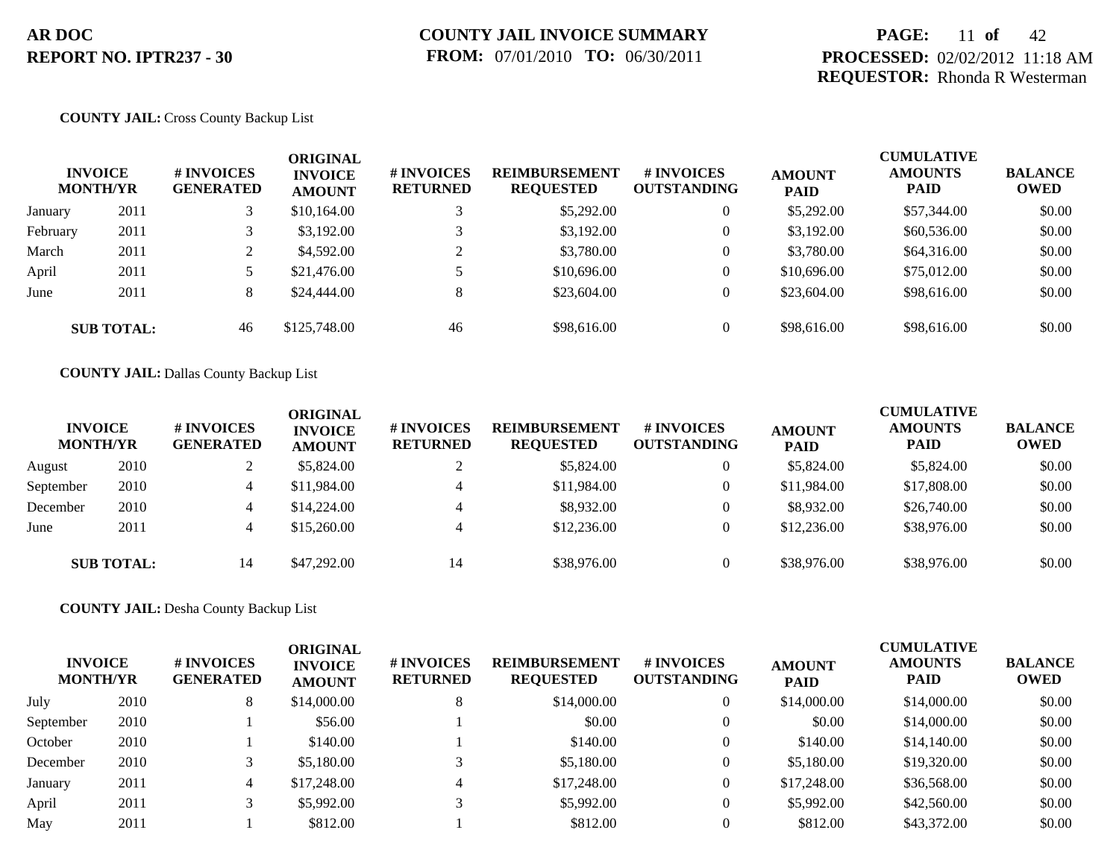## **PAGE:** 11 **of** 42 **PROCESSED:** 02/02/2012 11:18 AM **REQUESTOR:** Rhonda R Westerman

#### **COUNTY JAIL:** Cross County Backup List

|          | <b>INVOICE</b><br><b>MONTH/YR</b> | # INVOICES<br><b>GENERATED</b> | <b>ORIGINAL</b><br><b>INVOICE</b><br><b>AMOUNT</b> | # INVOICES<br><b>RETURNED</b> | <b>REIMBURSEMENT</b><br><b>REQUESTED</b> | <b>#INVOICES</b><br><b>OUTSTANDING</b> | <b>AMOUNT</b><br><b>PAID</b> | <b>CUMULATIVE</b><br><b>AMOUNTS</b><br><b>PAID</b> | <b>BALANCE</b><br><b>OWED</b> |
|----------|-----------------------------------|--------------------------------|----------------------------------------------------|-------------------------------|------------------------------------------|----------------------------------------|------------------------------|----------------------------------------------------|-------------------------------|
| January  | 2011                              |                                | \$10,164.00                                        |                               | \$5,292.00                               | $\overline{0}$                         | \$5,292.00                   | \$57,344.00                                        | \$0.00                        |
| February | 2011                              |                                | \$3,192,00                                         |                               | \$3,192.00                               | $\overline{0}$                         | \$3,192.00                   | \$60,536.00                                        | \$0.00                        |
| March    | 2011                              | ∠                              | \$4,592.00                                         | $\gamma$                      | \$3,780.00                               | $\overline{0}$                         | \$3,780.00                   | \$64,316.00                                        | \$0.00                        |
| April    | 2011                              |                                | \$21,476.00                                        |                               | \$10,696.00                              | $\overline{0}$                         | \$10,696.00                  | \$75,012.00                                        | \$0.00                        |
| June     | 2011                              | 8                              | \$24,444.00                                        | 8                             | \$23,604.00                              | $\overline{0}$                         | \$23,604.00                  | \$98,616.00                                        | \$0.00                        |
|          | <b>SUB TOTAL:</b>                 | 46                             | \$125,748.00                                       | 46                            | \$98,616.00                              | $\overline{0}$                         | \$98,616.00                  | \$98,616.00                                        | \$0.00                        |

#### **COUNTY JAIL:** Dallas County Backup List

| <b>INVOICE</b><br><b>MONTH/YR</b> |                   | # INVOICES<br><b>GENERATED</b> | ORIGINAL<br><b>INVOICE</b><br><b>AMOUNT</b> | # INVOICES<br><b>RETURNED</b> | <b>REIMBURSEMENT</b><br><b>REQUESTED</b> | # INVOICES<br><b>OUTSTANDING</b> | <b>AMOUNT</b><br><b>PAID</b> | <b>CUMULATIVE</b><br><b>AMOUNTS</b><br><b>PAID</b> | <b>BALANCE</b><br><b>OWED</b> |
|-----------------------------------|-------------------|--------------------------------|---------------------------------------------|-------------------------------|------------------------------------------|----------------------------------|------------------------------|----------------------------------------------------|-------------------------------|
| August                            | 2010              |                                | \$5,824.00                                  |                               | \$5,824.00                               | 0                                | \$5,824.00                   | \$5,824.00                                         | \$0.00                        |
| September                         | 2010              | 4                              | \$11,984.00                                 | $\overline{4}$                | \$11,984.00                              | 0                                | \$11,984.00                  | \$17,808.00                                        | \$0.00                        |
| December                          | 2010              | 4                              | \$14,224.00                                 | $\overline{4}$                | \$8,932.00                               |                                  | \$8,932.00                   | \$26,740.00                                        | \$0.00                        |
| June                              | 2011              | 4                              | \$15,260.00                                 | $\overline{4}$                | \$12,236.00                              |                                  | \$12,236.00                  | \$38,976.00                                        | \$0.00                        |
|                                   | <b>SUB TOTAL:</b> | 14                             | \$47,292.00                                 | 14                            | \$38,976.00                              | $\overline{0}$                   | \$38,976.00                  | \$38,976.00                                        | \$0.00                        |

**COUNTY JAIL:** Desha County Backup List

| <b>INVOICE</b><br><b>MONTH/YR</b> |      | # INVOICES<br><b>GENERATED</b> | <b>ORIGINAL</b><br><b>INVOICE</b><br><b>AMOUNT</b> | # INVOICES<br><b>RETURNED</b> | <b>REIMBURSEMENT</b><br><b>REQUESTED</b> | <b># INVOICES</b><br><b>OUTSTANDING</b> | <b>AMOUNT</b><br><b>PAID</b> | <b>CUMULATIVE</b><br><b>AMOUNTS</b><br><b>PAID</b> | <b>BALANCE</b><br>OWED |
|-----------------------------------|------|--------------------------------|----------------------------------------------------|-------------------------------|------------------------------------------|-----------------------------------------|------------------------------|----------------------------------------------------|------------------------|
| July                              | 2010 | 8                              | \$14,000.00                                        |                               | \$14,000.00                              | 0                                       | \$14,000.00                  | \$14,000.00                                        | \$0.00                 |
| September                         | 2010 |                                | \$56.00                                            |                               | \$0.00                                   | $\overline{0}$                          | \$0.00                       | \$14,000.00                                        | \$0.00                 |
| October                           | 2010 |                                | \$140.00                                           |                               | \$140.00                                 | $\Omega$                                | \$140.00                     | \$14,140.00                                        | \$0.00                 |
| December                          | 2010 |                                | \$5,180.00                                         |                               | \$5,180.00                               | $\overline{0}$                          | \$5,180.00                   | \$19,320.00                                        | \$0.00                 |
| January                           | 2011 | 4                              | \$17,248.00                                        | 4                             | \$17,248.00                              | 0                                       | \$17,248.00                  | \$36,568.00                                        | \$0.00                 |
| April                             | 2011 |                                | \$5,992.00                                         |                               | \$5,992.00                               | 0                                       | \$5,992.00                   | \$42,560.00                                        | \$0.00                 |
| May                               | 2011 |                                | \$812.00                                           |                               | \$812.00                                 |                                         | \$812.00                     | \$43,372.00                                        | \$0.00                 |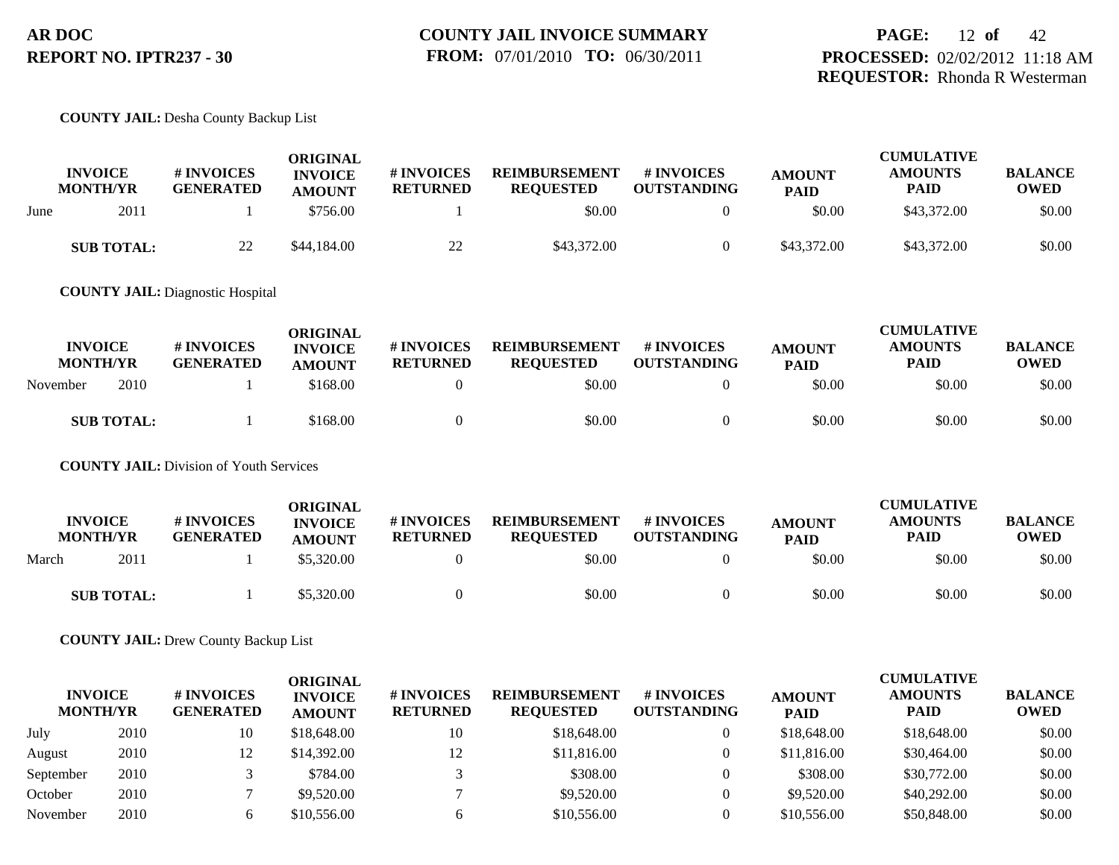#### **COUNTY JAIL:** Desha County Backup List

|      | <b>INVOICE</b><br><b>MONTH/YR</b> | # INVOICES<br><b>GENERATED</b> | ORIGINAL<br><b>INVOICE</b><br><b>AMOUNT</b> | <b>#INVOICES</b><br><b>RETURNED</b> | <b>REIMBURSEMENT</b><br><b>REOUESTED</b> | # INVOICES<br><b>OUTSTANDING</b> | <b>AMOUNT</b><br><b>PAID</b> | <b>CUMULATIVE</b><br><b>AMOUNTS</b><br>PAID | <b>BALANCE</b><br><b>OWED</b> |
|------|-----------------------------------|--------------------------------|---------------------------------------------|-------------------------------------|------------------------------------------|----------------------------------|------------------------------|---------------------------------------------|-------------------------------|
| June | 2011                              |                                | \$756.00                                    |                                     | \$0.00                                   |                                  | \$0.00                       | \$43,372.00                                 | \$0.00                        |
|      | <b>SUB TOTAL:</b>                 | 22                             | \$44,184.00                                 | 22                                  | \$43,372.00                              |                                  | \$43,372.00                  | \$43,372.00                                 | \$0.00                        |

**COUNTY JAIL:** Diagnostic Hospital

| <b>INVOICE</b><br><b>MONTH/YR</b> | # INVOICES<br><b>GENERATED</b> | ORIGINAL<br><b>INVOICE</b><br><b>AMOUNT</b> | # INVOICES<br><b>RETURNED</b> | <b>REIMBURSEMENT</b><br><b>REOUESTED</b> | # INVOICES<br><b>OUTSTANDING</b> | <b>AMOUNT</b><br><b>PAID</b> | <b>CUMULATIVE</b><br><b>AMOUNTS</b><br><b>PAID</b> | <b>BALANCE</b><br><b>OWED</b> |
|-----------------------------------|--------------------------------|---------------------------------------------|-------------------------------|------------------------------------------|----------------------------------|------------------------------|----------------------------------------------------|-------------------------------|
| 2010<br>November                  |                                | \$168.00                                    |                               | \$0.00                                   |                                  | \$0.00                       | \$0.00                                             | \$0.00                        |
| <b>SUB TOTAL:</b>                 |                                | \$168.00                                    |                               | \$0.00                                   |                                  | \$0.00                       | \$0.00                                             | \$0.00                        |

**COUNTY JAIL:** Division of Youth Services

|       | <b>INVOICE</b><br><b>MONTH/YR</b> | # INVOICES<br><b>GENERATED</b> | ORIGINAL<br><b>INVOICE</b><br><b>AMOUNT</b> | # INVOICES<br><b>RETURNED</b> | <b>REIMBURSEMENT</b><br><b>REQUESTED</b> | # INVOICES<br><b>OUTSTANDING</b> | <b>AMOUNT</b><br><b>PAID</b> | <b>CUMULATIVE</b><br><b>AMOUNTS</b><br><b>PAID</b> | <b>BALANCE</b><br><b>OWED</b> |
|-------|-----------------------------------|--------------------------------|---------------------------------------------|-------------------------------|------------------------------------------|----------------------------------|------------------------------|----------------------------------------------------|-------------------------------|
| March | 2011                              |                                | \$5,320.00                                  |                               | \$0.00                                   |                                  | \$0.00                       | \$0.00                                             | \$0.00                        |
|       | <b>SUB TOTAL:</b>                 |                                | \$5,320.00                                  |                               | \$0.00                                   |                                  | \$0.00                       | \$0.00                                             | \$0.00                        |

**COUNTY JAIL:** Drew County Backup List

| <b>INVOICE</b><br><b>MONTH/YR</b> |      | # INVOICES<br><b>GENERATED</b> | ORIGINAL<br><b>INVOICE</b><br><b>AMOUNT</b> | <b># INVOICES</b><br><b>RETURNED</b> | <b>REIMBURSEMENT</b><br><b>REQUESTED</b> | # INVOICES<br><b>OUTSTANDING</b> | <b>AMOUNT</b><br><b>PAID</b> | <b>CUMULATIVE</b><br><b>AMOUNTS</b><br><b>PAID</b> | <b>BALANCE</b><br><b>OWED</b> |
|-----------------------------------|------|--------------------------------|---------------------------------------------|--------------------------------------|------------------------------------------|----------------------------------|------------------------------|----------------------------------------------------|-------------------------------|
| July                              | 2010 | 10                             | \$18,648.00                                 | 10                                   | \$18,648.00                              |                                  | \$18,648.00                  | \$18,648.00                                        | \$0.00                        |
| August                            | 2010 | 12                             | \$14,392.00                                 | 12                                   | \$11,816.00                              |                                  | \$11,816.00                  | \$30,464.00                                        | \$0.00                        |
| September                         | 2010 |                                | \$784.00                                    |                                      | \$308.00                                 |                                  | \$308.00                     | \$30,772.00                                        | \$0.00                        |
| October                           | 2010 |                                | \$9,520.00                                  |                                      | \$9,520.00                               |                                  | \$9,520.00                   | \$40,292,00                                        | \$0.00                        |
| November                          | 2010 | h.                             | \$10,556.00                                 |                                      | \$10,556.00                              |                                  | \$10,556.00                  | \$50,848.00                                        | \$0.00                        |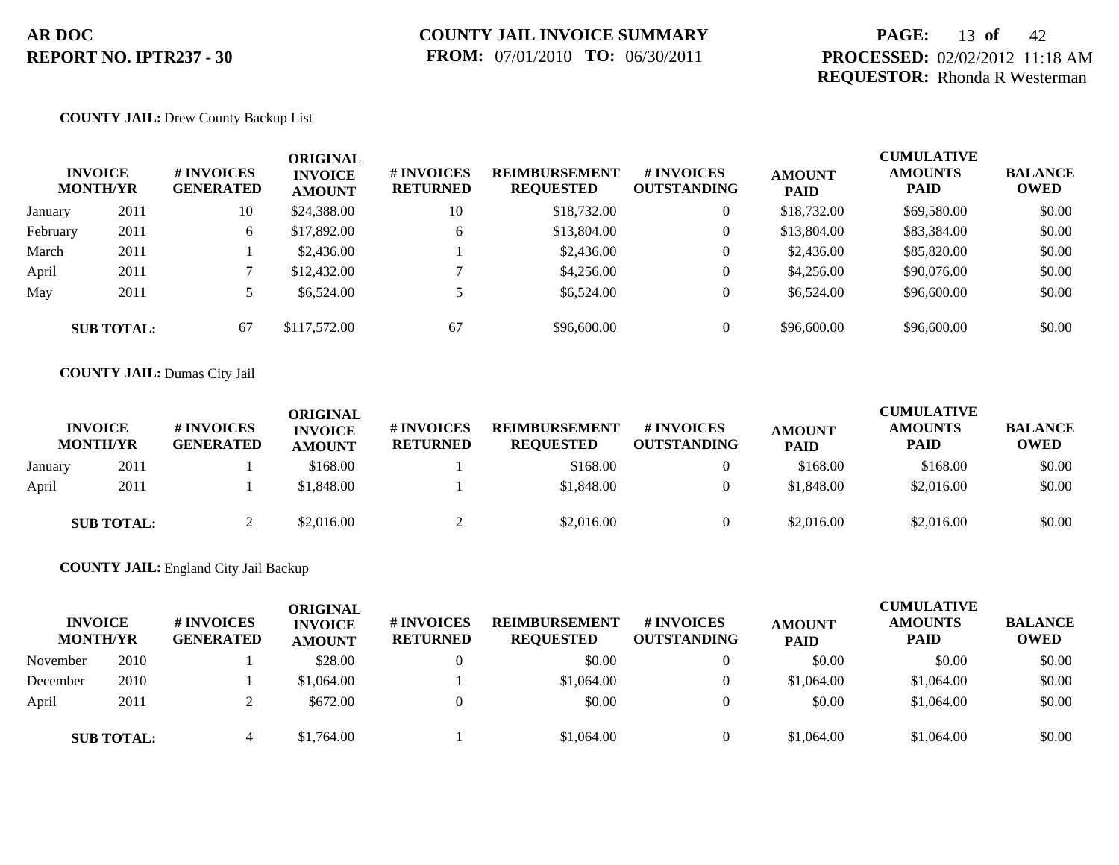## **PAGE:** 13 **of** 42 **PROCESSED:** 02/02/2012 11:18 AM **REQUESTOR:** Rhonda R Westerman

#### **COUNTY JAIL:** Drew County Backup List

|          | <b>INVOICE</b><br><b>MONTH/YR</b> | <b>#INVOICES</b><br><b>GENERATED</b> | ORIGINAL<br><b>INVOICE</b><br><b>AMOUNT</b> | # INVOICES<br><b>RETURNED</b> | <b>REIMBURSEMENT</b><br><b>REQUESTED</b> | <b># INVOICES</b><br><b>OUTSTANDING</b> | <b>AMOUNT</b><br><b>PAID</b> | <b>CUMULATIVE</b><br><b>AMOUNTS</b><br><b>PAID</b> | <b>BALANCE</b><br><b>OWED</b> |
|----------|-----------------------------------|--------------------------------------|---------------------------------------------|-------------------------------|------------------------------------------|-----------------------------------------|------------------------------|----------------------------------------------------|-------------------------------|
| January  | 2011                              | 10                                   | \$24,388.00                                 | 10                            | \$18,732.00                              | $\overline{0}$                          | \$18,732.00                  | \$69,580.00                                        | \$0.00                        |
| February | 2011                              | 6                                    | \$17,892.00                                 | 6                             | \$13,804.00                              | $\overline{0}$                          | \$13,804.00                  | \$83,384.00                                        | \$0.00                        |
| March    | 2011                              |                                      | \$2,436.00                                  |                               | \$2,436.00                               | $\overline{0}$                          | \$2,436.00                   | \$85,820.00                                        | \$0.00                        |
| April    | 2011                              |                                      | \$12,432.00                                 |                               | \$4,256.00                               | $\overline{0}$                          | \$4,256.00                   | \$90,076.00                                        | \$0.00                        |
| May      | 2011                              |                                      | \$6,524.00                                  |                               | \$6,524.00                               | $\overline{0}$                          | \$6,524.00                   | \$96,600.00                                        | \$0.00                        |
|          | <b>SUB TOTAL:</b>                 | 67                                   | \$117,572.00                                | 67                            | \$96,600.00                              | $\overline{0}$                          | \$96,600.00                  | \$96,600.00                                        | \$0.00                        |

#### **COUNTY JAIL:** Dumas City Jail

|         | <b>INVOICE</b><br><b>MONTH/YR</b> | # INVOICES<br><b>GENERATED</b> | ORIGINAL<br><b>INVOICE</b><br><b>AMOUNT</b> | # INVOICES<br><b>RETURNED</b> | <b>REIMBURSEMENT</b><br><b>REQUESTED</b> | # INVOICES<br><b>OUTSTANDING</b> | <b>AMOUNT</b><br><b>PAID</b> | <b>CUMULATIVE</b><br><b>AMOUNTS</b><br><b>PAID</b> | <b>BALANCE</b><br><b>OWED</b> |
|---------|-----------------------------------|--------------------------------|---------------------------------------------|-------------------------------|------------------------------------------|----------------------------------|------------------------------|----------------------------------------------------|-------------------------------|
| January | 2011                              |                                | \$168.00                                    |                               | \$168.00                                 |                                  | \$168.00                     | \$168.00                                           | \$0.00                        |
| April   | 2011                              |                                | \$1,848.00                                  |                               | \$1,848.00                               |                                  | \$1,848.00                   | \$2,016.00                                         | \$0.00                        |
|         | <b>SUB TOTAL:</b>                 |                                | \$2.016.00                                  |                               | \$2,016.00                               |                                  | \$2,016.00                   | \$2,016.00                                         | \$0.00                        |

#### **COUNTY JAIL:** England City Jail Backup

| <b>INVOICE</b><br><b>MONTH/YR</b> |                   | # INVOICES<br><b>GENERATED</b> | <b>ORIGINAL</b><br><b>INVOICE</b><br><b>AMOUNT</b> | <b>#INVOICES</b><br><b>RETURNED</b> | <b>REIMBURSEMENT</b><br><b>REQUESTED</b> | # INVOICES<br><b>OUTSTANDING</b> | <b>AMOUNT</b><br><b>PAID</b> | <b>CUMULATIVE</b><br><b>AMOUNTS</b><br><b>PAID</b> | <b>BALANCE</b><br><b>OWED</b> |
|-----------------------------------|-------------------|--------------------------------|----------------------------------------------------|-------------------------------------|------------------------------------------|----------------------------------|------------------------------|----------------------------------------------------|-------------------------------|
| November                          | 2010              |                                | \$28.00                                            |                                     | \$0.00                                   |                                  | \$0.00                       | \$0.00                                             | \$0.00                        |
| December                          | 2010              |                                | \$1,064.00                                         |                                     | \$1,064.00                               |                                  | \$1,064.00                   | \$1,064.00                                         | \$0.00                        |
| April                             | 2011              |                                | \$672.00                                           |                                     | \$0.00                                   |                                  | \$0.00                       | \$1,064.00                                         | \$0.00                        |
|                                   | <b>SUB TOTAL:</b> |                                | \$1,764.00                                         |                                     | \$1,064.00                               |                                  | \$1,064.00                   | \$1,064.00                                         | \$0.00                        |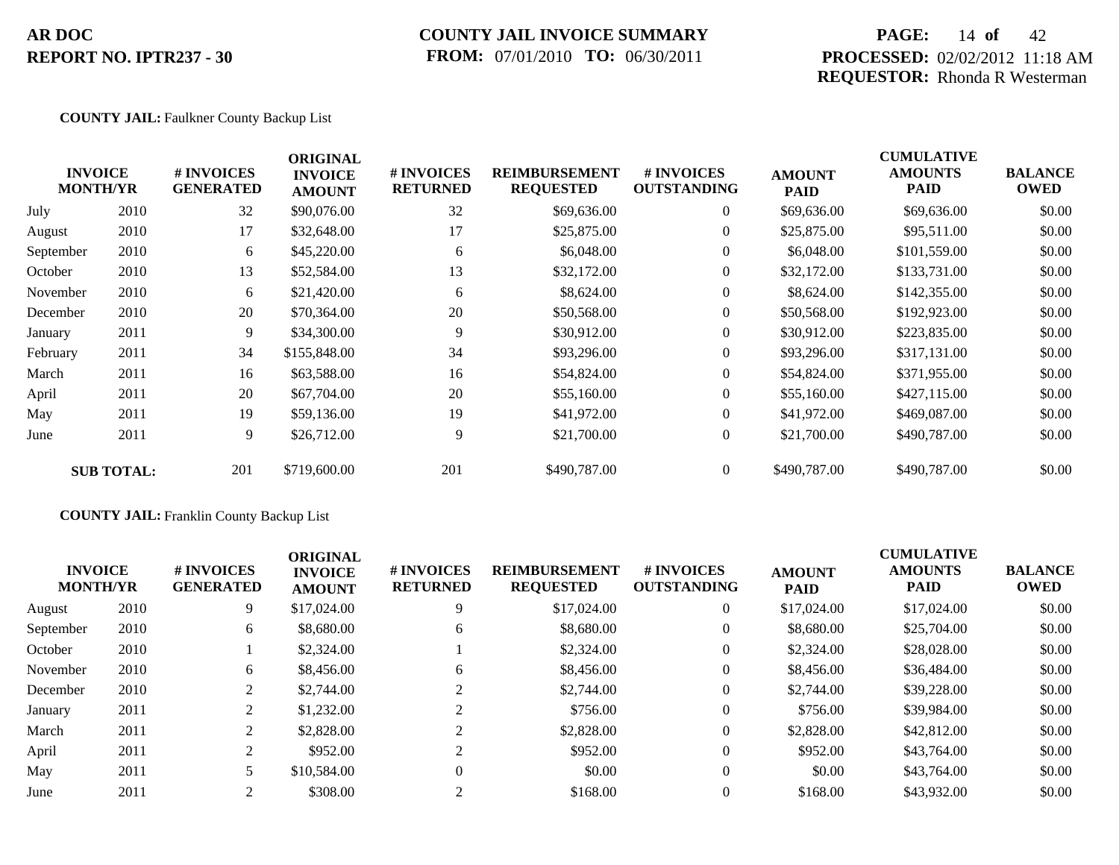## **COUNTY JAIL INVOICE SUMMARY FROM:** 07/01/2010 **TO:** 06/30/2011

## **PAGE:** 14 **of** 42 **PROCESSED:** 02/02/2012 11:18 AM **REQUESTOR:** Rhonda R Westerman

#### **COUNTY JAIL:** Faulkner County Backup List

|           | <b>INVOICE</b><br><b>MONTH/YR</b> | # INVOICES<br><b>GENERATED</b> | <b>ORIGINAL</b><br><b>INVOICE</b><br><b>AMOUNT</b> | # INVOICES<br><b>RETURNED</b> | <b>REIMBURSEMENT</b><br><b>REQUESTED</b> | <b># INVOICES</b><br><b>OUTSTANDING</b> | <b>AMOUNT</b><br><b>PAID</b> | <b>CUMULATIVE</b><br><b>AMOUNTS</b><br><b>PAID</b> | <b>BALANCE</b><br><b>OWED</b> |
|-----------|-----------------------------------|--------------------------------|----------------------------------------------------|-------------------------------|------------------------------------------|-----------------------------------------|------------------------------|----------------------------------------------------|-------------------------------|
| July      | 2010                              | 32                             | \$90,076.00                                        | 32                            | \$69,636.00                              | $\overline{0}$                          | \$69,636.00                  | \$69,636.00                                        | \$0.00                        |
| August    | 2010                              | 17                             | \$32,648.00                                        | 17                            | \$25,875.00                              | $\overline{0}$                          | \$25,875.00                  | \$95,511.00                                        | \$0.00                        |
| September | 2010                              | 6                              | \$45,220.00                                        | 6                             | \$6,048.00                               | $\overline{0}$                          | \$6,048.00                   | \$101,559.00                                       | \$0.00                        |
| October   | 2010                              | 13                             | \$52,584.00                                        | 13                            | \$32,172.00                              | $\overline{0}$                          | \$32,172.00                  | \$133,731.00                                       | \$0.00                        |
| November  | 2010                              | 6                              | \$21,420.00                                        | 6                             | \$8,624.00                               | $\overline{0}$                          | \$8,624.00                   | \$142,355.00                                       | \$0.00                        |
| December  | 2010                              | 20                             | \$70,364.00                                        | 20                            | \$50,568.00                              | $\overline{0}$                          | \$50,568.00                  | \$192,923.00                                       | \$0.00                        |
| January   | 2011                              | 9                              | \$34,300.00                                        | 9                             | \$30,912.00                              | $\theta$                                | \$30,912.00                  | \$223,835.00                                       | \$0.00                        |
| February  | 2011                              | 34                             | \$155,848.00                                       | 34                            | \$93,296.00                              | $\overline{0}$                          | \$93,296.00                  | \$317,131.00                                       | \$0.00                        |
| March     | 2011                              | 16                             | \$63,588.00                                        | 16                            | \$54,824.00                              | $\overline{0}$                          | \$54,824.00                  | \$371,955.00                                       | \$0.00                        |
| April     | 2011                              | 20                             | \$67,704.00                                        | 20                            | \$55,160.00                              | $\overline{0}$                          | \$55,160.00                  | \$427,115.00                                       | \$0.00                        |
| May       | 2011                              | 19                             | \$59,136.00                                        | 19                            | \$41,972.00                              | $\overline{0}$                          | \$41,972.00                  | \$469,087.00                                       | \$0.00                        |
| June      | 2011                              | 9                              | \$26,712.00                                        | 9                             | \$21,700.00                              | $\overline{0}$                          | \$21,700.00                  | \$490,787.00                                       | \$0.00                        |
|           | <b>SUB TOTAL:</b>                 | 201                            | \$719,600.00                                       | 201                           | \$490,787.00                             | $\overline{0}$                          | \$490,787.00                 | \$490,787.00                                       | \$0.00                        |

### **COUNTY JAIL:** Franklin County Backup List

| <b>INVOICE</b><br><b>MONTH/YR</b> |      | # INVOICES<br><b>GENERATED</b> | <b>ORIGINAL</b><br><b>INVOICE</b><br><b>AMOUNT</b> | # INVOICES<br><b>RETURNED</b> | <b>REIMBURSEMENT</b><br><b>REQUESTED</b> | <b>#INVOICES</b><br><b>OUTSTANDING</b> | <b>AMOUNT</b><br><b>PAID</b> | <b>CUMULATIVE</b><br><b>AMOUNTS</b><br><b>PAID</b> | <b>BALANCE</b><br><b>OWED</b> |
|-----------------------------------|------|--------------------------------|----------------------------------------------------|-------------------------------|------------------------------------------|----------------------------------------|------------------------------|----------------------------------------------------|-------------------------------|
| August                            | 2010 | 9                              | \$17,024.00                                        |                               | \$17,024.00                              | $\overline{0}$                         | \$17,024.00                  | \$17,024.00                                        | \$0.00                        |
| September                         | 2010 | 6                              | \$8,680.00                                         | 6                             | \$8,680.00                               | $\overline{0}$                         | \$8,680.00                   | \$25,704.00                                        | \$0.00                        |
| October                           | 2010 |                                | \$2,324.00                                         |                               | \$2,324.00                               | $\overline{0}$                         | \$2,324.00                   | \$28,028,00                                        | \$0.00                        |
| November                          | 2010 | 6                              | \$8,456.00                                         | 6                             | \$8,456.00                               | $\overline{0}$                         | \$8,456.00                   | \$36,484.00                                        | \$0.00                        |
| December                          | 2010 | 2                              | \$2,744.00                                         |                               | \$2,744.00                               | $\overline{0}$                         | \$2,744.00                   | \$39,228,00                                        | \$0.00                        |
| January                           | 2011 | 2                              | \$1,232.00                                         |                               | \$756.00                                 | $\overline{0}$                         | \$756.00                     | \$39,984.00                                        | \$0.00                        |
| March                             | 2011 | $\overline{2}$                 | \$2,828.00                                         |                               | \$2,828.00                               | $\overline{0}$                         | \$2,828.00                   | \$42,812.00                                        | \$0.00                        |
| April                             | 2011 | 2                              | \$952.00                                           |                               | \$952.00                                 | $\overline{0}$                         | \$952.00                     | \$43,764.00                                        | \$0.00                        |
| May                               | 2011 | 5                              | \$10,584.00                                        |                               | \$0.00                                   | $\overline{0}$                         | \$0.00                       | \$43,764.00                                        | \$0.00                        |
| June                              | 2011 | 2                              | \$308.00                                           |                               | \$168.00                                 | $\Omega$                               | \$168.00                     | \$43,932.00                                        | \$0.00                        |
|                                   |      |                                |                                                    |                               |                                          |                                        |                              |                                                    |                               |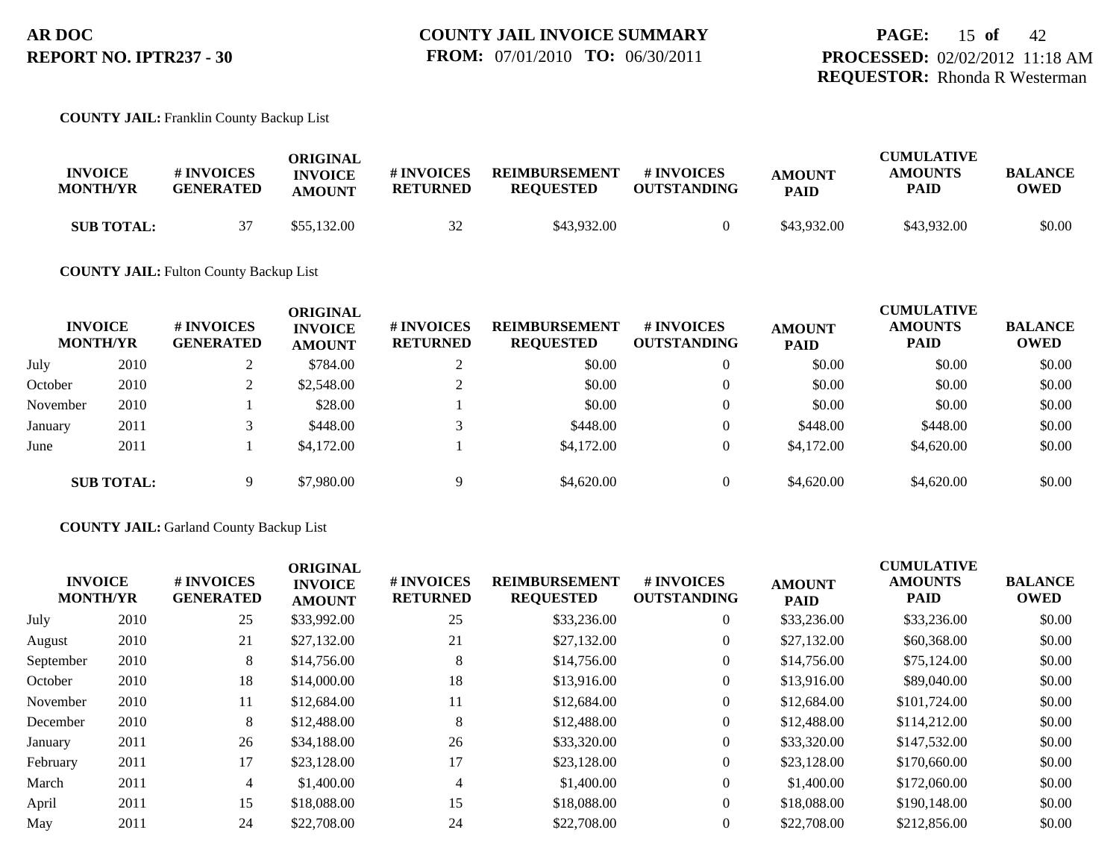#### **COUNTY JAIL:** Franklin County Backup List

| <b>INVOICE</b><br><b>MONTH/YR</b> | <b># INVOICES</b><br><b>GENERATED</b> | ORIGINAL<br><b>INVOICE</b><br><b>AMOUNT</b> | # INVOICES<br><b>RETURNED</b> | <b>REIMBURSEMENT</b><br><b>REOUESTED</b> | # INVOICES<br><b>OUTSTANDING</b> | <b>AMOUNT</b><br><b>PAID</b> | <b>CUMULATIVE</b><br><b>AMOUNTS</b><br><b>PAID</b> | <b>BALANCE</b><br><b>OWED</b> |
|-----------------------------------|---------------------------------------|---------------------------------------------|-------------------------------|------------------------------------------|----------------------------------|------------------------------|----------------------------------------------------|-------------------------------|
| <b>SUB TOTAL:</b>                 | 37                                    | \$55,132.00                                 | 32                            | \$43,932.00                              |                                  | \$43,932.00                  | \$43,932.00                                        | \$0.00                        |

#### **COUNTY JAIL:** Fulton County Backup List

| <b>INVOICE</b><br><b>MONTH/YR</b> |                   | # INVOICES<br><b>GENERATED</b> | ORIGINAL<br><b>INVOICE</b><br><b>AMOUNT</b> | # INVOICES<br><b>RETURNED</b> | <b>REIMBURSEMENT</b><br><b>REQUESTED</b> | # INVOICES<br><b>OUTSTANDING</b> | <b>AMOUNT</b><br><b>PAID</b> | <b>CUMULATIVE</b><br><b>AMOUNTS</b><br><b>PAID</b> | <b>BALANCE</b><br><b>OWED</b> |
|-----------------------------------|-------------------|--------------------------------|---------------------------------------------|-------------------------------|------------------------------------------|----------------------------------|------------------------------|----------------------------------------------------|-------------------------------|
| July                              | 2010              |                                | \$784.00                                    |                               | \$0.00                                   | $\theta$                         | \$0.00                       | \$0.00                                             | \$0.00                        |
| October                           | 2010              | $\mathcal{L}$                  | \$2,548.00                                  |                               | \$0.00                                   | $\theta$                         | \$0.00                       | \$0.00                                             | \$0.00                        |
| November                          | 2010              |                                | \$28.00                                     |                               | \$0.00                                   | $\theta$                         | \$0.00                       | \$0.00                                             | \$0.00                        |
| January                           | 2011              |                                | \$448.00                                    | $\sqrt{2}$                    | \$448.00                                 | $\overline{0}$                   | \$448.00                     | \$448.00                                           | \$0.00                        |
| June                              | 2011              |                                | \$4,172,00                                  |                               | \$4,172.00                               | $\theta$                         | \$4,172.00                   | \$4,620.00                                         | \$0.00                        |
|                                   | <b>SUB TOTAL:</b> | Q                              | \$7,980.00                                  | Q                             | \$4,620.00                               | $\theta$                         | \$4,620.00                   | \$4,620.00                                         | \$0.00                        |

#### **COUNTY JAIL:** Garland County Backup List

| <b>INVOICE</b><br><b>MONTH/YR</b> |      | # INVOICES<br><b>GENERATED</b> | <b>ORIGINAL</b><br><b>INVOICE</b><br><b>AMOUNT</b> | # INVOICES<br><b>RETURNED</b> | <b>REIMBURSEMENT</b><br><b>REQUESTED</b> | # INVOICES<br><b>OUTSTANDING</b> | <b>AMOUNT</b><br><b>PAID</b> | <b>CUMULATIVE</b><br><b>AMOUNTS</b><br><b>PAID</b> | <b>BALANCE</b><br><b>OWED</b> |
|-----------------------------------|------|--------------------------------|----------------------------------------------------|-------------------------------|------------------------------------------|----------------------------------|------------------------------|----------------------------------------------------|-------------------------------|
| July                              | 2010 | 25                             | \$33,992.00                                        | 25                            | \$33,236.00                              | $\overline{0}$                   | \$33,236.00                  | \$33,236.00                                        | \$0.00                        |
| August                            | 2010 | 21                             | \$27,132.00                                        | 21                            | \$27,132.00                              | $\overline{0}$                   | \$27,132.00                  | \$60,368.00                                        | \$0.00                        |
| September                         | 2010 | 8                              | \$14,756.00                                        | 8                             | \$14,756.00                              | $\overline{0}$                   | \$14,756.00                  | \$75,124.00                                        | \$0.00                        |
| October                           | 2010 | 18                             | \$14,000.00                                        | 18                            | \$13,916.00                              | $\overline{0}$                   | \$13,916.00                  | \$89,040.00                                        | \$0.00                        |
| November                          | 2010 | 11                             | \$12,684.00                                        | 11                            | \$12,684.00                              | $\overline{0}$                   | \$12,684.00                  | \$101,724.00                                       | \$0.00                        |
| December                          | 2010 | 8                              | \$12,488.00                                        | 8                             | \$12,488.00                              | $\overline{0}$                   | \$12,488.00                  | \$114,212.00                                       | \$0.00                        |
| January                           | 2011 | 26                             | \$34,188.00                                        | 26                            | \$33,320.00                              | $\overline{0}$                   | \$33,320.00                  | \$147,532.00                                       | \$0.00                        |
| February                          | 2011 | 17                             | \$23,128.00                                        | 17                            | \$23,128.00                              | $\overline{0}$                   | \$23,128.00                  | \$170,660.00                                       | \$0.00                        |
| March                             | 2011 | 4                              | \$1,400.00                                         | $\overline{4}$                | \$1,400.00                               | $\overline{0}$                   | \$1,400.00                   | \$172,060.00                                       | \$0.00                        |
| April                             | 2011 | 15                             | \$18,088.00                                        | 15                            | \$18,088,00                              | $\overline{0}$                   | \$18,088,00                  | \$190,148.00                                       | \$0.00                        |
| May                               | 2011 | 24                             | \$22,708.00                                        | 24                            | \$22,708.00                              | $\overline{0}$                   | \$22,708.00                  | \$212,856.00                                       | \$0.00                        |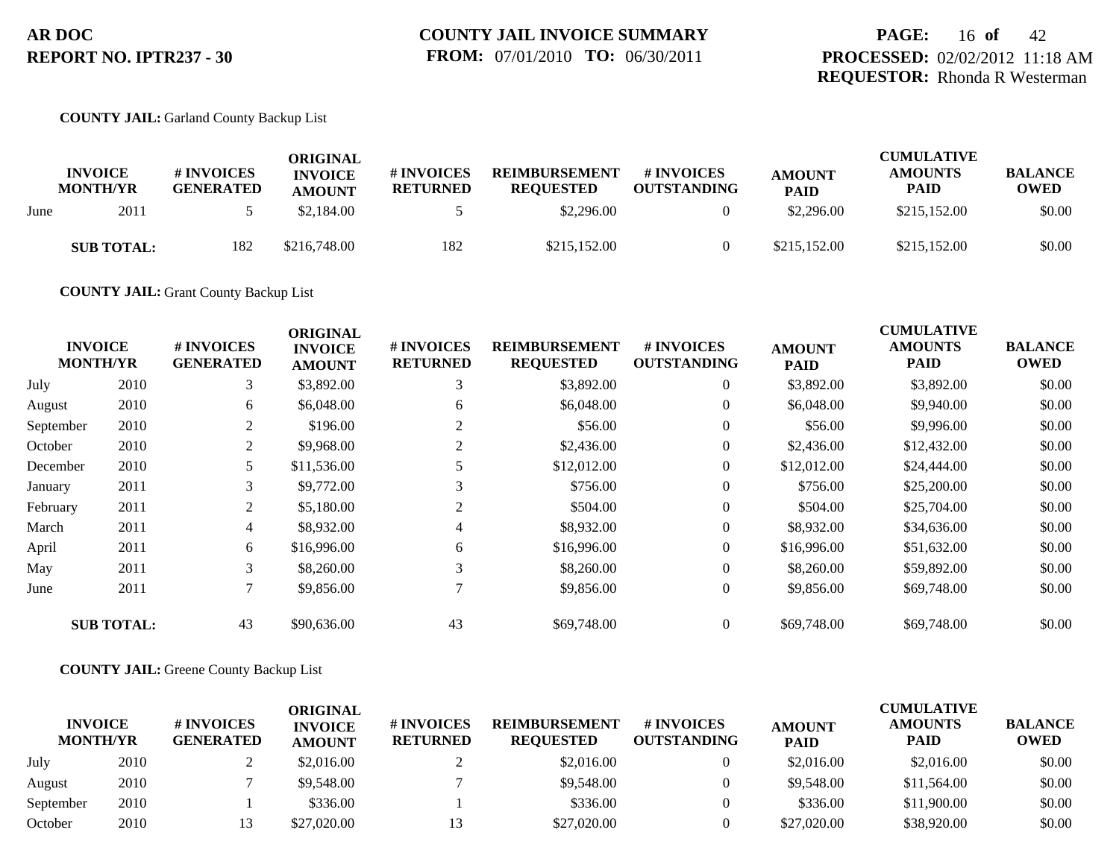#### **COUNTY JAIL:** Garland County Backup List

|      | <b>INVOICE</b><br><b>MONTH/YR</b> | # INVOICES<br><b>GENERATED</b> | ORIGINAL<br><b>INVOICE</b><br><b>AMOUNT</b> | # INVOICES<br><b>RETURNED</b> | <b>REIMBURSEMENT</b><br><b>REQUESTED</b> | # INVOICES<br><b>OUTSTANDING</b> | <b>AMOUNT</b><br><b>PAID</b> | <b>CUMULATIVE</b><br><b>AMOUNTS</b><br><b>PAID</b> | <b>BALANCE</b><br><b>OWED</b> |
|------|-----------------------------------|--------------------------------|---------------------------------------------|-------------------------------|------------------------------------------|----------------------------------|------------------------------|----------------------------------------------------|-------------------------------|
| June | 2011                              |                                | \$2,184.00                                  |                               | \$2,296.00                               |                                  | \$2,296.00                   | \$215,152.00                                       | \$0.00                        |
|      | <b>SUB TOTAL:</b>                 | 182                            | \$216,748.00                                | 182                           | \$215,152.00                             |                                  | \$215,152.00                 | \$215,152.00                                       | \$0.00                        |

**COUNTY JAIL:** Grant County Backup List

|           |                                   |                                | <b>ORIGINAL</b>                 |                                     |                                          |                                  |                              | <b>CUMULATIVE</b>             |                               |
|-----------|-----------------------------------|--------------------------------|---------------------------------|-------------------------------------|------------------------------------------|----------------------------------|------------------------------|-------------------------------|-------------------------------|
|           | <b>INVOICE</b><br><b>MONTH/YR</b> | # INVOICES<br><b>GENERATED</b> | <b>INVOICE</b><br><b>AMOUNT</b> | <b>#INVOICES</b><br><b>RETURNED</b> | <b>REIMBURSEMENT</b><br><b>REQUESTED</b> | # INVOICES<br><b>OUTSTANDING</b> | <b>AMOUNT</b><br><b>PAID</b> | <b>AMOUNTS</b><br><b>PAID</b> | <b>BALANCE</b><br><b>OWED</b> |
| July      | 2010                              | 3                              | \$3,892.00                      | 3                                   | \$3,892.00                               | $\overline{0}$                   | \$3,892.00                   | \$3,892.00                    | \$0.00                        |
| August    | 2010                              | 6                              | \$6,048.00                      | 6                                   | \$6,048.00                               | $\overline{0}$                   | \$6,048.00                   | \$9,940.00                    | \$0.00                        |
| September | 2010                              | 2                              | \$196.00                        | 2                                   | \$56.00                                  | $\overline{0}$                   | \$56.00                      | \$9,996.00                    | \$0.00                        |
| October   | 2010                              | 2                              | \$9,968.00                      | 2                                   | \$2,436.00                               | $\overline{0}$                   | \$2,436.00                   | \$12,432.00                   | \$0.00                        |
| December  | 2010                              | 5.                             | \$11,536.00                     |                                     | \$12,012.00                              | $\overline{0}$                   | \$12,012.00                  | \$24,444.00                   | \$0.00                        |
| January   | 2011                              | 3                              | \$9,772.00                      | 3                                   | \$756.00                                 | $\overline{0}$                   | \$756.00                     | \$25,200.00                   | \$0.00                        |
| February  | 2011                              | 2                              | \$5,180.00                      | 2                                   | \$504.00                                 | $\overline{0}$                   | \$504.00                     | \$25,704.00                   | \$0.00                        |
| March     | 2011                              | $\overline{4}$                 | \$8,932.00                      | 4                                   | \$8,932.00                               | $\overline{0}$                   | \$8,932.00                   | \$34,636.00                   | \$0.00                        |
| April     | 2011                              | 6                              | \$16,996.00                     | 6                                   | \$16,996.00                              | $\overline{0}$                   | \$16,996.00                  | \$51,632.00                   | \$0.00                        |
| May       | 2011                              | 3                              | \$8,260.00                      | 3                                   | \$8,260.00                               | $\overline{0}$                   | \$8,260.00                   | \$59,892.00                   | \$0.00                        |
| June      | 2011                              |                                | \$9,856.00                      |                                     | \$9,856.00                               | $\mathbf{0}$                     | \$9,856.00                   | \$69,748.00                   | \$0.00                        |
|           | <b>SUB TOTAL:</b>                 | 43                             | \$90,636.00                     | 43                                  | \$69,748.00                              | $\overline{0}$                   | \$69,748.00                  | \$69,748.00                   | \$0.00                        |

#### **COUNTY JAIL:** Greene County Backup List

|                                   |      |                                | ORIGINAL                        |                                      |                                          |                                         |                              | <b>CUMULATIVE</b>             |                               |
|-----------------------------------|------|--------------------------------|---------------------------------|--------------------------------------|------------------------------------------|-----------------------------------------|------------------------------|-------------------------------|-------------------------------|
| <b>INVOICE</b><br><b>MONTH/YR</b> |      | # INVOICES<br><b>GENERATED</b> | <b>INVOICE</b><br><b>AMOUNT</b> | <b># INVOICES</b><br><b>RETURNED</b> | <b>REIMBURSEMENT</b><br><b>REOUESTED</b> | <b># INVOICES</b><br><b>OUTSTANDING</b> | <b>AMOUNT</b><br><b>PAID</b> | <b>AMOUNTS</b><br><b>PAID</b> | <b>BALANCE</b><br><b>OWED</b> |
| July                              | 2010 |                                | \$2,016.00                      |                                      | \$2,016.00                               |                                         | \$2,016.00                   | \$2,016.00                    | \$0.00                        |
| August                            | 2010 |                                | \$9,548.00                      |                                      | \$9,548.00                               |                                         | \$9,548.00                   | \$11,564.00                   | \$0.00                        |
| September                         | 2010 |                                | \$336.00                        |                                      | \$336.00                                 |                                         | \$336.00                     | \$11,900.00                   | \$0.00                        |
| October                           | 2010 |                                | \$27,020.00                     |                                      | \$27,020.00                              |                                         | \$27,020.00                  | \$38,920.00                   | \$0.00                        |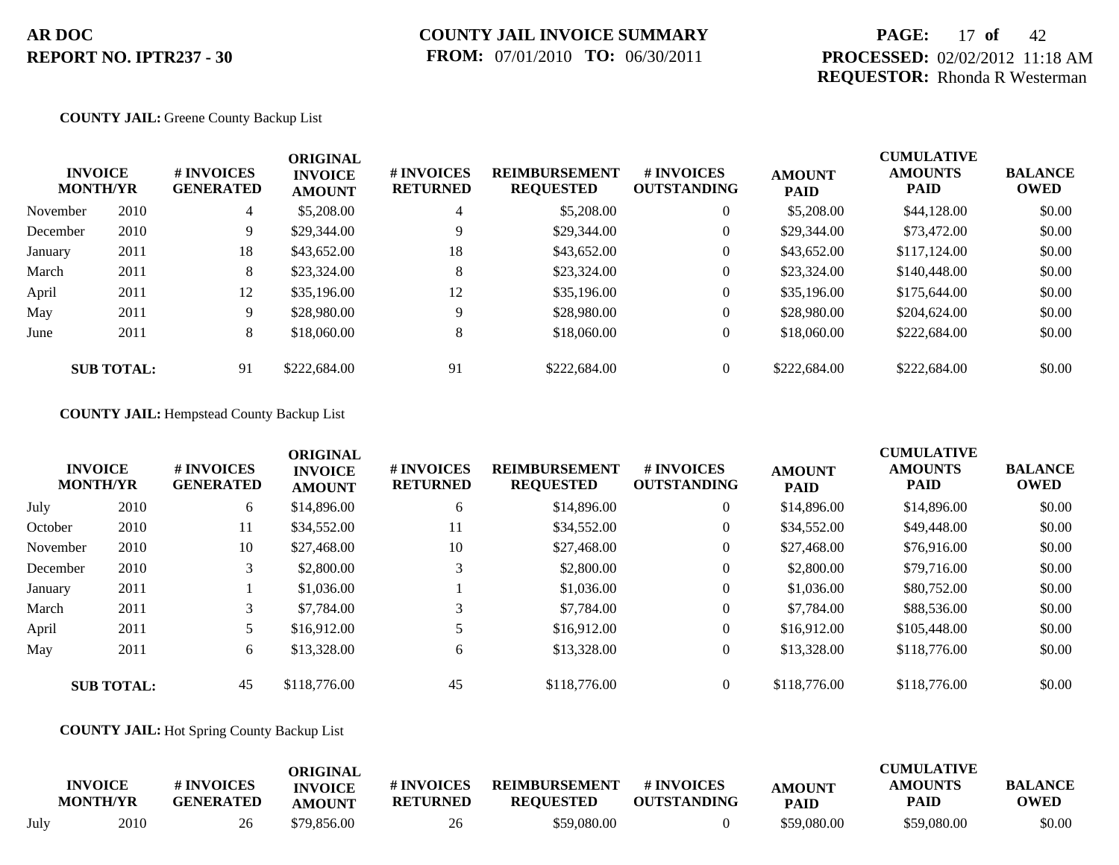## **PAGE:** 17 **of** 42 **PROCESSED:** 02/02/2012 11:18 AM **REQUESTOR:** Rhonda R Westerman

#### **COUNTY JAIL:** Greene County Backup List

|          | <b>INVOICE</b><br><b>MONTH/YR</b> | # INVOICES<br><b>GENERATED</b> | <b>ORIGINAL</b><br><b>INVOICE</b><br><b>AMOUNT</b> | # INVOICES<br><b>RETURNED</b> | <b>REIMBURSEMENT</b><br><b>REQUESTED</b> | <b>#INVOICES</b><br><b>OUTSTANDING</b> | <b>AMOUNT</b><br><b>PAID</b> | <b>CUMULATIVE</b><br><b>AMOUNTS</b><br><b>PAID</b> | <b>BALANCE</b><br><b>OWED</b> |
|----------|-----------------------------------|--------------------------------|----------------------------------------------------|-------------------------------|------------------------------------------|----------------------------------------|------------------------------|----------------------------------------------------|-------------------------------|
| November | 2010                              | $\overline{4}$                 | \$5,208.00                                         | 4                             | \$5,208.00                               | $\overline{0}$                         | \$5,208.00                   | \$44,128.00                                        | \$0.00                        |
| December | 2010                              | 9                              | \$29,344.00                                        | 9                             | \$29,344.00                              | $\overline{0}$                         | \$29,344.00                  | \$73,472.00                                        | \$0.00                        |
| January  | 2011                              | 18                             | \$43,652.00                                        | 18                            | \$43,652.00                              | $\overline{0}$                         | \$43,652.00                  | \$117,124,00                                       | \$0.00                        |
| March    | 2011                              | 8                              | \$23,324.00                                        | 8                             | \$23,324.00                              | $\overline{0}$                         | \$23,324.00                  | \$140,448.00                                       | \$0.00                        |
| April    | 2011                              | 12                             | \$35,196.00                                        | 12                            | \$35,196.00                              | $\overline{0}$                         | \$35,196.00                  | \$175,644.00                                       | \$0.00                        |
| May      | 2011                              | 9                              | \$28,980.00                                        | 9                             | \$28,980.00                              | $\boldsymbol{0}$                       | \$28,980.00                  | \$204,624.00                                       | \$0.00                        |
| June     | 2011                              | 8                              | \$18,060.00                                        | 8                             | \$18,060.00                              | $\overline{0}$                         | \$18,060.00                  | \$222,684.00                                       | \$0.00                        |
|          | <b>SUB TOTAL:</b>                 | 91                             | \$222,684.00                                       | 91                            | \$222,684.00                             | $\overline{0}$                         | \$222,684.00                 | \$222,684.00                                       | \$0.00                        |

**COUNTY JAIL:** Hempstead County Backup List

|          | <b>INVOICE</b><br><b>MONTH/YR</b> | # INVOICES<br><b>GENERATED</b> | <b>ORIGINAL</b><br><b>INVOICE</b><br><b>AMOUNT</b> | # INVOICES<br><b>RETURNED</b> | <b>REIMBURSEMENT</b><br><b>REQUESTED</b> | <b>#INVOICES</b><br><b>OUTSTANDING</b> | <b>AMOUNT</b><br><b>PAID</b> | <b>CUMULATIVE</b><br><b>AMOUNTS</b><br><b>PAID</b> | <b>BALANCE</b><br><b>OWED</b> |
|----------|-----------------------------------|--------------------------------|----------------------------------------------------|-------------------------------|------------------------------------------|----------------------------------------|------------------------------|----------------------------------------------------|-------------------------------|
| July     | 2010                              | 6                              | \$14,896.00                                        | 6                             | \$14,896.00                              | $\overline{0}$                         | \$14,896.00                  | \$14,896.00                                        | \$0.00                        |
| October  | 2010                              | 11                             | \$34,552.00                                        | 11                            | \$34,552.00                              | $\overline{0}$                         | \$34,552.00                  | \$49,448.00                                        | \$0.00                        |
| November | 2010                              | 10                             | \$27,468.00                                        | 10                            | \$27,468.00                              | $\overline{0}$                         | \$27,468.00                  | \$76,916.00                                        | \$0.00                        |
| December | 2010                              | 3                              | \$2,800.00                                         | 3                             | \$2,800.00                               | $\overline{0}$                         | \$2,800.00                   | \$79,716.00                                        | \$0.00                        |
| January  | 2011                              |                                | \$1,036.00                                         |                               | \$1,036.00                               | $\overline{0}$                         | \$1,036.00                   | \$80,752.00                                        | \$0.00                        |
| March    | 2011                              | 3                              | \$7,784.00                                         | 3                             | \$7,784.00                               | $\overline{0}$                         | \$7,784.00                   | \$88,536.00                                        | \$0.00                        |
| April    | 2011                              | 5                              | \$16,912.00                                        |                               | \$16,912.00                              | $\overline{0}$                         | \$16,912.00                  | \$105,448.00                                       | \$0.00                        |
| May      | 2011                              | 6                              | \$13,328.00                                        | 6                             | \$13,328.00                              | $\overline{0}$                         | \$13,328.00                  | \$118,776.00                                       | \$0.00                        |
|          | <b>SUB TOTAL:</b>                 | 45                             | \$118,776.00                                       | 45                            | \$118,776.00                             | $\Omega$                               | \$118,776.00                 | \$118,776.00                                       | \$0.00                        |

#### **COUNTY JAIL:** Hot Spring County Backup List

|      | <b>INVOICE</b><br><b>MONTH/YR</b> | # INVOICES<br><b>GENERATED</b> | ORIGINAL<br><b>INVOICE</b><br><b>AMOUNT</b> | # INVOICES<br><b>RETURNED</b> | <b>REIMBURSEMENT</b><br><b>REQUESTED</b> | # INVOICES<br><b>OUTSTANDING</b> | <b>AMOUNT</b><br><b>PAID</b> | <b>CUMULATIVE</b><br><b>AMOUNTS</b><br>PAID | <b>BALANCE</b><br>OWED |
|------|-----------------------------------|--------------------------------|---------------------------------------------|-------------------------------|------------------------------------------|----------------------------------|------------------------------|---------------------------------------------|------------------------|
| July | 2010                              | 26                             | \$79,856.00                                 | 26                            | \$59,080.00                              |                                  | \$59,080.00                  | \$59,080.00                                 | \$0.00                 |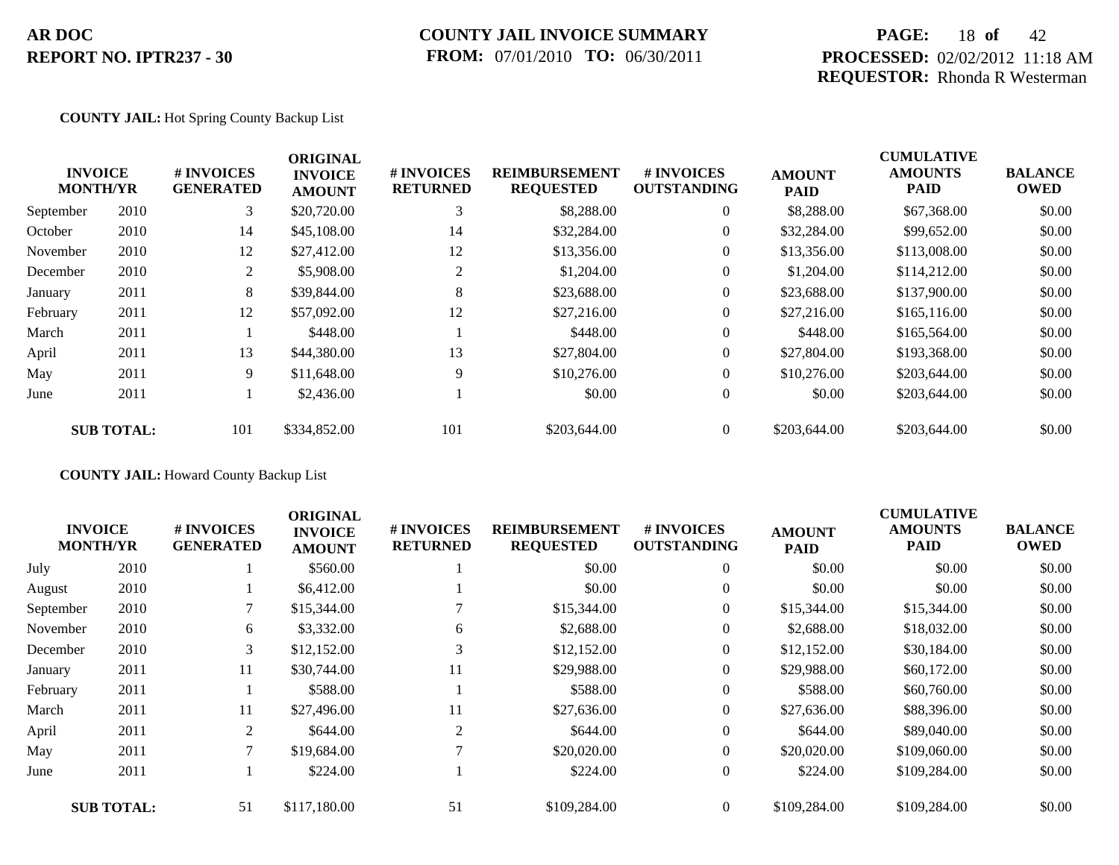### **COUNTY JAIL INVOICE SUMMARY FROM:** 07/01/2010 **TO:** 06/30/2011

## **PAGE:** 18 **of** 42 **PROCESSED:** 02/02/2012 11:18 AM **REQUESTOR:** Rhonda R Westerman

#### **COUNTY JAIL:** Hot Spring County Backup List

|           | <b>INVOICE</b>    | # INVOICES       | <b>ORIGINAL</b><br><b>INVOICE</b> | # INVOICES      | <b>REIMBURSEMENT</b> | # INVOICES         | <b>AMOUNT</b> | <b>CUMULATIVE</b><br><b>AMOUNTS</b> | <b>BALANCE</b> |
|-----------|-------------------|------------------|-----------------------------------|-----------------|----------------------|--------------------|---------------|-------------------------------------|----------------|
|           | <b>MONTH/YR</b>   | <b>GENERATED</b> | <b>AMOUNT</b>                     | <b>RETURNED</b> | <b>REQUESTED</b>     | <b>OUTSTANDING</b> | <b>PAID</b>   | PAID                                | <b>OWED</b>    |
| September | 2010              | 3                | \$20,720.00                       | 3               | \$8,288.00           | $\overline{0}$     | \$8,288.00    | \$67,368.00                         | \$0.00         |
| October   | 2010              | 14               | \$45,108.00                       | 14              | \$32,284.00          | $\overline{0}$     | \$32,284.00   | \$99,652.00                         | \$0.00         |
| November  | 2010              | 12               | \$27,412.00                       | 12              | \$13,356.00          | $\overline{0}$     | \$13,356.00   | \$113,008.00                        | \$0.00         |
| December  | 2010              | 2                | \$5,908.00                        |                 | \$1,204.00           | $\overline{0}$     | \$1,204.00    | \$114,212.00                        | \$0.00         |
| January   | 2011              | 8                | \$39,844.00                       | 8               | \$23,688.00          | $\overline{0}$     | \$23,688.00   | \$137,900.00                        | \$0.00         |
| February  | 2011              | 12               | \$57,092.00                       | 12              | \$27,216.00          | $\overline{0}$     | \$27,216.00   | \$165,116.00                        | \$0.00         |
| March     | 2011              |                  | \$448.00                          |                 | \$448.00             | $\overline{0}$     | \$448.00      | \$165,564.00                        | \$0.00         |
| April     | 2011              | 13               | \$44,380.00                       | 13              | \$27,804.00          | $\overline{0}$     | \$27,804.00   | \$193,368.00                        | \$0.00         |
| May       | 2011              | 9                | \$11,648.00                       | 9               | \$10,276.00          | $\overline{0}$     | \$10,276.00   | \$203,644.00                        | \$0.00         |
| June      | 2011              |                  | \$2,436.00                        |                 | \$0.00               | $\overline{0}$     | \$0.00        | \$203,644.00                        | \$0.00         |
|           | <b>SUB TOTAL:</b> | 101              | \$334,852.00                      | 101             | \$203,644.00         | $\Omega$           | \$203,644.00  | \$203,644.00                        | \$0.00         |

**COUNTY JAIL:** Howard County Backup List

|           |                                   |                                | <b>ORIGINAL</b>                 |                               |                                          |                                  |                              | <b>CUMULATIVE</b>             |                               |
|-----------|-----------------------------------|--------------------------------|---------------------------------|-------------------------------|------------------------------------------|----------------------------------|------------------------------|-------------------------------|-------------------------------|
|           | <b>INVOICE</b><br><b>MONTH/YR</b> | # INVOICES<br><b>GENERATED</b> | <b>INVOICE</b><br><b>AMOUNT</b> | # INVOICES<br><b>RETURNED</b> | <b>REIMBURSEMENT</b><br><b>REQUESTED</b> | # INVOICES<br><b>OUTSTANDING</b> | <b>AMOUNT</b><br><b>PAID</b> | <b>AMOUNTS</b><br><b>PAID</b> | <b>BALANCE</b><br><b>OWED</b> |
| July      | 2010                              |                                | \$560.00                        |                               | \$0.00                                   | $\overline{0}$                   | \$0.00                       | \$0.00                        | \$0.00                        |
| August    | 2010                              |                                | \$6,412.00                      |                               | \$0.00                                   | $\overline{0}$                   | \$0.00                       | \$0.00                        | \$0.00                        |
| September | 2010                              |                                | \$15,344.00                     |                               | \$15,344.00                              | $\overline{0}$                   | \$15,344.00                  | \$15,344.00                   | \$0.00                        |
| November  | 2010                              | 6                              | \$3,332.00                      | 6                             | \$2,688.00                               | $\overline{0}$                   | \$2,688.00                   | \$18,032.00                   | \$0.00                        |
| December  | 2010                              | 3                              | \$12,152.00                     | 3                             | \$12,152.00                              | $\overline{0}$                   | \$12,152.00                  | \$30,184.00                   | \$0.00                        |
| January   | 2011                              | 11                             | \$30,744.00                     | 11                            | \$29,988.00                              | $\overline{0}$                   | \$29,988.00                  | \$60,172.00                   | \$0.00                        |
| February  | 2011                              |                                | \$588.00                        |                               | \$588.00                                 | $\overline{0}$                   | \$588.00                     | \$60,760.00                   | \$0.00                        |
| March     | 2011                              | 11                             | \$27,496.00                     | 11                            | \$27,636.00                              | $\overline{0}$                   | \$27,636.00                  | \$88,396.00                   | \$0.00                        |
| April     | 2011                              | 2                              | \$644.00                        | $\overline{2}$                | \$644.00                                 | $\overline{0}$                   | \$644.00                     | \$89,040.00                   | \$0.00                        |
| May       | 2011                              | 7                              | \$19,684.00                     |                               | \$20,020.00                              | $\overline{0}$                   | \$20,020.00                  | \$109,060.00                  | \$0.00                        |
| June      | 2011                              |                                | \$224.00                        |                               | \$224.00                                 | $\overline{0}$                   | \$224.00                     | \$109,284.00                  | \$0.00                        |
|           | <b>SUB TOTAL:</b>                 | 51                             | \$117,180.00                    | 51                            | \$109,284.00                             | $\theta$                         | \$109,284.00                 | \$109,284.00                  | \$0.00                        |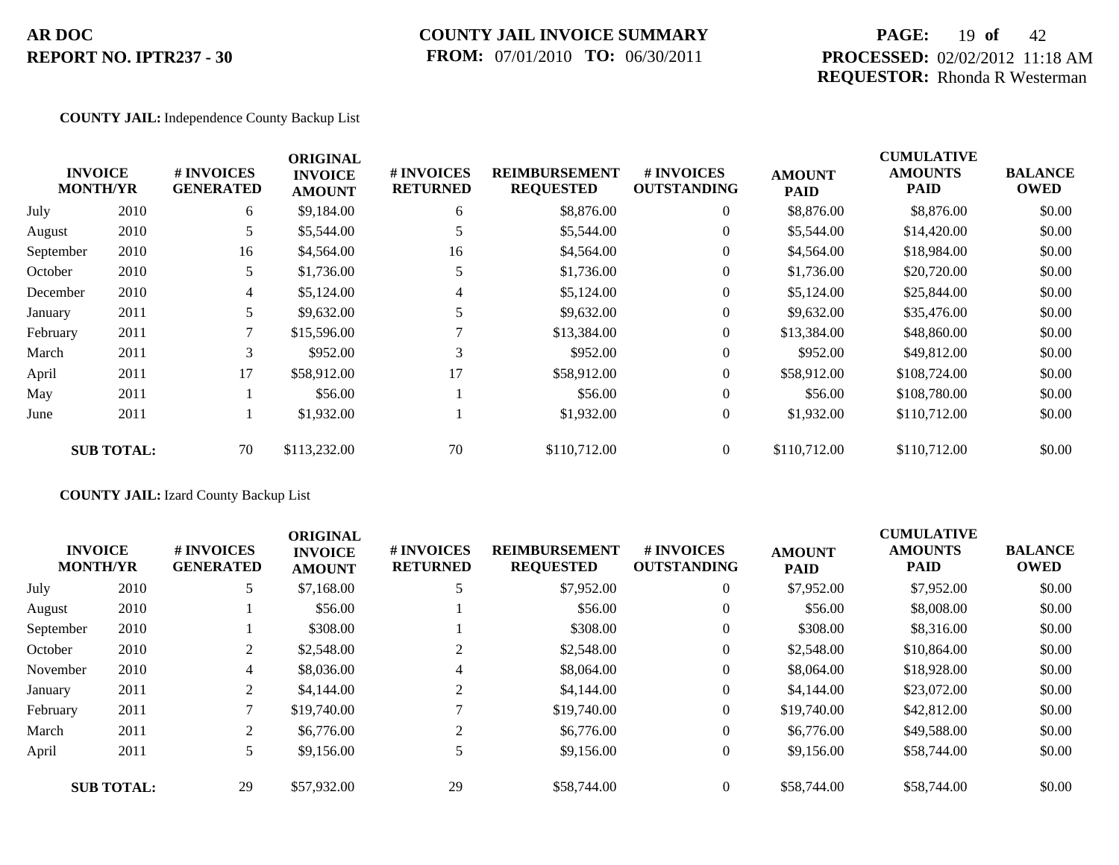## **COUNTY JAIL INVOICE SUMMARY FROM:** 07/01/2010 **TO:** 06/30/2011

## **PAGE:** 19 **of** 42 **PROCESSED:** 02/02/2012 11:18 AM **REQUESTOR:** Rhonda R Westerman

#### **COUNTY JAIL:** Independence County Backup List

|           |                                   |                                | <b>ORIGINAL</b>                 |                               |                                          |                                  |                              | <b>CUMULATIVE</b>             |                               |
|-----------|-----------------------------------|--------------------------------|---------------------------------|-------------------------------|------------------------------------------|----------------------------------|------------------------------|-------------------------------|-------------------------------|
|           | <b>INVOICE</b><br><b>MONTH/YR</b> | # INVOICES<br><b>GENERATED</b> | <b>INVOICE</b><br><b>AMOUNT</b> | # INVOICES<br><b>RETURNED</b> | <b>REIMBURSEMENT</b><br><b>REQUESTED</b> | # INVOICES<br><b>OUTSTANDING</b> | <b>AMOUNT</b><br><b>PAID</b> | <b>AMOUNTS</b><br><b>PAID</b> | <b>BALANCE</b><br><b>OWED</b> |
| July      | 2010                              | 6                              | \$9,184.00                      | 6                             | \$8,876.00                               | $\overline{0}$                   | \$8,876.00                   | \$8,876.00                    | \$0.00                        |
| August    | 2010                              | 5                              | \$5,544.00                      |                               | \$5,544.00                               | $\overline{0}$                   | \$5,544.00                   | \$14,420.00                   | \$0.00                        |
| September | 2010                              | 16                             | \$4,564.00                      | 16                            | \$4,564.00                               | $\overline{0}$                   | \$4,564.00                   | \$18,984.00                   | \$0.00                        |
| October   | 2010                              | 5.                             | \$1,736.00                      |                               | \$1,736.00                               | $\overline{0}$                   | \$1,736.00                   | \$20,720.00                   | \$0.00                        |
| December  | 2010                              | $\overline{4}$                 | \$5,124.00                      | 4                             | \$5,124.00                               | $\overline{0}$                   | \$5,124.00                   | \$25,844.00                   | \$0.00                        |
| January   | 2011                              |                                | \$9,632.00                      |                               | \$9,632.00                               | $\overline{0}$                   | \$9,632.00                   | \$35,476.00                   | \$0.00                        |
| February  | 2011                              |                                | \$15,596.00                     |                               | \$13,384.00                              | $\overline{0}$                   | \$13,384.00                  | \$48,860.00                   | \$0.00                        |
| March     | 2011                              | 3                              | \$952.00                        | 3                             | \$952.00                                 | $\overline{0}$                   | \$952.00                     | \$49,812.00                   | \$0.00                        |
| April     | 2011                              | 17                             | \$58,912.00                     | 17                            | \$58,912.00                              | $\overline{0}$                   | \$58,912.00                  | \$108,724.00                  | \$0.00                        |
| May       | 2011                              |                                | \$56.00                         |                               | \$56.00                                  | $\overline{0}$                   | \$56.00                      | \$108,780.00                  | \$0.00                        |
| June      | 2011                              |                                | \$1,932.00                      |                               | \$1,932.00                               | $\overline{0}$                   | \$1,932.00                   | \$110,712.00                  | \$0.00                        |
|           | <b>SUB TOTAL:</b>                 | 70                             | \$113,232.00                    | 70                            | \$110,712.00                             | $\overline{0}$                   | \$110,712.00                 | \$110,712.00                  | \$0.00                        |

### **COUNTY JAIL:** Izard County Backup List

|           | <b>INVOICE</b><br><b>MONTH/YR</b> | <b>#INVOICES</b><br><b>GENERATED</b> | <b>ORIGINAL</b><br><b>INVOICE</b><br><b>AMOUNT</b> | # INVOICES<br><b>RETURNED</b> | <b>REIMBURSEMENT</b><br><b>REQUESTED</b> | # INVOICES<br><b>OUTSTANDING</b> | <b>AMOUNT</b><br><b>PAID</b> | <b>CUMULATIVE</b><br><b>AMOUNTS</b><br><b>PAID</b> | <b>BALANCE</b><br><b>OWED</b> |
|-----------|-----------------------------------|--------------------------------------|----------------------------------------------------|-------------------------------|------------------------------------------|----------------------------------|------------------------------|----------------------------------------------------|-------------------------------|
| July      | 2010                              | 5                                    | \$7,168.00                                         | 5                             | \$7,952.00                               | $\overline{0}$                   | \$7,952.00                   | \$7,952.00                                         | \$0.00                        |
| August    | 2010                              |                                      | \$56.00                                            |                               | \$56.00                                  | $\theta$                         | \$56.00                      | \$8,008.00                                         | \$0.00                        |
| September | 2010                              |                                      | \$308.00                                           |                               | \$308.00                                 | $\theta$                         | \$308.00                     | \$8,316.00                                         | \$0.00                        |
| October   | 2010                              |                                      | \$2,548.00                                         | $\overline{2}$                | \$2,548.00                               | $\Omega$                         | \$2,548.00                   | \$10,864.00                                        | \$0.00                        |
| November  | 2010                              | 4                                    | \$8,036.00                                         | 4                             | \$8,064.00                               | $\theta$                         | \$8,064.00                   | \$18,928.00                                        | \$0.00                        |
| January   | 2011                              | 2                                    | \$4,144.00                                         | $\overline{2}$                | \$4,144.00                               | $\theta$                         | \$4,144.00                   | \$23,072.00                                        | \$0.00                        |
| February  | 2011                              |                                      | \$19,740.00                                        |                               | \$19,740.00                              | $\overline{0}$                   | \$19,740.00                  | \$42,812.00                                        | \$0.00                        |
| March     | 2011                              | $\overline{2}$                       | \$6,776.00                                         | 2                             | \$6,776.00                               | $\theta$                         | \$6,776.00                   | \$49,588.00                                        | \$0.00                        |
| April     | 2011                              | 5                                    | \$9,156.00                                         | 5                             | \$9.156.00                               | $\theta$                         | \$9,156.00                   | \$58,744.00                                        | \$0.00                        |
|           | <b>SUB TOTAL:</b>                 | 29                                   | \$57,932.00                                        | 29                            | \$58,744.00                              | $\theta$                         | \$58,744.00                  | \$58,744.00                                        | \$0.00                        |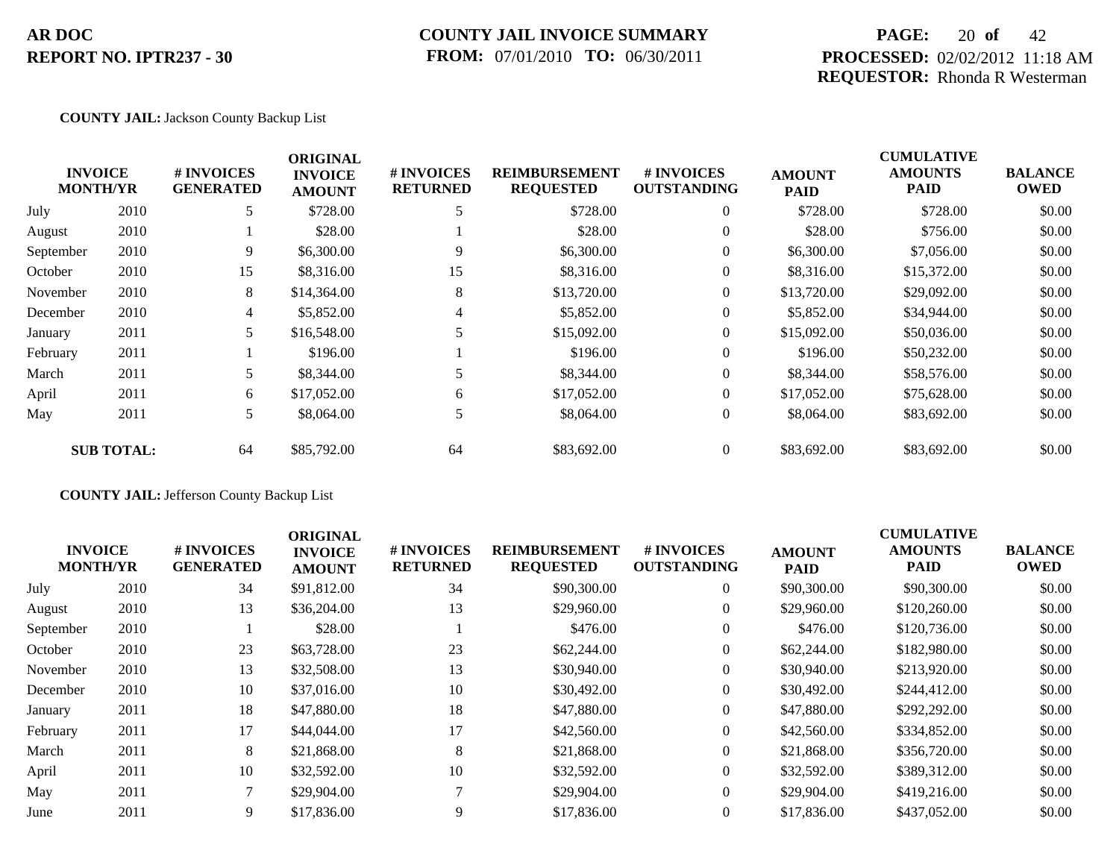## **COUNTY JAIL INVOICE SUMMARY FROM:** 07/01/2010 **TO:** 06/30/2011

## **PAGE:** 20 **of** 42 **PROCESSED:** 02/02/2012 11:18 AM **REQUESTOR:** Rhonda R Westerman

#### **COUNTY JAIL:** Jackson County Backup List

|           |                                   |                                | <b>ORIGINAL</b>                 |                               |                                          |                                  |                              | <b>CUMULATIVE</b>             |                               |
|-----------|-----------------------------------|--------------------------------|---------------------------------|-------------------------------|------------------------------------------|----------------------------------|------------------------------|-------------------------------|-------------------------------|
|           | <b>INVOICE</b><br><b>MONTH/YR</b> | # INVOICES<br><b>GENERATED</b> | <b>INVOICE</b><br><b>AMOUNT</b> | # INVOICES<br><b>RETURNED</b> | <b>REIMBURSEMENT</b><br><b>REQUESTED</b> | # INVOICES<br><b>OUTSTANDING</b> | <b>AMOUNT</b><br><b>PAID</b> | <b>AMOUNTS</b><br><b>PAID</b> | <b>BALANCE</b><br><b>OWED</b> |
| July      | 2010                              | 5                              | \$728.00                        |                               | \$728.00                                 | $\overline{0}$                   | \$728.00                     | \$728.00                      | \$0.00                        |
| August    | 2010                              |                                | \$28.00                         |                               | \$28.00                                  | $\overline{0}$                   | \$28.00                      | \$756.00                      | \$0.00                        |
| September | 2010                              | 9                              | \$6,300.00                      | 9                             | \$6,300.00                               | $\overline{0}$                   | \$6,300.00                   | \$7,056.00                    | \$0.00                        |
| October   | 2010                              | 15                             | \$8,316.00                      | 15                            | \$8,316.00                               | $\overline{0}$                   | \$8,316.00                   | \$15,372.00                   | \$0.00                        |
| November  | 2010                              | 8                              | \$14,364.00                     | 8                             | \$13,720.00                              | $\overline{0}$                   | \$13,720.00                  | \$29,092.00                   | \$0.00                        |
| December  | 2010                              | $\overline{4}$                 | \$5,852.00                      | 4                             | \$5,852.00                               | $\overline{0}$                   | \$5,852.00                   | \$34,944.00                   | \$0.00                        |
| January   | 2011                              | 5.                             | \$16,548.00                     |                               | \$15,092.00                              | $\overline{0}$                   | \$15,092.00                  | \$50,036.00                   | \$0.00                        |
| February  | 2011                              |                                | \$196.00                        |                               | \$196.00                                 | $\overline{0}$                   | \$196.00                     | \$50,232.00                   | \$0.00                        |
| March     | 2011                              | 5.                             | \$8,344.00                      | 5                             | \$8,344.00                               | $\overline{0}$                   | \$8,344.00                   | \$58,576.00                   | \$0.00                        |
| April     | 2011                              | 6                              | \$17,052.00                     | 6                             | \$17,052.00                              | $\overline{0}$                   | \$17,052.00                  | \$75,628.00                   | \$0.00                        |
| May       | 2011                              | 5                              | \$8,064.00                      | 5                             | \$8,064.00                               | $\overline{0}$                   | \$8,064.00                   | \$83,692.00                   | \$0.00                        |
|           | <b>SUB TOTAL:</b>                 | 64                             | \$85,792.00                     | 64                            | \$83,692.00                              | $\overline{0}$                   | \$83,692.00                  | \$83,692.00                   | \$0.00                        |

### **COUNTY JAIL:** Jefferson County Backup List

| <b>INVOICE</b><br><b>MONTH/YR</b> |      | # INVOICES<br><b>GENERATED</b> | <b>ORIGINAL</b><br><b>INVOICE</b><br><b>AMOUNT</b> | # INVOICES<br><b>RETURNED</b> | <b>REIMBURSEMENT</b><br><b>REQUESTED</b> | <b># INVOICES</b><br><b>OUTSTANDING</b> | <b>AMOUNT</b><br><b>PAID</b> | <b>CUMULATIVE</b><br><b>AMOUNTS</b><br><b>PAID</b> | <b>BALANCE</b><br><b>OWED</b> |
|-----------------------------------|------|--------------------------------|----------------------------------------------------|-------------------------------|------------------------------------------|-----------------------------------------|------------------------------|----------------------------------------------------|-------------------------------|
| July                              | 2010 | 34                             | \$91,812.00                                        | 34                            | \$90,300.00                              | $\overline{0}$                          | \$90,300.00                  | \$90,300.00                                        | \$0.00                        |
| August                            | 2010 | 13                             | \$36,204.00                                        | 13                            | \$29,960.00                              | $\mathbf{0}$                            | \$29,960.00                  | \$120,260.00                                       | \$0.00                        |
| September                         | 2010 |                                | \$28.00                                            |                               | \$476.00                                 | $\overline{0}$                          | \$476.00                     | \$120,736.00                                       | \$0.00                        |
| October                           | 2010 | 23                             | \$63,728.00                                        | 23                            | \$62,244.00                              | $\mathbf{0}$                            | \$62,244.00                  | \$182,980.00                                       | \$0.00                        |
| November                          | 2010 | 13                             | \$32,508.00                                        | 13                            | \$30,940.00                              | $\mathbf{0}$                            | \$30,940.00                  | \$213,920.00                                       | \$0.00                        |
| December                          | 2010 | 10                             | \$37,016.00                                        | 10                            | \$30,492.00                              | $\mathbf{0}$                            | \$30,492.00                  | \$244,412.00                                       | \$0.00                        |
| January                           | 2011 | 18                             | \$47,880.00                                        | 18                            | \$47,880.00                              | $\Omega$                                | \$47,880.00                  | \$292,292.00                                       | \$0.00                        |
| February                          | 2011 | 17                             | \$44,044.00                                        | 17                            | \$42,560.00                              | $\overline{0}$                          | \$42,560.00                  | \$334,852.00                                       | \$0.00                        |
| March                             | 2011 | 8                              | \$21,868.00                                        | 8                             | \$21,868.00                              | $\Omega$                                | \$21,868.00                  | \$356,720.00                                       | \$0.00                        |
| April                             | 2011 | 10                             | \$32,592.00                                        | 10                            | \$32,592.00                              | $\mathbf{0}$                            | \$32,592.00                  | \$389,312.00                                       | \$0.00                        |
| May                               | 2011 |                                | \$29,904.00                                        | $\mathcal{I}$                 | \$29,904.00                              | $\Omega$                                | \$29,904.00                  | \$419,216.00                                       | \$0.00                        |
| June                              | 2011 | 9                              | \$17,836.00                                        | 9                             | \$17,836.00                              | $\Omega$                                | \$17,836.00                  | \$437,052.00                                       | \$0.00                        |
|                                   |      |                                |                                                    |                               |                                          |                                         |                              |                                                    |                               |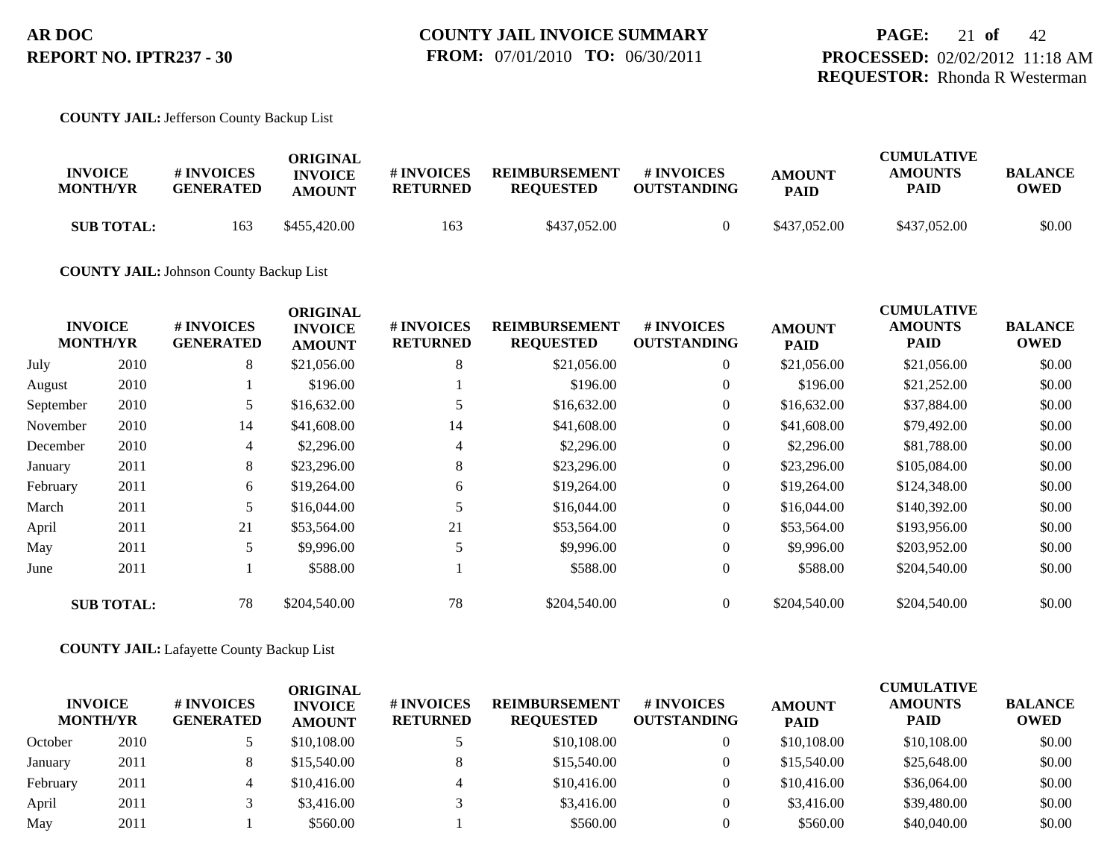#### **COUNTY JAIL:** Jefferson County Backup List

|                   |                  | ORIGINAL       |                 |                      |                    |               | <b>CUMULATIVE</b> |                |
|-------------------|------------------|----------------|-----------------|----------------------|--------------------|---------------|-------------------|----------------|
| <b>INVOICE</b>    | # INVOICES       | <b>INVOICE</b> | # INVOICES      | <b>REIMBURSEMENT</b> | # INVOICES         | <b>AMOUNT</b> | <b>AMOUNTS</b>    | <b>BALANCE</b> |
| <b>MONTH/YR</b>   | <b>GENERATED</b> | <b>AMOUNT</b>  | <b>RETURNED</b> | <b>REOUESTED</b>     | <b>OUTSTANDING</b> | <b>PAID</b>   | PAID              | <b>OWED</b>    |
| <b>SUB TOTAL:</b> | 163              | \$455,420.00   | 163             | \$437,052.00         |                    | \$437,052.00  | \$437,052.00      | \$0.00         |

**COUNTY JAIL:** Johnson County Backup List

|           |                                   |                                | <b>ORIGINAL</b>                 |                               |                                          |                                        |                              | <b>CUMULATIVE</b>      |                               |
|-----------|-----------------------------------|--------------------------------|---------------------------------|-------------------------------|------------------------------------------|----------------------------------------|------------------------------|------------------------|-------------------------------|
|           | <b>INVOICE</b><br><b>MONTH/YR</b> | # INVOICES<br><b>GENERATED</b> | <b>INVOICE</b><br><b>AMOUNT</b> | # INVOICES<br><b>RETURNED</b> | <b>REIMBURSEMENT</b><br><b>REQUESTED</b> | <b>#INVOICES</b><br><b>OUTSTANDING</b> | <b>AMOUNT</b><br><b>PAID</b> | <b>AMOUNTS</b><br>PAID | <b>BALANCE</b><br><b>OWED</b> |
| July      | 2010                              | 8                              | \$21,056.00                     | 8                             | \$21,056.00                              | $\overline{0}$                         | \$21,056.00                  | \$21,056.00            | \$0.00                        |
| August    | 2010                              |                                | \$196.00                        |                               | \$196.00                                 | $\overline{0}$                         | \$196.00                     | \$21,252.00            | \$0.00                        |
| September | 2010                              | 5                              | \$16,632.00                     |                               | \$16,632.00                              | $\overline{0}$                         | \$16,632.00                  | \$37,884.00            | \$0.00                        |
| November  | 2010                              | 14                             | \$41,608.00                     | 14                            | \$41,608.00                              | $\overline{0}$                         | \$41,608.00                  | \$79,492.00            | \$0.00                        |
| December  | 2010                              | 4                              | \$2,296.00                      | 4                             | \$2,296.00                               | $\overline{0}$                         | \$2,296.00                   | \$81,788.00            | \$0.00                        |
| January   | 2011                              | 8                              | \$23,296.00                     | 8                             | \$23,296.00                              | $\overline{0}$                         | \$23,296.00                  | \$105,084.00           | \$0.00                        |
| February  | 2011                              | 6                              | \$19,264.00                     | 6                             | \$19,264.00                              | $\overline{0}$                         | \$19,264.00                  | \$124,348.00           | \$0.00                        |
| March     | 2011                              | 5                              | \$16,044.00                     |                               | \$16,044.00                              | $\overline{0}$                         | \$16,044.00                  | \$140,392.00           | \$0.00                        |
| April     | 2011                              | 21                             | \$53,564.00                     | 21                            | \$53,564.00                              | $\overline{0}$                         | \$53,564.00                  | \$193,956.00           | \$0.00                        |
| May       | 2011                              | 5                              | \$9,996.00                      |                               | \$9,996.00                               | $\overline{0}$                         | \$9,996.00                   | \$203,952.00           | \$0.00                        |
| June      | 2011                              |                                | \$588.00                        |                               | \$588.00                                 | $\overline{0}$                         | \$588.00                     | \$204,540.00           | \$0.00                        |
|           | <b>SUB TOTAL:</b>                 | 78                             | \$204,540.00                    | 78                            | \$204,540.00                             | $\overline{0}$                         | \$204,540.00                 | \$204,540.00           | \$0.00                        |

#### **COUNTY JAIL:** Lafayette County Backup List

|          | <b>INVOICE</b><br><b>MONTH/YR</b> | # INVOICES<br><b>GENERATED</b> | ORIGINAL<br><b>INVOICE</b><br><b>AMOUNT</b> | <b># INVOICES</b><br><b>RETURNED</b> | <b>REIMBURSEMENT</b><br><b>REQUESTED</b> | <b>#INVOICES</b><br><b>OUTSTANDING</b> | <b>AMOUNT</b><br><b>PAID</b> | <b>CUMULATIVE</b><br><b>AMOUNTS</b><br><b>PAID</b> | <b>BALANCE</b><br><b>OWED</b> |
|----------|-----------------------------------|--------------------------------|---------------------------------------------|--------------------------------------|------------------------------------------|----------------------------------------|------------------------------|----------------------------------------------------|-------------------------------|
| October  | 2010                              |                                | \$10,108.00                                 |                                      | \$10,108.00                              |                                        | \$10,108.00                  | \$10,108,00                                        | \$0.00                        |
| January  | 2011                              |                                | \$15,540.00                                 |                                      | \$15,540.00                              |                                        | \$15,540.00                  | \$25,648.00                                        | \$0.00                        |
| February | 2011                              | 4                              | \$10,416.00                                 |                                      | \$10,416.00                              |                                        | \$10,416.00                  | \$36,064.00                                        | \$0.00                        |
| April    | 2011                              |                                | \$3,416.00                                  |                                      | \$3,416.00                               |                                        | \$3,416.00                   | \$39,480.00                                        | \$0.00                        |
| May      | 2011                              |                                | \$560.00                                    |                                      | \$560.00                                 |                                        | \$560.00                     | \$40,040.00                                        | \$0.00                        |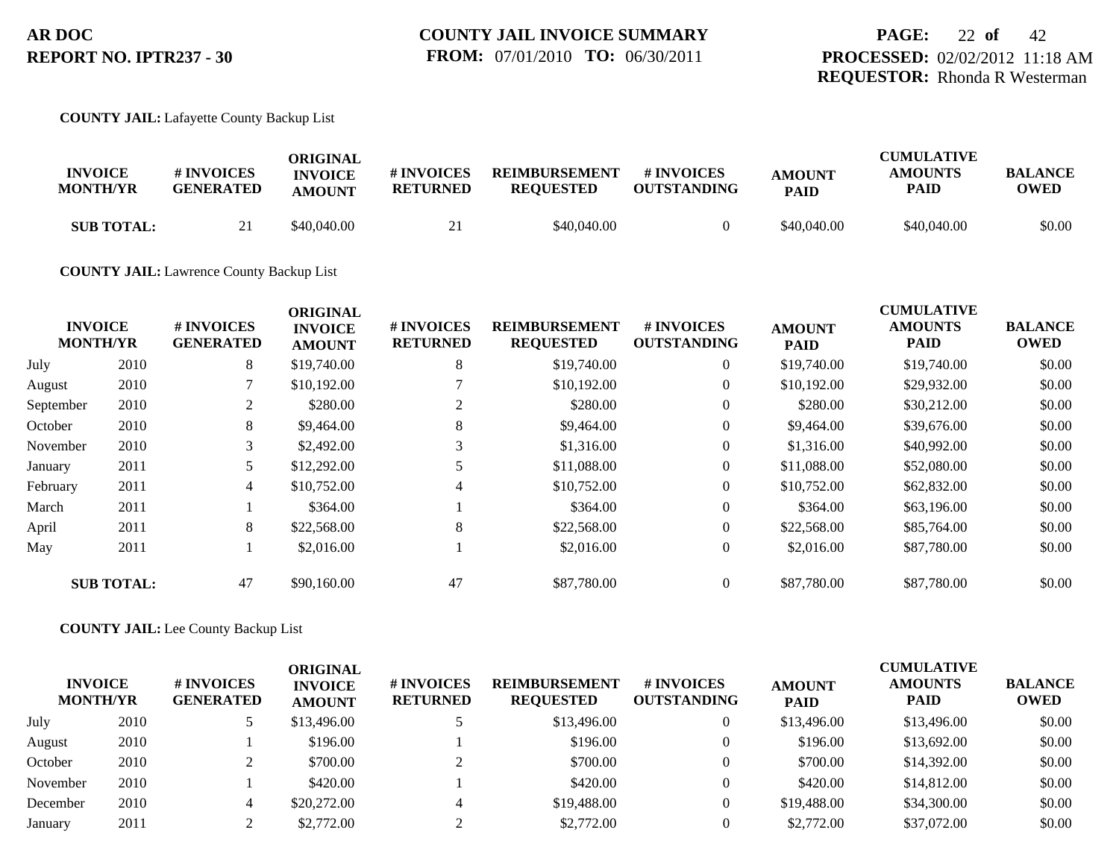#### **COUNTY JAIL:** Lafayette County Backup List

| <b>INVOICE</b><br><b>MONTH/YR</b> | # INVOICES<br><b>GENERATED</b> | ORIGINAL<br><b>INVOICE</b><br><b>AMOUNT</b> | # INVOICES<br><b>RETURNED</b> | <b>REIMBURSEMENT</b><br><b>REOUESTED</b> | # INVOICES<br><b>OUTSTANDING</b> | <b>AMOUNT</b><br><b>PAID</b> | <b>CUMULATIVE</b><br><b>AMOUNTS</b><br>PAID | <b>BALANCE</b><br>OWED |
|-----------------------------------|--------------------------------|---------------------------------------------|-------------------------------|------------------------------------------|----------------------------------|------------------------------|---------------------------------------------|------------------------|
| <b>SUB TOTAL:</b>                 |                                | \$40.040.00                                 |                               | \$40,040.00                              |                                  | \$40,040.00                  | \$40,040.00                                 | \$0.00                 |

#### **COUNTY JAIL:** Lawrence County Backup List

| <b>INVOICE</b><br><b>MONTH/YR</b> |                   | # INVOICES<br><b>GENERATED</b> | <b>ORIGINAL</b><br><b>INVOICE</b><br><b>AMOUNT</b> | # INVOICES<br><b>RETURNED</b> | <b>REIMBURSEMENT</b><br><b>REQUESTED</b> | # INVOICES<br><b>OUTSTANDING</b> | <b>AMOUNT</b><br><b>PAID</b> | <b>CUMULATIVE</b><br><b>AMOUNTS</b><br>PAID | <b>BALANCE</b><br><b>OWED</b> |
|-----------------------------------|-------------------|--------------------------------|----------------------------------------------------|-------------------------------|------------------------------------------|----------------------------------|------------------------------|---------------------------------------------|-------------------------------|
| July                              | 2010              | 8                              | \$19,740.00                                        | 8                             | \$19,740.00                              | $\overline{0}$                   | \$19,740.00                  | \$19,740.00                                 | \$0.00                        |
| August                            | 2010              |                                | \$10,192.00                                        |                               | \$10,192.00                              | $\overline{0}$                   | \$10,192.00                  | \$29,932.00                                 | \$0.00                        |
| September                         | 2010              | 2                              | \$280.00                                           |                               | \$280.00                                 | $\overline{0}$                   | \$280.00                     | \$30,212.00                                 | \$0.00                        |
| October                           | 2010              | 8                              | \$9,464.00                                         | 8                             | \$9,464.00                               | $\overline{0}$                   | \$9,464.00                   | \$39,676.00                                 | \$0.00                        |
| November                          | 2010              | 3                              | \$2,492.00                                         |                               | \$1,316.00                               | $\overline{0}$                   | \$1,316.00                   | \$40,992.00                                 | \$0.00                        |
| January                           | 2011              | 5                              | \$12,292.00                                        |                               | \$11,088.00                              | $\overline{0}$                   | \$11,088.00                  | \$52,080.00                                 | \$0.00                        |
| February                          | 2011              | $\overline{4}$                 | \$10,752.00                                        | $\overline{4}$                | \$10,752.00                              | $\overline{0}$                   | \$10,752.00                  | \$62,832.00                                 | \$0.00                        |
| March                             | 2011              |                                | \$364.00                                           |                               | \$364.00                                 | $\overline{0}$                   | \$364.00                     | \$63,196.00                                 | \$0.00                        |
| April                             | 2011              | 8                              | \$22,568.00                                        | 8                             | \$22,568.00                              | $\overline{0}$                   | \$22,568.00                  | \$85,764.00                                 | \$0.00                        |
| May                               | 2011              |                                | \$2,016.00                                         |                               | \$2,016.00                               | $\overline{0}$                   | \$2,016.00                   | \$87,780,00                                 | \$0.00                        |
|                                   | <b>SUB TOTAL:</b> | 47                             | \$90,160,00                                        | 47                            | \$87,780.00                              | $\overline{0}$                   | \$87,780.00                  | \$87,780,00                                 | \$0.00                        |

#### **COUNTY JAIL:** Lee County Backup List

|          | <b>INVOICE</b><br><b>MONTH/YR</b> | # INVOICES<br><b>GENERATED</b> | ORIGINAL<br><b>INVOICE</b><br><b>AMOUNT</b> | # INVOICES<br><b>RETURNED</b> | <b>REIMBURSEMENT</b><br><b>REQUESTED</b> | # INVOICES<br><b>OUTSTANDING</b> | <b>AMOUNT</b><br><b>PAID</b> | <b>CUMULATIVE</b><br><b>AMOUNTS</b><br><b>PAID</b> | <b>BALANCE</b><br><b>OWED</b> |
|----------|-----------------------------------|--------------------------------|---------------------------------------------|-------------------------------|------------------------------------------|----------------------------------|------------------------------|----------------------------------------------------|-------------------------------|
| July     | 2010                              |                                | \$13,496.00                                 |                               | \$13,496.00                              |                                  | \$13,496.00                  | \$13,496.00                                        | \$0.00                        |
| August   | 2010                              |                                | \$196.00                                    |                               | \$196.00                                 |                                  | \$196.00                     | \$13,692.00                                        | \$0.00                        |
| October  | 2010                              |                                | \$700.00                                    |                               | \$700.00                                 |                                  | \$700.00                     | \$14,392.00                                        | \$0.00                        |
| November | 2010                              |                                | \$420.00                                    |                               | \$420.00                                 |                                  | \$420.00                     | \$14,812.00                                        | \$0.00                        |
| December | 2010                              |                                | \$20,272.00                                 |                               | \$19,488.00                              |                                  | \$19,488.00                  | \$34,300.00                                        | \$0.00                        |
| January  | 2011                              |                                | \$2,772.00                                  |                               | \$2,772.00                               |                                  | \$2,772.00                   | \$37,072.00                                        | \$0.00                        |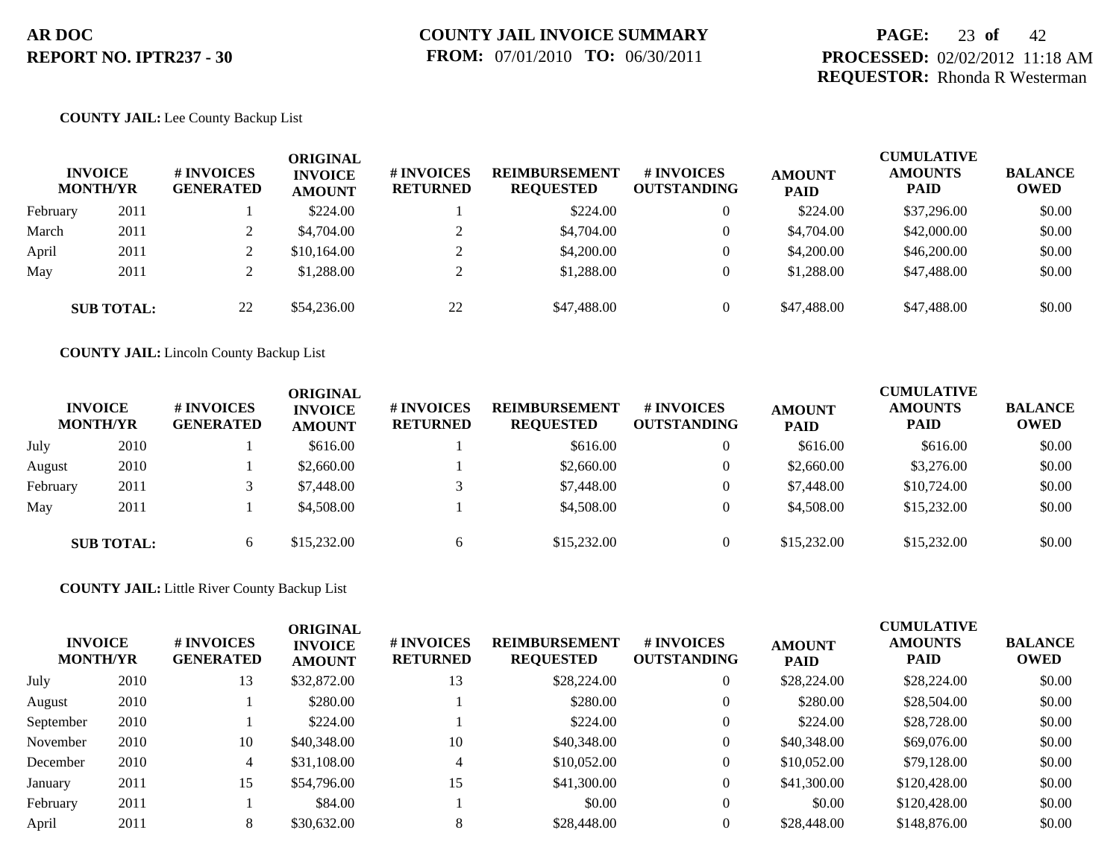## **PAGE:** 23 **of** 42 **PROCESSED:** 02/02/2012 11:18 AM **REQUESTOR:** Rhonda R Westerman

#### **COUNTY JAIL:** Lee County Backup List

|          | <b>INVOICE</b><br><b>MONTH/YR</b> | # INVOICES<br><b>GENERATED</b> | ORIGINAL<br><b>INVOICE</b><br><b>AMOUNT</b> | <b># INVOICES</b><br><b>RETURNED</b> | <b>REIMBURSEMENT</b><br><b>REQUESTED</b> | # INVOICES<br><b>OUTSTANDING</b> | <b>AMOUNT</b><br><b>PAID</b> | <b>CUMULATIVE</b><br><b>AMOUNTS</b><br><b>PAID</b> | <b>BALANCE</b><br><b>OWED</b> |
|----------|-----------------------------------|--------------------------------|---------------------------------------------|--------------------------------------|------------------------------------------|----------------------------------|------------------------------|----------------------------------------------------|-------------------------------|
| February | 2011                              |                                | \$224.00                                    |                                      | \$224.00                                 | $\overline{0}$                   | \$224.00                     | \$37,296.00                                        | \$0.00                        |
| March    | 2011                              |                                | \$4,704.00                                  |                                      | \$4,704.00                               | $\overline{0}$                   | \$4,704.00                   | \$42,000.00                                        | \$0.00                        |
| April    | 2011                              |                                | \$10,164.00                                 |                                      | \$4,200.00                               | $\overline{0}$                   | \$4,200.00                   | \$46,200.00                                        | \$0.00                        |
| May      | 2011                              |                                | \$1,288.00                                  |                                      | \$1,288.00                               | $\overline{0}$                   | \$1,288.00                   | \$47,488.00                                        | \$0.00                        |
|          | <b>SUB TOTAL:</b>                 | 22                             | \$54,236.00                                 | 22                                   | \$47,488.00                              | $\Omega$                         | \$47,488.00                  | \$47,488.00                                        | \$0.00                        |

**COUNTY JAIL:** Lincoln County Backup List

|          | <b>INVOICE</b><br><b>MONTH/YR</b> | # INVOICES<br><b>GENERATED</b> | ORIGINAL<br><b>INVOICE</b><br><b>AMOUNT</b> | <b>#INVOICES</b><br><b>RETURNED</b> | <b>REIMBURSEMENT</b><br><b>REQUESTED</b> | # INVOICES<br><b>OUTSTANDING</b> | <b>AMOUNT</b><br><b>PAID</b> | <b>CUMULATIVE</b><br><b>AMOUNTS</b><br><b>PAID</b> | <b>BALANCE</b><br><b>OWED</b> |
|----------|-----------------------------------|--------------------------------|---------------------------------------------|-------------------------------------|------------------------------------------|----------------------------------|------------------------------|----------------------------------------------------|-------------------------------|
| July     | 2010                              |                                | \$616.00                                    |                                     | \$616.00                                 | $\theta$                         | \$616.00                     | \$616.00                                           | \$0.00                        |
| August   | 2010                              |                                | \$2,660.00                                  |                                     | \$2,660.00                               | $\theta$                         | \$2,660.00                   | \$3,276.00                                         | \$0.00                        |
| February | 2011                              |                                | \$7,448.00                                  |                                     | \$7,448.00                               | $\theta$                         | \$7,448.00                   | \$10,724.00                                        | \$0.00                        |
| May      | 2011                              |                                | \$4,508.00                                  |                                     | \$4,508.00                               | $\theta$                         | \$4,508.00                   | \$15,232.00                                        | \$0.00                        |
|          | <b>SUB TOTAL:</b>                 | 6                              | \$15,232.00                                 | 6                                   | \$15,232.00                              | $\theta$                         | \$15,232.00                  | \$15,232.00                                        | \$0.00                        |

**COUNTY JAIL:** Little River County Backup List

| <b>INVOICE</b><br><b>MONTH/YR</b> |      | <b># INVOICES</b><br><b>GENERATED</b> | <b>ORIGINAL</b><br><b>INVOICE</b><br><b>AMOUNT</b> | # INVOICES<br><b>RETURNED</b> | <b>REIMBURSEMENT</b><br><b>REQUESTED</b> | # INVOICES<br><b>OUTSTANDING</b> | <b>AMOUNT</b><br><b>PAID</b> | <b>CUMULATIVE</b><br><b>AMOUNTS</b><br><b>PAID</b> | <b>BALANCE</b><br><b>OWED</b> |
|-----------------------------------|------|---------------------------------------|----------------------------------------------------|-------------------------------|------------------------------------------|----------------------------------|------------------------------|----------------------------------------------------|-------------------------------|
| July                              | 2010 | 13                                    | \$32,872.00                                        | 13                            | \$28,224.00                              | $\overline{0}$                   | \$28,224.00                  | \$28,224.00                                        | \$0.00                        |
| August                            | 2010 |                                       | \$280.00                                           |                               | \$280.00                                 | $\boldsymbol{0}$                 | \$280.00                     | \$28,504.00                                        | \$0.00                        |
| September                         | 2010 |                                       | \$224.00                                           |                               | \$224.00                                 | $\theta$                         | \$224.00                     | \$28,728.00                                        | \$0.00                        |
| November                          | 2010 | 10                                    | \$40,348.00                                        | 10                            | \$40,348.00                              | $\theta$                         | \$40,348.00                  | \$69,076.00                                        | \$0.00                        |
| December                          | 2010 | 4                                     | \$31,108.00                                        |                               | \$10,052.00                              | $\overline{0}$                   | \$10,052.00                  | \$79,128,00                                        | \$0.00                        |
| January                           | 2011 | 15                                    | \$54,796.00                                        | 15                            | \$41,300.00                              | $\overline{0}$                   | \$41,300.00                  | \$120,428.00                                       | \$0.00                        |
| February                          | 2011 |                                       | \$84.00                                            |                               | \$0.00                                   | $\overline{0}$                   | \$0.00                       | \$120,428.00                                       | \$0.00                        |
| April                             | 2011 |                                       | \$30,632.00                                        |                               | \$28,448.00                              |                                  | \$28,448.00                  | \$148,876.00                                       | \$0.00                        |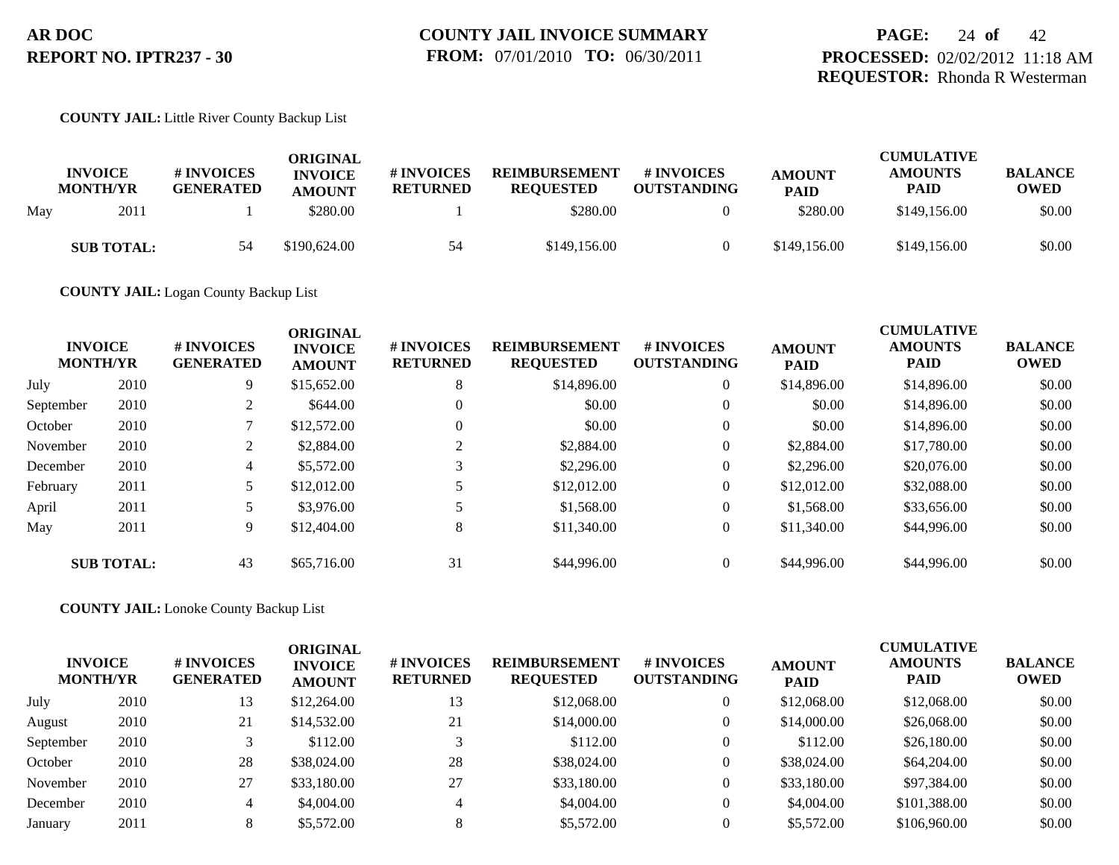#### **COUNTY JAIL:** Little River County Backup List

|     | <b>INVOICE</b><br><b>MONTH/YR</b> | <b># INVOICES</b><br><b>GENERATED</b> | ORIGINAL<br><b>INVOICE</b><br><b>AMOUNT</b> | # INVOICES<br><b>RETURNED</b> | <b>REIMBURSEMENT</b><br><b>REQUESTED</b> | # INVOICES<br><b>OUTSTANDING</b> | <b>AMOUNT</b><br><b>PAID</b> | <b>CUMULATIVE</b><br><b>AMOUNTS</b><br><b>PAID</b> | <b>BALANCE</b><br><b>OWED</b> |
|-----|-----------------------------------|---------------------------------------|---------------------------------------------|-------------------------------|------------------------------------------|----------------------------------|------------------------------|----------------------------------------------------|-------------------------------|
| May | 2011                              |                                       | \$280.00                                    |                               | \$280.00                                 |                                  | \$280.00                     | \$149,156.00                                       | \$0.00                        |
|     | <b>SUB TOTAL:</b>                 | 54                                    | \$190,624.00                                | 54                            | \$149,156.00                             |                                  | \$149,156.00                 | \$149,156.00                                       | \$0.00                        |

**COUNTY JAIL:** Logan County Backup List

| <b>INVOICE</b><br><b>MONTH/YR</b> |                   | <b>#INVOICES</b><br><b>GENERATED</b> | <b>ORIGINAL</b><br><b>INVOICE</b><br><b>AMOUNT</b> | # INVOICES<br><b>RETURNED</b> | <b>REIMBURSEMENT</b><br><b>REQUESTED</b> | <b>#INVOICES</b><br><b>OUTSTANDING</b> | <b>AMOUNT</b><br><b>PAID</b> | <b>CUMULATIVE</b><br><b>AMOUNTS</b><br><b>PAID</b> | <b>BALANCE</b><br><b>OWED</b> |
|-----------------------------------|-------------------|--------------------------------------|----------------------------------------------------|-------------------------------|------------------------------------------|----------------------------------------|------------------------------|----------------------------------------------------|-------------------------------|
| July                              | 2010              | 9                                    | \$15,652.00                                        | 8                             | \$14,896.00                              | $\overline{0}$                         | \$14,896.00                  | \$14,896.00                                        | \$0.00                        |
| September                         | 2010              | ◠                                    | \$644.00                                           | $\Omega$                      | \$0.00                                   | $\overline{0}$                         | \$0.00                       | \$14,896.00                                        | \$0.00                        |
| October                           | 2010              |                                      | \$12,572.00                                        | $\Omega$                      | \$0.00                                   | $\overline{0}$                         | \$0.00                       | \$14,896.00                                        | \$0.00                        |
| November                          | 2010              | 2                                    | \$2,884.00                                         |                               | \$2,884.00                               | $\overline{0}$                         | \$2,884.00                   | \$17,780.00                                        | \$0.00                        |
| December                          | 2010              | $\overline{4}$                       | \$5,572.00                                         |                               | \$2,296.00                               | $\overline{0}$                         | \$2,296.00                   | \$20,076.00                                        | \$0.00                        |
| February                          | 2011              |                                      | \$12,012.00                                        |                               | \$12,012.00                              | $\overline{0}$                         | \$12,012.00                  | \$32,088.00                                        | \$0.00                        |
| April                             | 2011              |                                      | \$3,976.00                                         |                               | \$1,568.00                               | $\overline{0}$                         | \$1,568.00                   | \$33,656.00                                        | \$0.00                        |
| May                               | 2011              | 9                                    | \$12,404.00                                        | 8                             | \$11,340.00                              | $\overline{0}$                         | \$11,340.00                  | \$44,996.00                                        | \$0.00                        |
|                                   | <b>SUB TOTAL:</b> | 43                                   | \$65,716.00                                        | 31                            | \$44,996.00                              | $\overline{0}$                         | \$44,996.00                  | \$44,996.00                                        | \$0.00                        |

**COUNTY JAIL:** Lonoke County Backup List

| <b>INVOICE</b><br><b>MONTH/YR</b> |      | <b># INVOICES</b><br><b>GENERATED</b> | <b>ORIGINAL</b><br><b>INVOICE</b><br><b>AMOUNT</b> | # INVOICES<br><b>RETURNED</b> | <b>REIMBURSEMENT</b><br><b>REQUESTED</b> | <b># INVOICES</b><br><b>OUTSTANDING</b> | <b>AMOUNT</b><br><b>PAID</b> | <b>CUMULATIVE</b><br><b>AMOUNTS</b><br><b>PAID</b> | <b>BALANCE</b><br><b>OWED</b> |
|-----------------------------------|------|---------------------------------------|----------------------------------------------------|-------------------------------|------------------------------------------|-----------------------------------------|------------------------------|----------------------------------------------------|-------------------------------|
| July                              | 2010 | 13                                    | \$12,264.00                                        | 13                            | \$12,068.00                              | $\overline{0}$                          | \$12,068.00                  | \$12,068.00                                        | \$0.00                        |
| August                            | 2010 | 21                                    | \$14,532.00                                        | 21                            | \$14,000.00                              | $\overline{0}$                          | \$14,000.00                  | \$26,068.00                                        | \$0.00                        |
| September                         | 2010 |                                       | \$112.00                                           |                               | \$112.00                                 | $\Omega$                                | \$112.00                     | \$26,180.00                                        | \$0.00                        |
| October                           | 2010 | 28                                    | \$38,024.00                                        | 28                            | \$38,024.00                              | $\Omega$                                | \$38,024.00                  | \$64,204.00                                        | \$0.00                        |
| November                          | 2010 | 27                                    | \$33,180.00                                        | 27                            | \$33,180.00                              | $\overline{0}$                          | \$33,180.00                  | \$97,384.00                                        | \$0.00                        |
| December                          | 2010 | 4                                     | \$4,004.00                                         | 4                             | \$4,004.00                               | $\overline{0}$                          | \$4,004.00                   | \$101,388.00                                       | \$0.00                        |
| January                           | 2011 | 8                                     | \$5,572.00                                         |                               | \$5,572.00                               | $\Omega$                                | \$5,572.00                   | \$106,960.00                                       | \$0.00                        |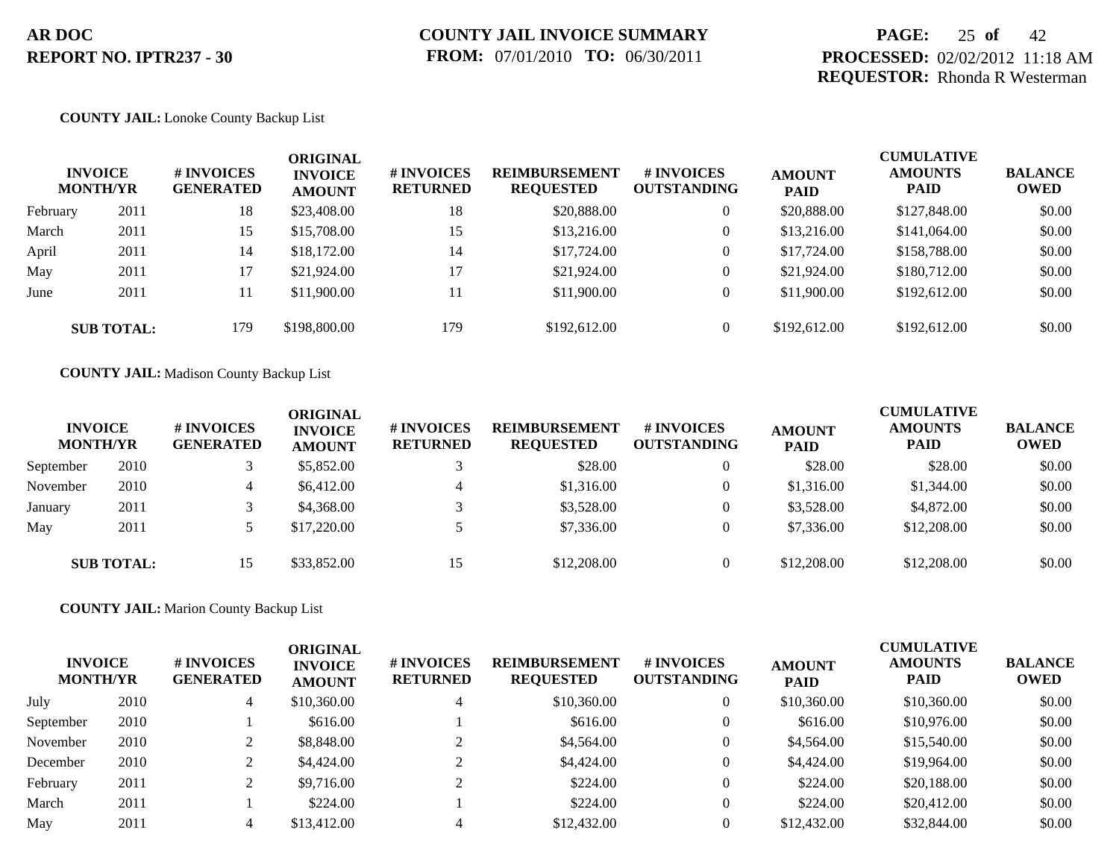## **PAGE:** 25 **of** 42 **PROCESSED:** 02/02/2012 11:18 AM **REQUESTOR:** Rhonda R Westerman

#### **COUNTY JAIL:** Lonoke County Backup List

|          | <b>INVOICE</b><br><b>MONTH/YR</b> | <b>#INVOICES</b><br><b>GENERATED</b> | ORIGINAL<br><b>INVOICE</b><br><b>AMOUNT</b> | # INVOICES<br><b>RETURNED</b> | <b>REIMBURSEMENT</b><br><b>REQUESTED</b> | # INVOICES<br><b>OUTSTANDING</b> | <b>AMOUNT</b><br><b>PAID</b> | <b>CUMULATIVE</b><br><b>AMOUNTS</b><br><b>PAID</b> | <b>BALANCE</b><br><b>OWED</b> |
|----------|-----------------------------------|--------------------------------------|---------------------------------------------|-------------------------------|------------------------------------------|----------------------------------|------------------------------|----------------------------------------------------|-------------------------------|
| February | 2011                              | 18                                   | \$23,408.00                                 | 18                            | \$20,888.00                              | $\overline{0}$                   | \$20,888.00                  | \$127,848.00                                       | \$0.00                        |
| March    | 2011                              | 15                                   | \$15,708.00                                 | 15                            | \$13,216.00                              | $\overline{0}$                   | \$13,216.00                  | \$141,064.00                                       | \$0.00                        |
| April    | 2011                              | 14                                   | \$18,172.00                                 | 14                            | \$17,724.00                              | $\overline{0}$                   | \$17,724.00                  | \$158,788.00                                       | \$0.00                        |
| May      | 2011                              | 17                                   | \$21,924.00                                 | 17                            | \$21,924.00                              | $\overline{0}$                   | \$21,924.00                  | \$180,712.00                                       | \$0.00                        |
| June     | 2011                              | 11                                   | \$11,900.00                                 | 11                            | \$11,900.00                              | $\overline{0}$                   | \$11,900.00                  | \$192,612.00                                       | \$0.00                        |
|          | <b>SUB TOTAL:</b>                 | 179                                  | \$198,800.00                                | 179                           | \$192,612.00                             | $\overline{0}$                   | \$192,612.00                 | \$192,612.00                                       | \$0.00                        |

**COUNTY JAIL:** Madison County Backup List

| <b>INVOICE</b><br><b>MONTH/YR</b> |                   | # INVOICES<br><b>GENERATED</b> | ORIGINAL<br><b>INVOICE</b><br><b>AMOUNT</b> | # INVOICES<br><b>RETURNED</b> | <b>REIMBURSEMENT</b><br><b>REQUESTED</b> | # INVOICES<br><b>OUTSTANDING</b> | <b>AMOUNT</b><br><b>PAID</b> | <b>CUMULATIVE</b><br><b>AMOUNTS</b><br><b>PAID</b> | <b>BALANCE</b><br><b>OWED</b> |
|-----------------------------------|-------------------|--------------------------------|---------------------------------------------|-------------------------------|------------------------------------------|----------------------------------|------------------------------|----------------------------------------------------|-------------------------------|
| September                         | 2010              |                                | \$5,852.00                                  |                               | \$28.00                                  |                                  | \$28.00                      | \$28.00                                            | \$0.00                        |
| November                          | 2010              | 4                              | \$6,412.00                                  | 4                             | \$1,316.00                               |                                  | \$1,316.00                   | \$1,344.00                                         | \$0.00                        |
| January                           | 2011              |                                | \$4,368,00                                  |                               | \$3,528.00                               |                                  | \$3,528.00                   | \$4,872.00                                         | \$0.00                        |
| May                               | 2011              |                                | \$17,220.00                                 |                               | \$7,336.00                               |                                  | \$7,336.00                   | \$12,208,00                                        | \$0.00                        |
|                                   | <b>SUB TOTAL:</b> | 15                             | \$33,852.00                                 | 15                            | \$12,208.00                              | 0                                | \$12,208.00                  | \$12,208,00                                        | \$0.00                        |

**COUNTY JAIL:** Marion County Backup List

| <b>INVOICE</b><br><b>MONTH/YR</b> |      | # INVOICES<br><b>GENERATED</b> | <b>ORIGINAL</b><br><b>INVOICE</b><br><b>AMOUNT</b> | # INVOICES<br><b>RETURNED</b> | <b>REIMBURSEMENT</b><br><b>REQUESTED</b> | <b># INVOICES</b><br><b>OUTSTANDING</b> | <b>AMOUNT</b><br><b>PAID</b> | <b>CUMULATIVE</b><br><b>AMOUNTS</b><br><b>PAID</b> | <b>BALANCE</b><br>OWED |
|-----------------------------------|------|--------------------------------|----------------------------------------------------|-------------------------------|------------------------------------------|-----------------------------------------|------------------------------|----------------------------------------------------|------------------------|
| July                              | 2010 | 4                              | \$10,360.00                                        | 4                             | \$10,360.00                              | 0                                       | \$10,360.00                  | \$10,360.00                                        | \$0.00                 |
| September                         | 2010 |                                | \$616.00                                           |                               | \$616.00                                 | $\overline{0}$                          | \$616.00                     | \$10,976.00                                        | \$0.00                 |
| November                          | 2010 |                                | \$8,848.00                                         |                               | \$4,564.00                               | $\overline{0}$                          | \$4,564.00                   | \$15,540.00                                        | \$0.00                 |
| December                          | 2010 |                                | \$4,424.00                                         |                               | \$4,424.00                               | 0                                       | \$4,424.00                   | \$19,964.00                                        | \$0.00                 |
| February                          | 2011 |                                | \$9,716.00                                         |                               | \$224.00                                 | $\Omega$                                | \$224.00                     | \$20,188.00                                        | \$0.00                 |
| March                             | 2011 |                                | \$224.00                                           |                               | \$224.00                                 | $\Omega$                                | \$224.00                     | \$20,412.00                                        | \$0.00                 |
| May                               | 2011 |                                | \$13,412.00                                        |                               | \$12,432.00                              |                                         | \$12,432.00                  | \$32,844.00                                        | \$0.00                 |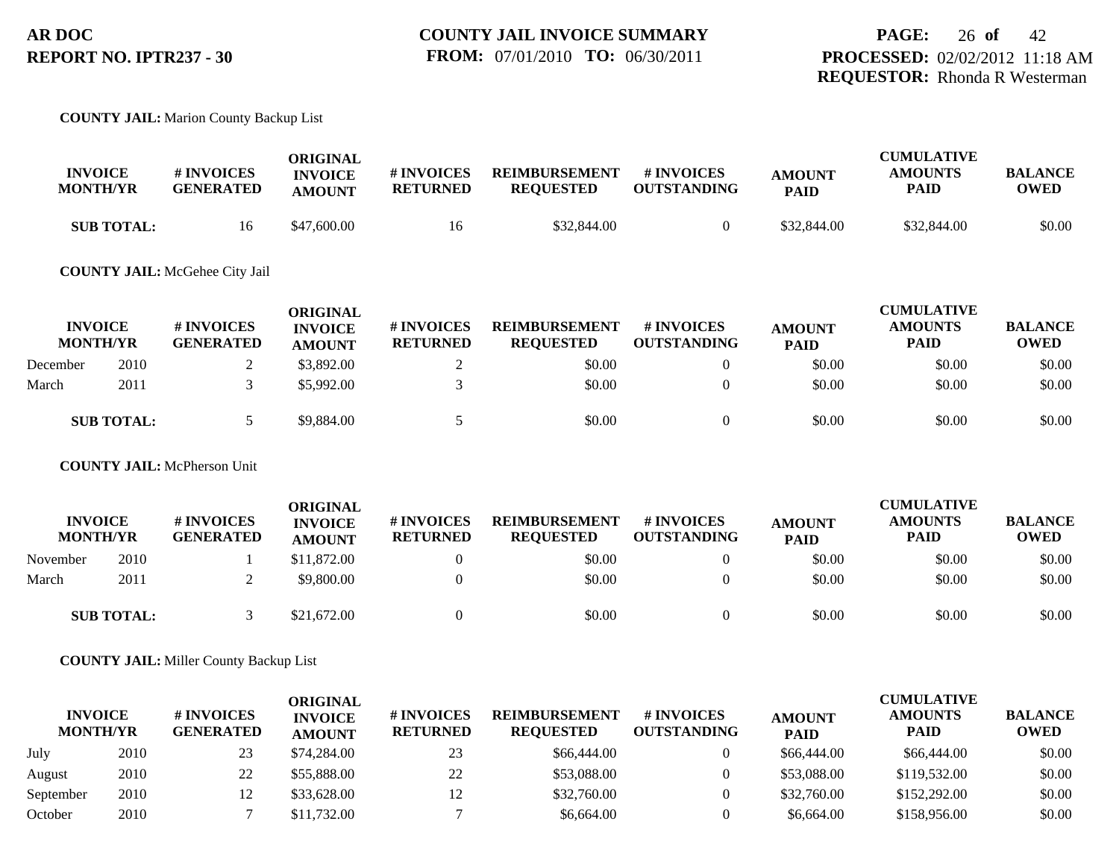#### **COUNTY JAIL:** Marion County Backup List

| <b>INVOICE</b><br><b>MONTH/YR</b> | <b># INVOICES</b><br><b>GENERATED</b> | ORIGINAL<br><b>INVOICE</b><br><b>AMOUNT</b> | # INVOICES<br><b>RETURNED</b> | <b>REIMBURSEMENT</b><br><b>REQUESTED</b> | # INVOICES<br><b>OUTSTANDING</b> | <b>AMOUNT</b><br><b>PAID</b> | <b>CUMULATIVE</b><br><b>AMOUNTS</b><br>PAID | <b>BALANCE</b><br><b>OWED</b> |
|-----------------------------------|---------------------------------------|---------------------------------------------|-------------------------------|------------------------------------------|----------------------------------|------------------------------|---------------------------------------------|-------------------------------|
| <b>SUB TOTAL:</b>                 | 16                                    | \$47,600.00                                 | 16                            | \$32,844.00                              |                                  | \$32,844.00                  | \$32,844.00                                 | \$0.00                        |

#### **COUNTY JAIL:** McGehee City Jail

| <b>INVOICE</b><br><b>MONTH/YR</b> |                   | <b># INVOICES</b><br><b>GENERATED</b> | <b>ORIGINAL</b><br><b>INVOICE</b><br><b>AMOUNT</b> | # INVOICES<br><b>RETURNED</b> | <b>REIMBURSEMENT</b><br><b>REQUESTED</b> | <b>#INVOICES</b><br><b>OUTSTANDING</b> | <b>AMOUNT</b><br><b>PAID</b> | <b>CUMULATIVE</b><br><b>AMOUNTS</b><br><b>PAID</b> | <b>BALANCE</b><br><b>OWED</b> |
|-----------------------------------|-------------------|---------------------------------------|----------------------------------------------------|-------------------------------|------------------------------------------|----------------------------------------|------------------------------|----------------------------------------------------|-------------------------------|
| December                          | 2010              |                                       | \$3,892.00                                         |                               | \$0.00                                   | $\theta$                               | \$0.00                       | \$0.00                                             | \$0.00                        |
| March                             | 2011              |                                       | \$5,992.00                                         |                               | \$0.00                                   | $\Omega$                               | \$0.00                       | \$0.00                                             | \$0.00                        |
|                                   | <b>SUB TOTAL:</b> |                                       | \$9,884.00                                         |                               | \$0.00                                   | $\theta$                               | \$0.00                       | \$0.00                                             | \$0.00                        |

**COUNTY JAIL:** McPherson Unit

| <b>INVOICE</b><br><b>MONTH/YR</b> |                   | # INVOICES<br><b>GENERATED</b> | <b>ORIGINAL</b><br><b>INVOICE</b><br><b>AMOUNT</b> | # INVOICES<br><b>RETURNED</b> | <b>REIMBURSEMENT</b><br><b>REQUESTED</b> | <b>#INVOICES</b><br><b>OUTSTANDING</b> | <b>AMOUNT</b><br><b>PAID</b> | <b>CUMULATIVE</b><br><b>AMOUNTS</b><br><b>PAID</b> | <b>BALANCE</b><br><b>OWED</b> |
|-----------------------------------|-------------------|--------------------------------|----------------------------------------------------|-------------------------------|------------------------------------------|----------------------------------------|------------------------------|----------------------------------------------------|-------------------------------|
| November                          | 2010              |                                | \$11,872.00                                        |                               | \$0.00                                   |                                        | \$0.00                       | \$0.00                                             | \$0.00                        |
| March                             | 2011              |                                | \$9,800.00                                         |                               | \$0.00                                   |                                        | \$0.00                       | \$0.00                                             | \$0.00                        |
|                                   | <b>SUB TOTAL:</b> |                                | \$21,672.00                                        |                               | \$0.00                                   |                                        | \$0.00                       | \$0.00                                             | \$0.00                        |

**COUNTY JAIL:** Miller County Backup List

| <b>INVOICE</b><br><b>MONTH/YR</b> |      | # INVOICES<br><b>GENERATED</b> | ORIGINAL<br><b>INVOICE</b><br><b>AMOUNT</b> | # INVOICES<br><b>RETURNED</b> | <b>REIMBURSEMENT</b><br><b>REQUESTED</b> | # INVOICES<br><b>OUTSTANDING</b> | <b>AMOUNT</b><br><b>PAID</b> | <b>CUMULATIVE</b><br><b>AMOUNTS</b><br><b>PAID</b> | <b>BALANCE</b><br><b>OWED</b> |
|-----------------------------------|------|--------------------------------|---------------------------------------------|-------------------------------|------------------------------------------|----------------------------------|------------------------------|----------------------------------------------------|-------------------------------|
| July                              | 2010 | 23                             | \$74,284.00                                 | 23                            | \$66,444.00                              |                                  | \$66,444.00                  | \$66,444.00                                        | \$0.00                        |
| August                            | 2010 | 22                             | \$55,888.00                                 | 22                            | \$53,088.00                              | 0                                | \$53,088.00                  | \$119,532.00                                       | \$0.00                        |
| September                         | 2010 |                                | \$33,628.00                                 | 12                            | \$32,760.00                              | $\theta$                         | \$32,760.00                  | \$152,292.00                                       | \$0.00                        |
| October                           | 2010 |                                | \$11,732.00                                 |                               | \$6,664.00                               | $\theta$                         | \$6,664.00                   | \$158,956.00                                       | \$0.00                        |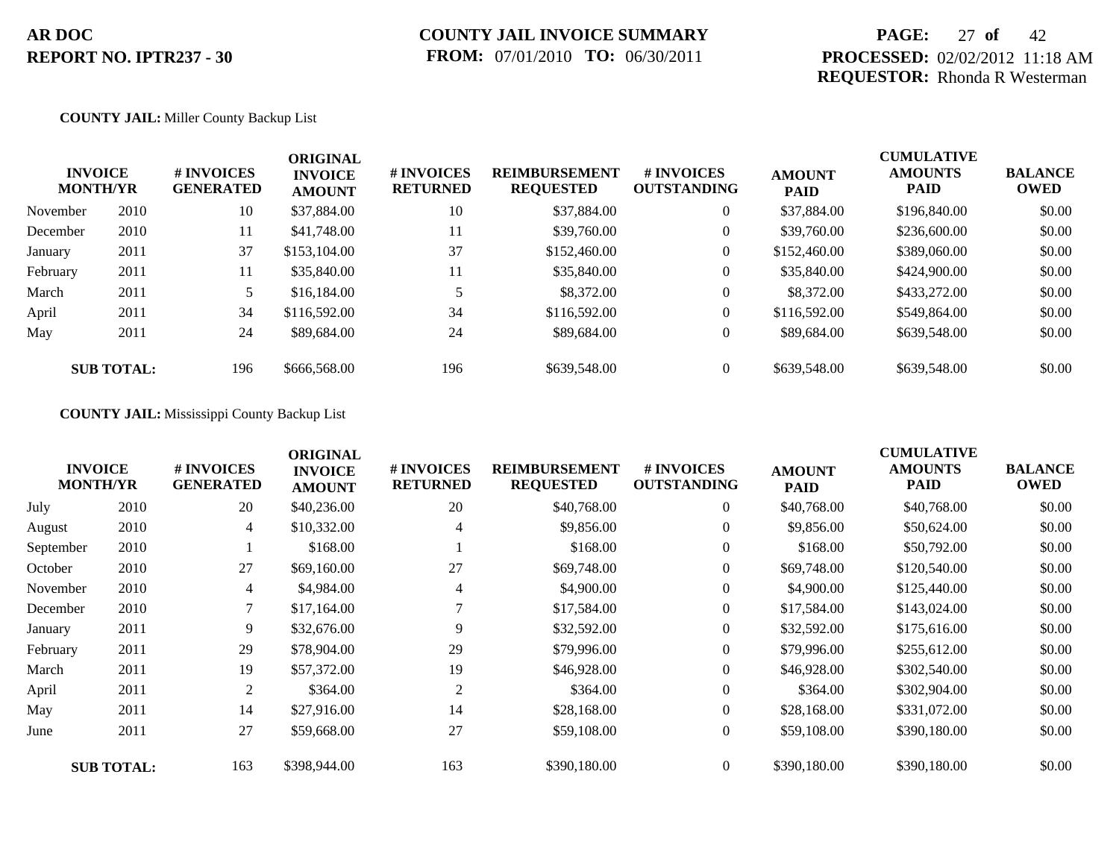## **PAGE:** 27 **of** 42 **PROCESSED:** 02/02/2012 11:18 AM **REQUESTOR:** Rhonda R Westerman

#### **COUNTY JAIL:** Miller County Backup List

| <b>MONTH/YR</b> | <b>INVOICE</b>    | # INVOICES<br><b>GENERATED</b> | <b>ORIGINAL</b><br><b>INVOICE</b><br><b>AMOUNT</b> | # INVOICES<br><b>RETURNED</b> | <b>REIMBURSEMENT</b><br><b>REQUESTED</b> | <b>#INVOICES</b><br><b>OUTSTANDING</b> | <b>AMOUNT</b><br><b>PAID</b> | <b>CUMULATIVE</b><br><b>AMOUNTS</b><br><b>PAID</b> | <b>BALANCE</b><br><b>OWED</b> |
|-----------------|-------------------|--------------------------------|----------------------------------------------------|-------------------------------|------------------------------------------|----------------------------------------|------------------------------|----------------------------------------------------|-------------------------------|
| November        | 2010              | 10                             | \$37,884.00                                        | 10                            | \$37,884.00                              | $\overline{0}$                         | \$37,884.00                  | \$196,840.00                                       | \$0.00                        |
| December        | 2010              | 11                             | \$41,748.00                                        | 11                            | \$39,760.00                              | $\overline{0}$                         | \$39,760.00                  | \$236,600.00                                       | \$0.00                        |
| January         | 2011              | 37                             | \$153,104.00                                       | 37                            | \$152,460.00                             | $\overline{0}$                         | \$152,460.00                 | \$389,060.00                                       | \$0.00                        |
| February        | 2011              | 11                             | \$35,840.00                                        | 11                            | \$35,840.00                              | $\overline{0}$                         | \$35,840.00                  | \$424,900.00                                       | \$0.00                        |
| March           | 2011              | 5                              | \$16,184.00                                        |                               | \$8,372.00                               | $\overline{0}$                         | \$8,372.00                   | \$433,272.00                                       | \$0.00                        |
| April           | 2011              | 34                             | \$116,592.00                                       | 34                            | \$116,592.00                             | $\overline{0}$                         | \$116,592.00                 | \$549,864.00                                       | \$0.00                        |
| May             | 2011              | 24                             | \$89,684.00                                        | 24                            | \$89,684.00                              | $\overline{0}$                         | \$89,684.00                  | \$639,548.00                                       | \$0.00                        |
|                 | <b>SUB TOTAL:</b> | 196                            | \$666,568.00                                       | 196                           | \$639,548.00                             | $\overline{0}$                         | \$639,548.00                 | \$639,548.00                                       | \$0.00                        |

**COUNTY JAIL:** Mississippi County Backup List

|           | <b>INVOICE</b><br><b>MONTH/YR</b> | # INVOICES<br><b>GENERATED</b> | <b>ORIGINAL</b><br><b>INVOICE</b><br><b>AMOUNT</b> | # INVOICES<br><b>RETURNED</b> | <b>REIMBURSEMENT</b><br><b>REQUESTED</b> | # INVOICES<br><b>OUTSTANDING</b> | <b>AMOUNT</b><br><b>PAID</b> | <b>CUMULATIVE</b><br><b>AMOUNTS</b><br><b>PAID</b> | <b>BALANCE</b><br><b>OWED</b> |
|-----------|-----------------------------------|--------------------------------|----------------------------------------------------|-------------------------------|------------------------------------------|----------------------------------|------------------------------|----------------------------------------------------|-------------------------------|
| July      | 2010                              | 20                             | \$40,236.00                                        | 20                            | \$40,768.00                              | $\overline{0}$                   | \$40,768.00                  | \$40,768.00                                        | \$0.00                        |
| August    | 2010                              | 4                              | \$10,332.00                                        | 4                             | \$9,856.00                               | $\overline{0}$                   | \$9,856.00                   | \$50,624.00                                        | \$0.00                        |
| September | 2010                              |                                | \$168.00                                           |                               | \$168.00                                 | $\overline{0}$                   | \$168.00                     | \$50,792.00                                        | \$0.00                        |
| October   | 2010                              | 27                             | \$69,160.00                                        | 27                            | \$69,748.00                              | $\mathbf{0}$                     | \$69,748.00                  | \$120,540.00                                       | \$0.00                        |
| November  | 2010                              | 4                              | \$4,984.00                                         | 4                             | \$4,900.00                               | $\overline{0}$                   | \$4,900.00                   | \$125,440.00                                       | \$0.00                        |
| December  | 2010                              | 7                              | \$17,164.00                                        |                               | \$17,584.00                              | $\overline{0}$                   | \$17,584.00                  | \$143,024.00                                       | \$0.00                        |
| January   | 2011                              | 9                              | \$32,676.00                                        | 9                             | \$32,592.00                              | $\mathbf{0}$                     | \$32,592.00                  | \$175,616.00                                       | \$0.00                        |
| February  | 2011                              | 29                             | \$78,904.00                                        | 29                            | \$79,996.00                              | $\overline{0}$                   | \$79,996.00                  | \$255,612.00                                       | \$0.00                        |
| March     | 2011                              | 19                             | \$57,372.00                                        | 19                            | \$46,928.00                              | $\overline{0}$                   | \$46,928.00                  | \$302,540.00                                       | \$0.00                        |
| April     | 2011                              | 2                              | \$364.00                                           | 2                             | \$364.00                                 | $\overline{0}$                   | \$364.00                     | \$302,904.00                                       | \$0.00                        |
| May       | 2011                              | 14                             | \$27,916.00                                        | 14                            | \$28,168.00                              | $\overline{0}$                   | \$28,168.00                  | \$331,072.00                                       | \$0.00                        |
| June      | 2011                              | 27                             | \$59,668.00                                        | 27                            | \$59,108,00                              | $\overline{0}$                   | \$59,108.00                  | \$390,180.00                                       | \$0.00                        |
|           | <b>SUB TOTAL:</b>                 | 163                            | \$398,944.00                                       | 163                           | \$390,180.00                             | $\overline{0}$                   | \$390,180.00                 | \$390,180.00                                       | \$0.00                        |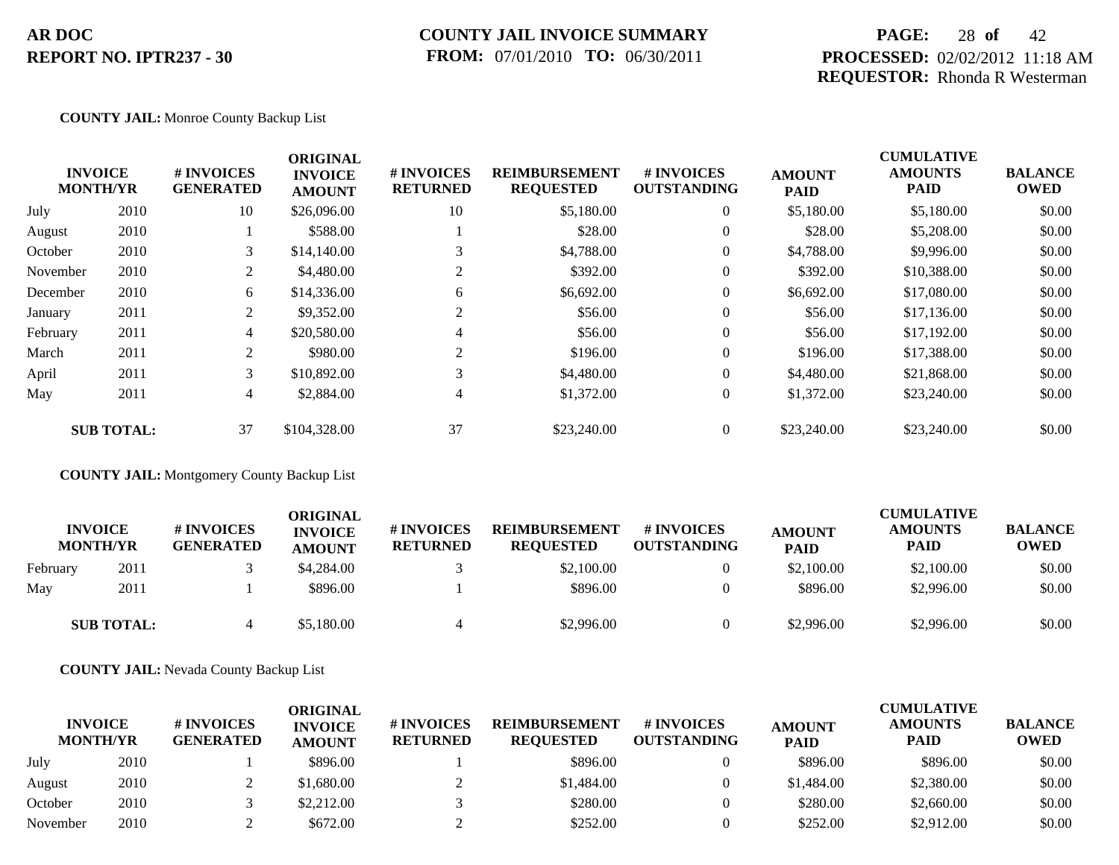### **COUNTY JAIL INVOICE SUMMARY FROM:** 07/01/2010 **TO:** 06/30/2011

## **PAGE:** 28 **of** 42 **PROCESSED:** 02/02/2012 11:18 AM **REQUESTOR:** Rhonda R Westerman

#### **COUNTY JAIL:** Monroe County Backup List

| <b>INVOICE</b><br><b>MONTH/YR</b> |                   | # INVOICES<br><b>GENERATED</b> | <b>ORIGINAL</b><br><b>INVOICE</b><br><b>AMOUNT</b> | # INVOICES<br><b>RETURNED</b> | <b>REIMBURSEMENT</b><br><b>REQUESTED</b> | # INVOICES<br><b>OUTSTANDING</b> | <b>AMOUNT</b><br><b>PAID</b> | <b>CUMULATIVE</b><br><b>AMOUNTS</b><br><b>PAID</b> | <b>BALANCE</b><br><b>OWED</b> |
|-----------------------------------|-------------------|--------------------------------|----------------------------------------------------|-------------------------------|------------------------------------------|----------------------------------|------------------------------|----------------------------------------------------|-------------------------------|
| July                              | 2010              | 10                             | \$26,096.00                                        | 10                            | \$5,180.00                               | $\overline{0}$                   | \$5,180.00                   | \$5,180.00                                         | \$0.00                        |
| August                            | 2010              |                                | \$588.00                                           |                               | \$28.00                                  | $\overline{0}$                   | \$28.00                      | \$5,208.00                                         | \$0.00                        |
| October                           | 2010              | 3                              | \$14,140.00                                        |                               | \$4,788.00                               | $\overline{0}$                   | \$4,788.00                   | \$9,996.00                                         | \$0.00                        |
| November                          | 2010              | 2                              | \$4,480.00                                         | 2                             | \$392.00                                 | $\overline{0}$                   | \$392.00                     | \$10,388.00                                        | \$0.00                        |
| December                          | 2010              | 6                              | \$14,336.00                                        | 6                             | \$6,692.00                               | $\overline{0}$                   | \$6,692.00                   | \$17,080.00                                        | \$0.00                        |
| January                           | 2011              | 2                              | \$9,352.00                                         |                               | \$56.00                                  | $\overline{0}$                   | \$56.00                      | \$17,136.00                                        | \$0.00                        |
| February                          | 2011              | $\overline{4}$                 | \$20,580.00                                        | 4                             | \$56.00                                  | $\overline{0}$                   | \$56.00                      | \$17,192.00                                        | \$0.00                        |
| March                             | 2011              | 2                              | \$980.00                                           | 2                             | \$196.00                                 | $\overline{0}$                   | \$196.00                     | \$17,388.00                                        | \$0.00                        |
| April                             | 2011              | 3                              | \$10,892.00                                        | 3                             | \$4,480.00                               | $\overline{0}$                   | \$4,480.00                   | \$21,868.00                                        | \$0.00                        |
| May                               | 2011              | $\overline{4}$                 | \$2,884.00                                         | 4                             | \$1,372.00                               | $\overline{0}$                   | \$1,372.00                   | \$23,240.00                                        | \$0.00                        |
|                                   | <b>SUB TOTAL:</b> | 37                             | \$104,328.00                                       | 37                            | \$23,240.00                              | $\overline{0}$                   | \$23,240.00                  | \$23,240.00                                        | \$0.00                        |

**COUNTY JAIL:** Montgomery County Backup List

|          | <b>INVOICE</b><br><b>MONTH/YR</b> | # INVOICES<br><b>GENERATED</b> | ORIGINAL<br><b>INVOICE</b><br><b>AMOUNT</b> | <b># INVOICES</b><br><b>RETURNED</b> | <b>REIMBURSEMENT</b><br><b>REQUESTED</b> | <b>#INVOICES</b><br><b>OUTSTANDING</b> | <b>AMOUNT</b><br><b>PAID</b> | <b>CUMULATIVE</b><br><b>AMOUNTS</b><br>PAID | <b>BALANCE</b><br><b>OWED</b> |
|----------|-----------------------------------|--------------------------------|---------------------------------------------|--------------------------------------|------------------------------------------|----------------------------------------|------------------------------|---------------------------------------------|-------------------------------|
| February | 2011                              |                                | \$4,284.00                                  |                                      | \$2,100.00                               | $\theta$                               | \$2,100.00                   | \$2,100.00                                  | \$0.00                        |
| May      | 2011                              |                                | \$896.00                                    |                                      | \$896.00                                 | $\theta$                               | \$896.00                     | \$2,996.00                                  | \$0.00                        |
|          | <b>SUB TOTAL:</b>                 |                                | \$5,180.00                                  | 4                                    | \$2,996.00                               | $\Omega$                               | \$2,996.00                   | \$2,996.00                                  | \$0.00                        |

**COUNTY JAIL:** Nevada County Backup List

| <b>INVOICE</b><br><b>MONTH/YR</b> |      | <b># INVOICES</b><br><b>GENERATED</b> | ORIGINAL<br><b>INVOICE</b><br><b>AMOUNT</b> | <b># INVOICES</b><br><b>RETURNED</b> | <b>REIMBURSEMENT</b><br><b>REOUESTED</b> | # INVOICES<br><b>OUTSTANDING</b> | <b>AMOUNT</b><br><b>PAID</b> | <b>CUMULATIVE</b><br><b>AMOUNTS</b><br><b>PAID</b> | <b>BALANCE</b><br><b>OWED</b> |
|-----------------------------------|------|---------------------------------------|---------------------------------------------|--------------------------------------|------------------------------------------|----------------------------------|------------------------------|----------------------------------------------------|-------------------------------|
| July                              | 2010 |                                       | \$896.00                                    |                                      | \$896.00                                 |                                  | \$896.00                     | \$896.00                                           | \$0.00                        |
| August                            | 2010 |                                       | \$1,680.00                                  |                                      | \$1,484.00                               |                                  | \$1,484.00                   | \$2,380.00                                         | \$0.00                        |
| October                           | 2010 |                                       | \$2,212.00                                  |                                      | \$280.00                                 |                                  | \$280.00                     | \$2,660.00                                         | \$0.00                        |
| November                          | 2010 |                                       | \$672.00                                    |                                      | \$252.00                                 |                                  | \$252.00                     | \$2,912.00                                         | \$0.00                        |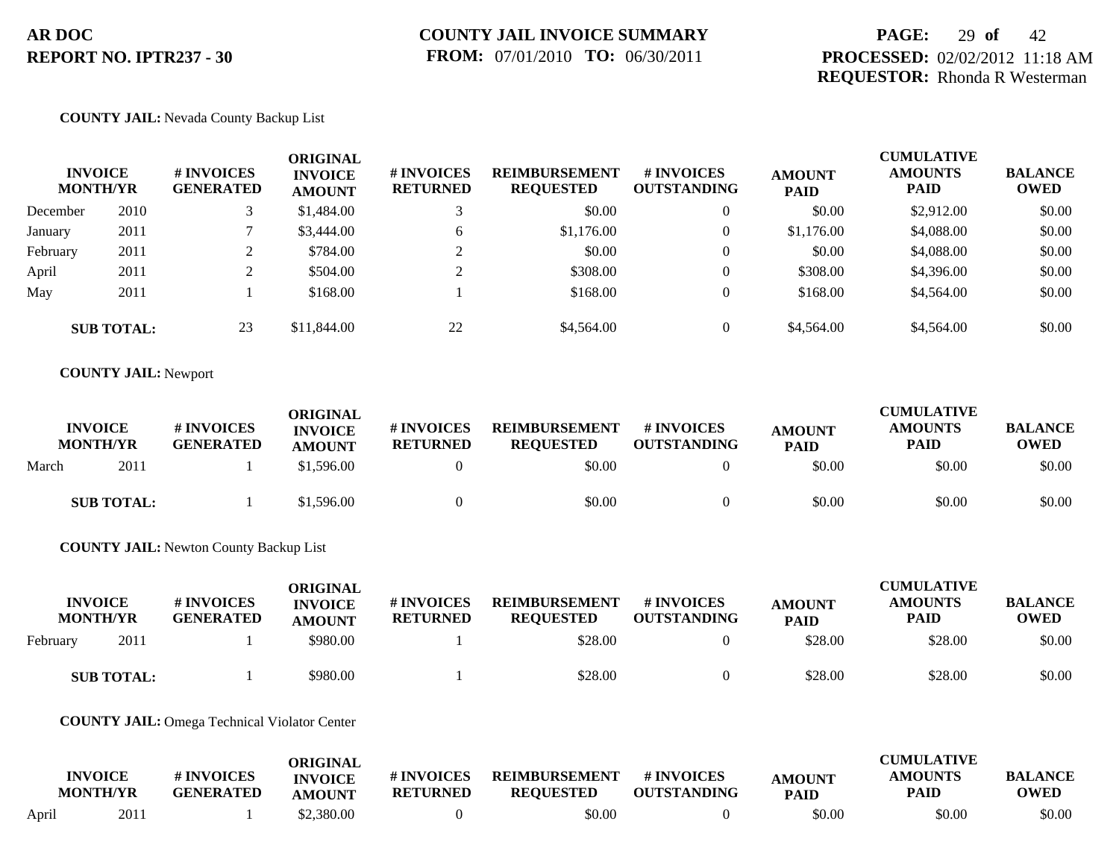## **PAGE:** 29 **of** 42 **PROCESSED:** 02/02/2012 11:18 AM **REQUESTOR:** Rhonda R Westerman

#### **COUNTY JAIL:** Nevada County Backup List

| <b>INVOICE</b><br><b>MONTH/YR</b> |                   | # INVOICES<br><b>GENERATED</b> | ORIGINAL<br><b>INVOICE</b><br><b>AMOUNT</b> | # INVOICES<br><b>RETURNED</b> | <b>REIMBURSEMENT</b><br><b>REQUESTED</b> | <b># INVOICES</b><br><b>OUTSTANDING</b> | <b>AMOUNT</b><br><b>PAID</b> | <b>CUMULATIVE</b><br><b>AMOUNTS</b><br><b>PAID</b> | <b>BALANCE</b><br><b>OWED</b> |
|-----------------------------------|-------------------|--------------------------------|---------------------------------------------|-------------------------------|------------------------------------------|-----------------------------------------|------------------------------|----------------------------------------------------|-------------------------------|
| December                          | 2010              |                                | \$1,484.00                                  |                               | \$0.00                                   | $\theta$                                | \$0.00                       | \$2,912.00                                         | \$0.00                        |
| January                           | 2011              |                                | \$3,444.00                                  | 6                             | \$1,176.00                               | $\overline{0}$                          | \$1,176.00                   | \$4,088.00                                         | \$0.00                        |
| February                          | 2011              |                                | \$784.00                                    | ◠                             | \$0.00                                   | $\overline{0}$                          | \$0.00                       | \$4,088.00                                         | \$0.00                        |
| April                             | 2011              |                                | \$504.00                                    | $\bigcap$                     | \$308.00                                 | $\overline{0}$                          | \$308.00                     | \$4,396.00                                         | \$0.00                        |
| May                               | 2011              |                                | \$168.00                                    |                               | \$168.00                                 | $\theta$                                | \$168.00                     | \$4,564.00                                         | \$0.00                        |
|                                   | <b>SUB TOTAL:</b> | 23                             | \$11,844.00                                 | 22                            | \$4,564.00                               | $\overline{0}$                          | \$4,564.00                   | \$4,564.00                                         | \$0.00                        |

#### **COUNTY JAIL:** Newport

|       | <b>INVOICE</b><br><b>MONTH/YR</b> | # INVOICES<br><b>GENERATED</b> | ORIGINAL<br><b>INVOICE</b><br><b>AMOUNT</b> | # INVOICES<br><b>RETURNED</b> | <b>REIMBURSEMENT</b><br><b>REOUESTED</b> | <b>#INVOICES</b><br><b>OUTSTANDING</b> | <b>AMOUNT</b><br><b>PAID</b> | <b>CUMULATIVE</b><br><b>AMOUNTS</b><br><b>PAID</b> | <b>BALANCE</b><br><b>OWED</b> |
|-------|-----------------------------------|--------------------------------|---------------------------------------------|-------------------------------|------------------------------------------|----------------------------------------|------------------------------|----------------------------------------------------|-------------------------------|
| March | 2011                              |                                | \$1,596.00                                  |                               | \$0.00                                   |                                        | \$0.00                       | \$0.00                                             | \$0.00                        |
|       | <b>SUB TOTAL:</b>                 |                                | \$1,596.00                                  |                               | \$0.00                                   |                                        | \$0.00                       | \$0.00                                             | \$0.00                        |

**COUNTY JAIL:** Newton County Backup List

| <b>INVOICE</b><br><b>MONTH/YR</b> |      | <b># INVOICES</b><br><b>GENERATED</b> | <b>ORIGINAL</b><br><b>INVOICE</b><br><b>AMOUNT</b> | # INVOICES<br><b>RETURNED</b> | <b>REIMBURSEMENT</b><br><b>REQUESTED</b> | <b>#INVOICES</b><br><b>OUTSTANDING</b> | <b>AMOUNT</b><br><b>PAID</b> | <b>CUMULATIVE</b><br><b>AMOUNTS</b><br>PAID | <b>BALANCE</b><br><b>OWED</b> |
|-----------------------------------|------|---------------------------------------|----------------------------------------------------|-------------------------------|------------------------------------------|----------------------------------------|------------------------------|---------------------------------------------|-------------------------------|
| February                          | 2011 |                                       | \$980.00                                           |                               | \$28.00                                  |                                        | \$28.00                      | \$28.00                                     | \$0.00                        |
| <b>SUB TOTAL:</b>                 |      |                                       | \$980.00                                           |                               | \$28.00                                  |                                        | \$28.00                      | \$28.00                                     | \$0.00                        |

#### **COUNTY JAIL:** Omega Technical Violator Center

|       |                                   |                                       | ORIGINAL                 |                               |                                          |                                  |                              | <b>CUMULATIVE</b>      |                               |
|-------|-----------------------------------|---------------------------------------|--------------------------|-------------------------------|------------------------------------------|----------------------------------|------------------------------|------------------------|-------------------------------|
|       | <b>INVOICE</b><br><b>MONTH/YR</b> | <b># INVOICES</b><br><b>GENERATED</b> | <b>INVOICE</b><br>AMOUNT | # INVOICES<br><b>RETURNED</b> | <b>REIMBURSEMENT</b><br><b>REQUESTED</b> | # INVOICES<br><b>OUTSTANDING</b> | <b>AMOUNT</b><br><b>PAID</b> | <b>AMOUNTS</b><br>PAID | <b>BALANCE</b><br><b>OWED</b> |
| April | 2011                              |                                       | \$2,380.00               |                               | \$0.00                                   |                                  | \$0.00                       | \$0.00                 | \$0.00                        |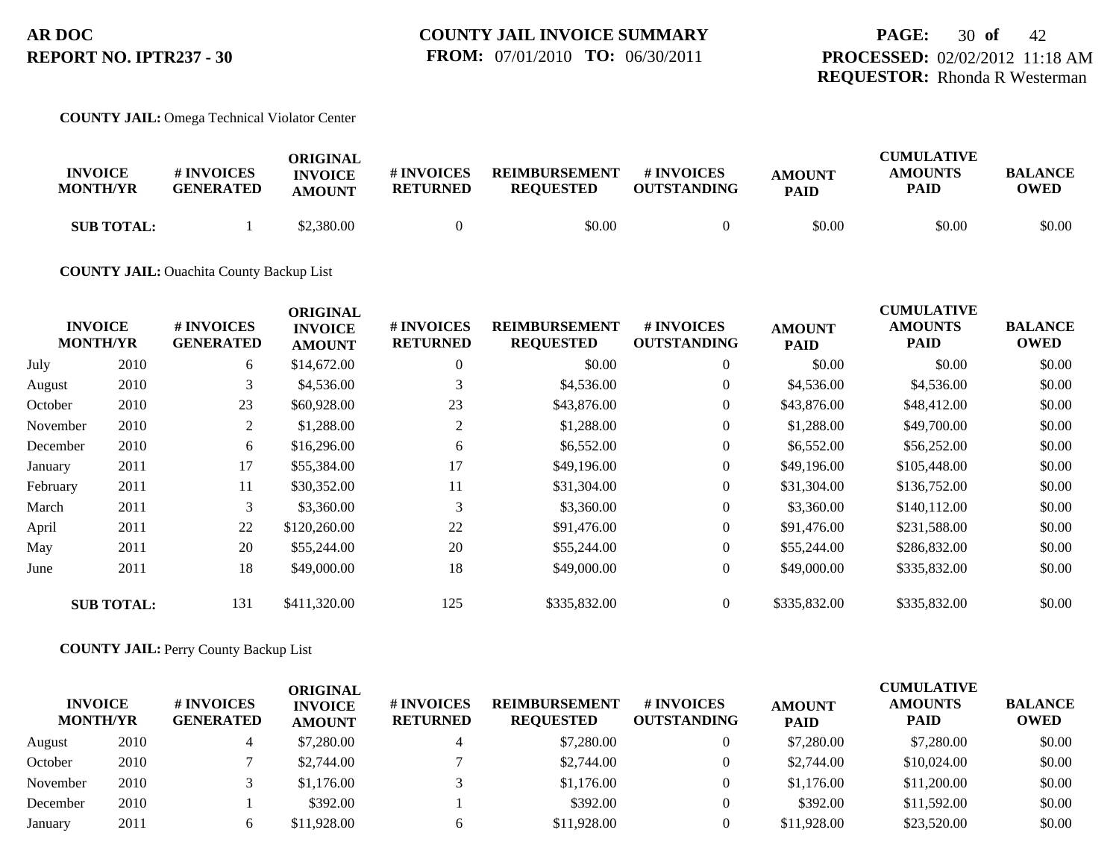## **PAGE:** 30 **of** 42 **PROCESSED:** 02/02/2012 11:18 AM **REQUESTOR:** Rhonda R Westerman

#### **COUNTY JAIL:** Omega Technical Violator Center

| <b>INVOICE</b><br><b>MONTH/YR</b> | # INVOICES<br><b>GENERATED</b> | ORIGINAL<br><b>INVOICE</b><br><b>AMOUNT</b> | # INVOICES<br><b>RETURNED</b> | <b>REIMBURSEMENT</b><br><b>REQUESTED</b> | # INVOICES<br><b>OUTSTANDING</b> | <b>AMOUNT</b><br><b>PAID</b> | <b>CUMULATIVE</b><br><b>AMOUNTS</b><br>PAID | <b>BALANCE</b><br><b>OWED</b> |
|-----------------------------------|--------------------------------|---------------------------------------------|-------------------------------|------------------------------------------|----------------------------------|------------------------------|---------------------------------------------|-------------------------------|
| <b>SUB TOTAL:</b>                 |                                | \$2,380.00                                  |                               | \$0.00                                   |                                  | \$0.00                       | \$0.00                                      | \$0.00                        |

#### **COUNTY JAIL:** Ouachita County Backup List

|          |                                   |                                | <b>ORIGINAL</b>                 |                               |                                          |                                  |                              | <b>CUMULATIVE</b>             |                               |
|----------|-----------------------------------|--------------------------------|---------------------------------|-------------------------------|------------------------------------------|----------------------------------|------------------------------|-------------------------------|-------------------------------|
|          | <b>INVOICE</b><br><b>MONTH/YR</b> | # INVOICES<br><b>GENERATED</b> | <b>INVOICE</b><br><b>AMOUNT</b> | # INVOICES<br><b>RETURNED</b> | <b>REIMBURSEMENT</b><br><b>REQUESTED</b> | # INVOICES<br><b>OUTSTANDING</b> | <b>AMOUNT</b><br><b>PAID</b> | <b>AMOUNTS</b><br><b>PAID</b> | <b>BALANCE</b><br><b>OWED</b> |
| July     | 2010                              | 6                              | \$14,672.00                     | $\theta$                      | \$0.00                                   | $\overline{0}$                   | \$0.00                       | \$0.00                        | \$0.00                        |
| August   | 2010                              | 3                              | \$4,536.00                      | 3                             | \$4,536.00                               | $\overline{0}$                   | \$4,536.00                   | \$4,536.00                    | \$0.00                        |
| October  | 2010                              | 23                             | \$60,928.00                     | 23                            | \$43,876.00                              | $\overline{0}$                   | \$43,876.00                  | \$48,412.00                   | \$0.00                        |
| November | 2010                              | 2                              | \$1,288.00                      | 2                             | \$1,288.00                               | $\overline{0}$                   | \$1,288.00                   | \$49,700.00                   | \$0.00                        |
| December | 2010                              | 6                              | \$16,296.00                     | 6                             | \$6,552.00                               | $\overline{0}$                   | \$6,552.00                   | \$56,252.00                   | \$0.00                        |
| January  | 2011                              | 17                             | \$55,384.00                     | 17                            | \$49,196.00                              | $\overline{0}$                   | \$49,196.00                  | \$105,448.00                  | \$0.00                        |
| February | 2011                              | 11                             | \$30,352.00                     | 11                            | \$31,304.00                              | $\overline{0}$                   | \$31,304.00                  | \$136,752.00                  | \$0.00                        |
| March    | 2011                              | 3                              | \$3,360.00                      | 3                             | \$3,360.00                               | $\overline{0}$                   | \$3,360.00                   | \$140,112.00                  | \$0.00                        |
| April    | 2011                              | 22                             | \$120,260.00                    | 22                            | \$91,476.00                              | $\overline{0}$                   | \$91,476.00                  | \$231,588.00                  | \$0.00                        |
| May      | 2011                              | 20                             | \$55,244.00                     | 20                            | \$55,244.00                              | $\overline{0}$                   | \$55,244.00                  | \$286,832.00                  | \$0.00                        |
| June     | 2011                              | 18                             | \$49,000.00                     | 18                            | \$49,000.00                              | $\overline{0}$                   | \$49,000.00                  | \$335,832.00                  | \$0.00                        |
|          | <b>SUB TOTAL:</b>                 | 131                            | \$411,320.00                    | 125                           | \$335,832.00                             | $\Omega$                         | \$335,832.00                 | \$335,832.00                  | \$0.00                        |

#### **COUNTY JAIL:** Perry County Backup List

| <b>INVOICE</b><br><b>MONTH/YR</b> |      | # INVOICES<br><b>GENERATED</b> | <b>ORIGINAL</b><br><b>INVOICE</b><br><b>AMOUNT</b> | <b>#INVOICES</b><br><b>RETURNED</b> | <b>REIMBURSEMENT</b><br><b>REOUESTED</b> | # INVOICES<br><b>OUTSTANDING</b> | <b>AMOUNT</b><br><b>PAID</b> | <b>CUMULATIVE</b><br><b>AMOUNTS</b><br><b>PAID</b> | <b>BALANCE</b><br><b>OWED</b> |
|-----------------------------------|------|--------------------------------|----------------------------------------------------|-------------------------------------|------------------------------------------|----------------------------------|------------------------------|----------------------------------------------------|-------------------------------|
| August                            | 2010 |                                | \$7,280.00                                         |                                     | \$7,280.00                               | $\Omega$                         | \$7,280.00                   | \$7,280.00                                         | \$0.00                        |
| October                           | 2010 |                                | \$2,744.00                                         |                                     | \$2,744.00                               |                                  | \$2,744.00                   | \$10,024.00                                        | \$0.00                        |
| November                          | 2010 |                                | \$1,176.00                                         |                                     | \$1,176.00                               | $\theta$                         | \$1,176.00                   | \$11,200.00                                        | \$0.00                        |
| December                          | 2010 |                                | \$392.00                                           |                                     | \$392.00                                 |                                  | \$392.00                     | \$11,592.00                                        | \$0.00                        |
| January                           | 2011 |                                | \$11,928.00                                        |                                     | \$11,928.00                              |                                  | \$11,928.00                  | \$23,520.00                                        | \$0.00                        |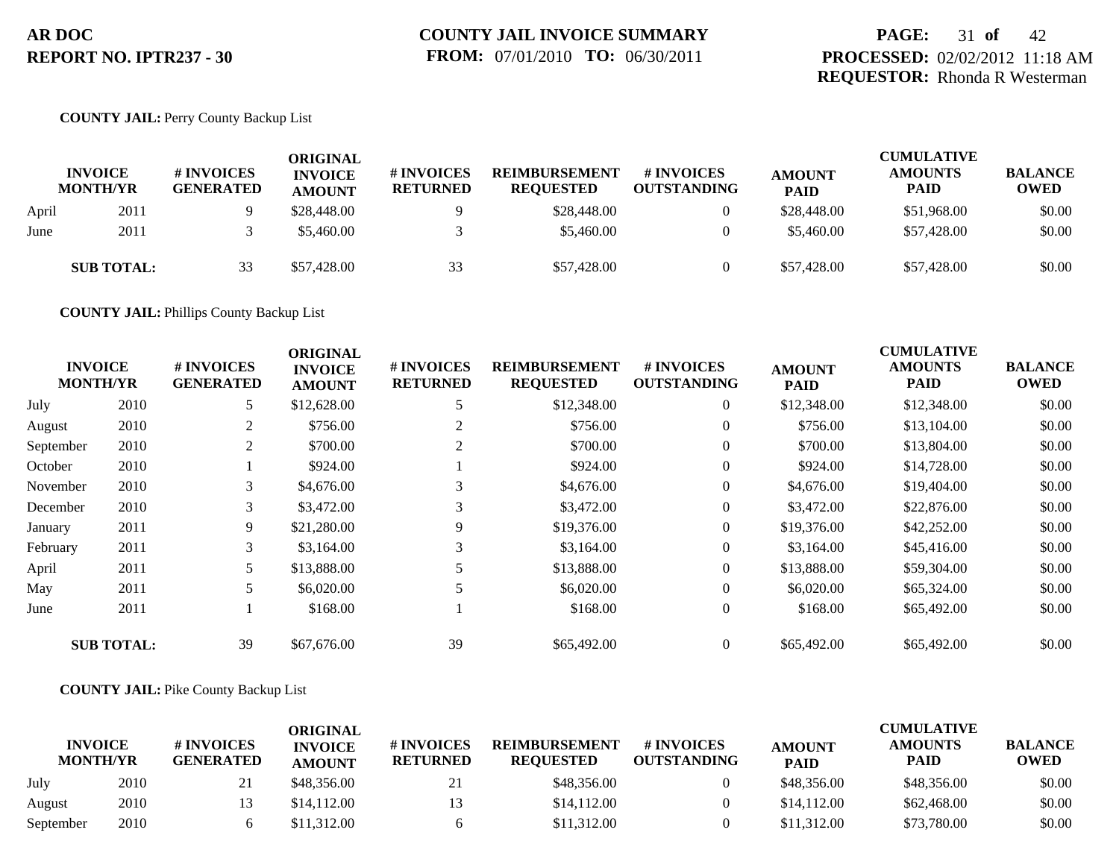## **PAGE:** 31 **of** 42 **PROCESSED:** 02/02/2012 11:18 AM **REQUESTOR:** Rhonda R Westerman

### **COUNTY JAIL:** Perry County Backup List

|       | <b>INVOICE</b><br><b>MONTH/YR</b> | # INVOICES<br><b>GENERATED</b> | <b>ORIGINAL</b><br><b>INVOICE</b><br><b>AMOUNT</b> | # INVOICES<br><b>RETURNED</b> | <b>REIMBURSEMENT</b><br><b>REQUESTED</b> | # INVOICES<br><b>OUTSTANDING</b> | <b>AMOUNT</b><br><b>PAID</b> | <b>CUMULATIVE</b><br><b>AMOUNTS</b><br>PAID | <b>BALANCE</b><br><b>OWED</b> |
|-------|-----------------------------------|--------------------------------|----------------------------------------------------|-------------------------------|------------------------------------------|----------------------------------|------------------------------|---------------------------------------------|-------------------------------|
| April | 2011                              |                                | \$28,448.00                                        |                               | \$28,448.00                              |                                  | \$28,448.00                  | \$51,968.00                                 | \$0.00                        |
| June  | 2011                              |                                | \$5,460.00                                         |                               | \$5,460.00                               | $\theta$                         | \$5,460.00                   | \$57,428.00                                 | \$0.00                        |
|       | <b>SUB TOTAL:</b>                 | 33                             | \$57,428.00                                        | 33                            | \$57,428.00                              | $\theta$                         | \$57,428.00                  | \$57,428.00                                 | \$0.00                        |

**COUNTY JAIL:** Phillips County Backup List

|           | <b>INVOICE</b><br><b>MONTH/YR</b> | # INVOICES<br><b>GENERATED</b> | <b>ORIGINAL</b><br><b>INVOICE</b><br><b>AMOUNT</b> | # INVOICES<br><b>RETURNED</b> | <b>REIMBURSEMENT</b><br><b>REQUESTED</b> | # INVOICES<br><b>OUTSTANDING</b> | <b>AMOUNT</b><br><b>PAID</b> | <b>CUMULATIVE</b><br><b>AMOUNTS</b><br><b>PAID</b> | <b>BALANCE</b><br><b>OWED</b> |
|-----------|-----------------------------------|--------------------------------|----------------------------------------------------|-------------------------------|------------------------------------------|----------------------------------|------------------------------|----------------------------------------------------|-------------------------------|
| July      | 2010                              | 5                              | \$12,628.00                                        |                               | \$12,348.00                              | $\overline{0}$                   | \$12,348.00                  | \$12,348.00                                        | \$0.00                        |
| August    | 2010                              | 2                              | \$756.00                                           |                               | \$756.00                                 | $\overline{0}$                   | \$756.00                     | \$13,104.00                                        | \$0.00                        |
| September | 2010                              | 2                              | \$700.00                                           |                               | \$700.00                                 | $\theta$                         | \$700.00                     | \$13,804.00                                        | \$0.00                        |
| October   | 2010                              |                                | \$924.00                                           |                               | \$924.00                                 | $\overline{0}$                   | \$924.00                     | \$14,728.00                                        | \$0.00                        |
| November  | 2010                              | 3                              | \$4,676.00                                         |                               | \$4,676.00                               | $\overline{0}$                   | \$4,676.00                   | \$19,404.00                                        | \$0.00                        |
| December  | 2010                              | 3                              | \$3,472.00                                         |                               | \$3,472.00                               | $\overline{0}$                   | \$3,472.00                   | \$22,876.00                                        | \$0.00                        |
| January   | 2011                              | 9                              | \$21,280.00                                        | 9                             | \$19,376.00                              | $\overline{0}$                   | \$19,376.00                  | \$42,252.00                                        | \$0.00                        |
| February  | 2011                              | 3                              | \$3,164.00                                         | 3                             | \$3,164.00                               | $\overline{0}$                   | \$3,164.00                   | \$45,416.00                                        | \$0.00                        |
| April     | 2011                              | 5                              | \$13,888.00                                        |                               | \$13,888.00                              | $\overline{0}$                   | \$13,888.00                  | \$59,304.00                                        | \$0.00                        |
| May       | 2011                              | 5                              | \$6,020.00                                         |                               | \$6,020.00                               | $\overline{0}$                   | \$6,020.00                   | \$65,324.00                                        | \$0.00                        |
| June      | 2011                              |                                | \$168.00                                           |                               | \$168.00                                 | $\overline{0}$                   | \$168.00                     | \$65,492.00                                        | \$0.00                        |
|           | <b>SUB TOTAL:</b>                 | 39                             | \$67,676.00                                        | 39                            | \$65,492.00                              | $\theta$                         | \$65,492.00                  | \$65,492.00                                        | \$0.00                        |

### **COUNTY JAIL:** Pike County Backup List

| <b>INVOICE</b><br><b>MONTH/YR</b> |      | # INVOICES<br><b>GENERATED</b> | <b>ORIGINAL</b><br><b>INVOICE</b><br><b>AMOUNT</b> | # INVOICES<br><b>RETURNED</b> | <b>REIMBURSEMENT</b><br><b>REQUESTED</b> | # INVOICES<br><b>OUTSTANDING</b> | <b>AMOUNT</b><br><b>PAID</b> | <b>CUMULATIVE</b><br><b>AMOUNTS</b><br>PAID | <b>BALANCE</b><br><b>OWED</b> |
|-----------------------------------|------|--------------------------------|----------------------------------------------------|-------------------------------|------------------------------------------|----------------------------------|------------------------------|---------------------------------------------|-------------------------------|
| July                              | 2010 | 21                             | \$48,356.00                                        | 21                            | \$48,356.00                              |                                  | \$48,356.00                  | \$48,356.00                                 | \$0.00                        |
| August                            | 2010 |                                | \$14.112.00                                        | 13                            | \$14,112.00                              |                                  | \$14,112.00                  | \$62,468.00                                 | \$0.00                        |
| September                         | 2010 |                                | \$11.312.00                                        |                               | \$11,312.00                              |                                  | \$11,312.00                  | \$73,780.00                                 | \$0.00                        |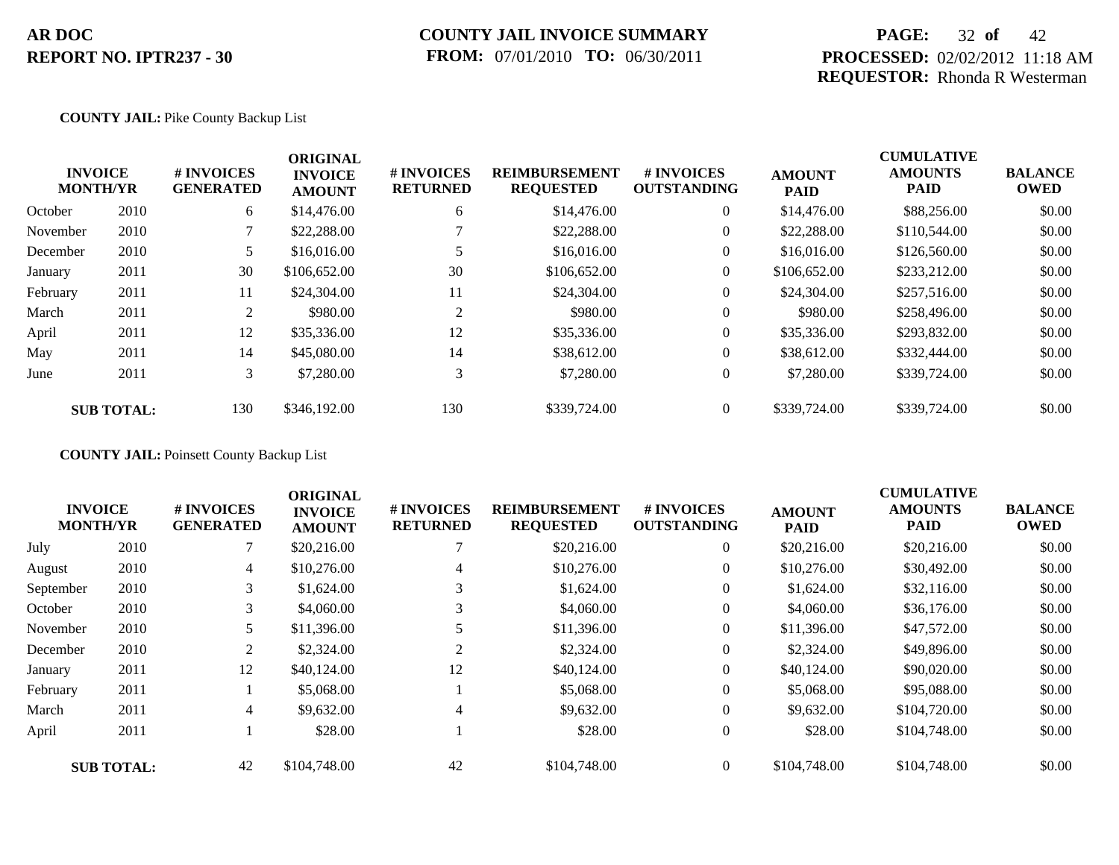### **COUNTY JAIL INVOICE SUMMARY FROM:** 07/01/2010 **TO:** 06/30/2011

## **PAGE:** 32 **of** 42 **PROCESSED:** 02/02/2012 11:18 AM **REQUESTOR:** Rhonda R Westerman

### **COUNTY JAIL:** Pike County Backup List

|      | # INVOICES<br><b>GENERATED</b>                         | <b>ORIGINAL</b><br><b>INVOICE</b><br><b>AMOUNT</b> | # INVOICES<br><b>RETURNED</b> | <b>REIMBURSEMENT</b><br><b>REQUESTED</b> | <b>#INVOICES</b><br><b>OUTSTANDING</b> | <b>AMOUNT</b><br><b>PAID</b> | <b>CUMULATIVE</b><br><b>AMOUNTS</b><br><b>PAID</b> | <b>BALANCE</b><br><b>OWED</b> |
|------|--------------------------------------------------------|----------------------------------------------------|-------------------------------|------------------------------------------|----------------------------------------|------------------------------|----------------------------------------------------|-------------------------------|
| 2010 | 6                                                      | \$14,476.00                                        | 6                             | \$14,476.00                              | $\overline{0}$                         | \$14,476.00                  | \$88,256.00                                        | \$0.00                        |
| 2010 |                                                        | \$22,288.00                                        |                               | \$22,288.00                              | $\overline{0}$                         | \$22,288.00                  | \$110,544.00                                       | \$0.00                        |
| 2010 |                                                        | \$16,016.00                                        |                               | \$16,016.00                              | $\overline{0}$                         | \$16,016.00                  | \$126,560.00                                       | \$0.00                        |
| 2011 | 30                                                     | \$106,652.00                                       | 30                            | \$106,652.00                             | $\overline{0}$                         | \$106,652.00                 | \$233,212.00                                       | \$0.00                        |
| 2011 | 11                                                     | \$24,304.00                                        | 11                            | \$24,304.00                              | $\overline{0}$                         | \$24,304.00                  | \$257,516.00                                       | \$0.00                        |
| 2011 | 2                                                      | \$980.00                                           | 2                             | \$980.00                                 | $\overline{0}$                         | \$980.00                     | \$258,496.00                                       | \$0.00                        |
| 2011 | 12                                                     | \$35,336.00                                        | 12                            | \$35,336.00                              | $\overline{0}$                         | \$35,336.00                  | \$293,832.00                                       | \$0.00                        |
| 2011 | 14                                                     | \$45,080.00                                        | 14                            | \$38,612.00                              | $\overline{0}$                         | \$38,612.00                  | \$332,444.00                                       | \$0.00                        |
| 2011 | 3                                                      | \$7,280.00                                         | 3                             | \$7,280.00                               | $\overline{0}$                         | \$7,280.00                   | \$339,724.00                                       | \$0.00                        |
|      | 130                                                    | \$346,192.00                                       | 130                           | \$339,724.00                             | $\overline{0}$                         | \$339,724.00                 | \$339,724.00                                       | \$0.00                        |
|      | <b>INVOICE</b><br><b>MONTH/YR</b><br><b>SUB TOTAL:</b> |                                                    |                               |                                          |                                        |                              |                                                    |                               |

**COUNTY JAIL:** Poinsett County Backup List

|           | <b>INVOICE</b><br><b>MONTH/YR</b> | # INVOICES<br><b>GENERATED</b> | <b>ORIGINAL</b><br><b>INVOICE</b><br><b>AMOUNT</b> | # INVOICES<br><b>RETURNED</b> | <b>REIMBURSEMENT</b><br><b>REQUESTED</b> | # INVOICES<br><b>OUTSTANDING</b> | <b>AMOUNT</b><br><b>PAID</b> | <b>CUMULATIVE</b><br><b>AMOUNTS</b><br>PAID | <b>BALANCE</b><br><b>OWED</b> |
|-----------|-----------------------------------|--------------------------------|----------------------------------------------------|-------------------------------|------------------------------------------|----------------------------------|------------------------------|---------------------------------------------|-------------------------------|
| July      | 2010                              |                                | \$20,216.00                                        |                               | \$20,216.00                              | $\overline{0}$                   | \$20,216.00                  | \$20,216.00                                 | \$0.00                        |
| August    | 2010                              | $\overline{4}$                 | \$10,276.00                                        | 4                             | \$10,276.00                              | $\overline{0}$                   | \$10,276.00                  | \$30,492.00                                 | \$0.00                        |
| September | 2010                              | 3 <sup>1</sup>                 | \$1,624.00                                         | 3                             | \$1,624.00                               | $\overline{0}$                   | \$1,624.00                   | \$32,116.00                                 | \$0.00                        |
| October   | 2010                              | 3                              | \$4,060.00                                         | 3                             | \$4,060.00                               | $\overline{0}$                   | \$4,060.00                   | \$36,176.00                                 | \$0.00                        |
| November  | 2010                              | 5                              | \$11,396.00                                        |                               | \$11,396.00                              | $\overline{0}$                   | \$11,396.00                  | \$47,572.00                                 | \$0.00                        |
| December  | 2010                              | 2                              | \$2,324.00                                         | 2                             | \$2,324.00                               | $\overline{0}$                   | \$2,324.00                   | \$49,896.00                                 | \$0.00                        |
| January   | 2011                              | 12                             | \$40,124.00                                        | 12                            | \$40,124.00                              | $\overline{0}$                   | \$40,124.00                  | \$90,020.00                                 | \$0.00                        |
| February  | 2011                              |                                | \$5,068.00                                         |                               | \$5,068.00                               | $\overline{0}$                   | \$5,068.00                   | \$95,088.00                                 | \$0.00                        |
| March     | 2011                              | 4                              | \$9,632.00                                         | 4                             | \$9,632.00                               | $\overline{0}$                   | \$9,632.00                   | \$104,720.00                                | \$0.00                        |
| April     | 2011                              |                                | \$28.00                                            |                               | \$28.00                                  | $\overline{0}$                   | \$28.00                      | \$104,748.00                                | \$0.00                        |
|           | <b>SUB TOTAL:</b>                 | 42                             | \$104,748.00                                       | 42                            | \$104,748.00                             | $\Omega$                         | \$104,748.00                 | \$104,748.00                                | \$0.00                        |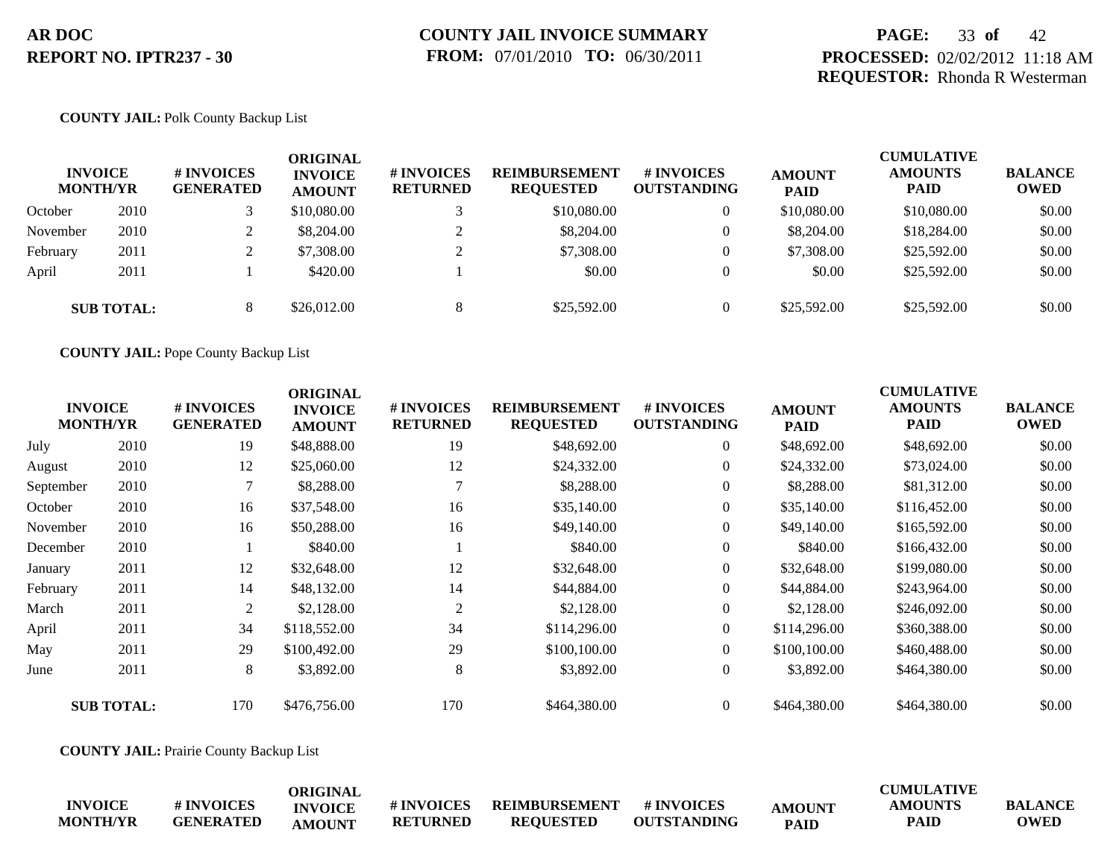## **PAGE:** 33 **of** 42 **PROCESSED:** 02/02/2012 11:18 AM **REQUESTOR:** Rhonda R Westerman

#### **COUNTY JAIL:** Polk County Backup List

| <b>INVOICE</b><br><b>MONTH/YR</b> |                   | <b>#INVOICES</b><br><b>GENERATED</b> | ORIGINAL<br><b>INVOICE</b><br><b>AMOUNT</b> | <b># INVOICES</b><br><b>RETURNED</b> | <b>REIMBURSEMENT</b><br><b>REQUESTED</b> | # INVOICES<br><b>OUTSTANDING</b> | <b>AMOUNT</b><br><b>PAID</b> | <b>CUMULATIVE</b><br><b>AMOUNTS</b><br><b>PAID</b> | <b>BALANCE</b><br><b>OWED</b> |
|-----------------------------------|-------------------|--------------------------------------|---------------------------------------------|--------------------------------------|------------------------------------------|----------------------------------|------------------------------|----------------------------------------------------|-------------------------------|
| October                           | 2010              |                                      | \$10,080.00                                 |                                      | \$10,080.00                              | 0                                | \$10,080.00                  | \$10,080.00                                        | \$0.00                        |
| November                          | 2010              |                                      | \$8,204.00                                  |                                      | \$8,204.00                               | $\mathbf{0}$                     | \$8,204.00                   | \$18,284.00                                        | \$0.00                        |
| February                          | 2011              | $\overline{L}$                       | \$7,308.00                                  | $\bigcap$                            | \$7,308.00                               |                                  | \$7,308.00                   | \$25,592.00                                        | \$0.00                        |
| April                             | 2011              |                                      | \$420.00                                    |                                      | \$0.00                                   | $\Omega$                         | \$0.00                       | \$25,592.00                                        | \$0.00                        |
|                                   | <b>SUB TOTAL:</b> |                                      | \$26,012.00                                 | ∩                                    | \$25,592.00                              |                                  | \$25,592.00                  | \$25,592.00                                        | \$0.00                        |

**COUNTY JAIL:** Pope County Backup List

|           | <b>INVOICE</b><br><b>MONTH/YR</b> | # INVOICES<br><b>GENERATED</b> | <b>ORIGINAL</b><br><b>INVOICE</b><br><b>AMOUNT</b> | # INVOICES<br><b>RETURNED</b> | <b>REIMBURSEMENT</b><br><b>REQUESTED</b> | # INVOICES<br><b>OUTSTANDING</b> | <b>AMOUNT</b><br><b>PAID</b> | <b>CUMULATIVE</b><br><b>AMOUNTS</b><br><b>PAID</b> | <b>BALANCE</b><br><b>OWED</b> |
|-----------|-----------------------------------|--------------------------------|----------------------------------------------------|-------------------------------|------------------------------------------|----------------------------------|------------------------------|----------------------------------------------------|-------------------------------|
| July      | 2010                              | 19                             | \$48,888.00                                        | 19                            | \$48,692.00                              | $\overline{0}$                   | \$48,692.00                  | \$48,692.00                                        | \$0.00                        |
| August    | 2010                              | 12                             | \$25,060.00                                        | 12                            | \$24,332.00                              | $\theta$                         | \$24,332.00                  | \$73,024.00                                        | \$0.00                        |
| September | 2010                              |                                | \$8,288.00                                         | $\overline{7}$                | \$8,288.00                               | $\overline{0}$                   | \$8,288.00                   | \$81,312.00                                        | \$0.00                        |
| October   | 2010                              | 16                             | \$37,548.00                                        | 16                            | \$35,140.00                              | $\overline{0}$                   | \$35,140.00                  | \$116,452.00                                       | \$0.00                        |
| November  | 2010                              | 16                             | \$50,288.00                                        | 16                            | \$49,140.00                              | $\overline{0}$                   | \$49,140.00                  | \$165,592.00                                       | \$0.00                        |
| December  | 2010                              |                                | \$840.00                                           |                               | \$840.00                                 | $\overline{0}$                   | \$840.00                     | \$166,432.00                                       | \$0.00                        |
| January   | 2011                              | 12                             | \$32,648.00                                        | 12                            | \$32,648.00                              | $\overline{0}$                   | \$32,648.00                  | \$199,080.00                                       | \$0.00                        |
| February  | 2011                              | 14                             | \$48,132.00                                        | 14                            | \$44,884.00                              | $\overline{0}$                   | \$44,884.00                  | \$243,964.00                                       | \$0.00                        |
| March     | 2011                              | 2                              | \$2,128.00                                         | 2                             | \$2,128.00                               | $\overline{0}$                   | \$2,128.00                   | \$246,092.00                                       | \$0.00                        |
| April     | 2011                              | 34                             | \$118,552.00                                       | 34                            | \$114,296.00                             | $\overline{0}$                   | \$114,296.00                 | \$360,388.00                                       | \$0.00                        |
| May       | 2011                              | 29                             | \$100,492.00                                       | 29                            | \$100,100.00                             | $\overline{0}$                   | \$100,100.00                 | \$460,488.00                                       | \$0.00                        |
| June      | 2011                              | 8                              | \$3,892.00                                         | 8                             | \$3,892.00                               | $\overline{0}$                   | \$3,892.00                   | \$464,380.00                                       | \$0.00                        |
|           | <b>SUB TOTAL:</b>                 | 170                            | \$476,756.00                                       | 170                           | \$464,380.00                             | $\overline{0}$                   | \$464,380.00                 | \$464,380.00                                       | \$0.00                        |

**COUNTY JAIL:** Prairie County Backup List

|                 |                  | <b>ORIGINAL</b> |                 |                  |                    |             | <b>CUMULATIVE</b> |                |
|-----------------|------------------|-----------------|-----------------|------------------|--------------------|-------------|-------------------|----------------|
| <b>INVOICE</b>  | # INVOICES       | <b>INVOICE</b>  | # INVOICES      | REIMBURSEMENT    | # INVOICES         | AMOUNT      | AMOUNTS           | <b>BALANCE</b> |
| <b>MONTH/YR</b> | <b>GENERATED</b> | AMOUNT          | <b>RETURNED</b> | <b>REOUESTED</b> | <b>OUTSTANDING</b> | <b>PAID</b> | <b>PAID</b>       | <b>OWED</b>    |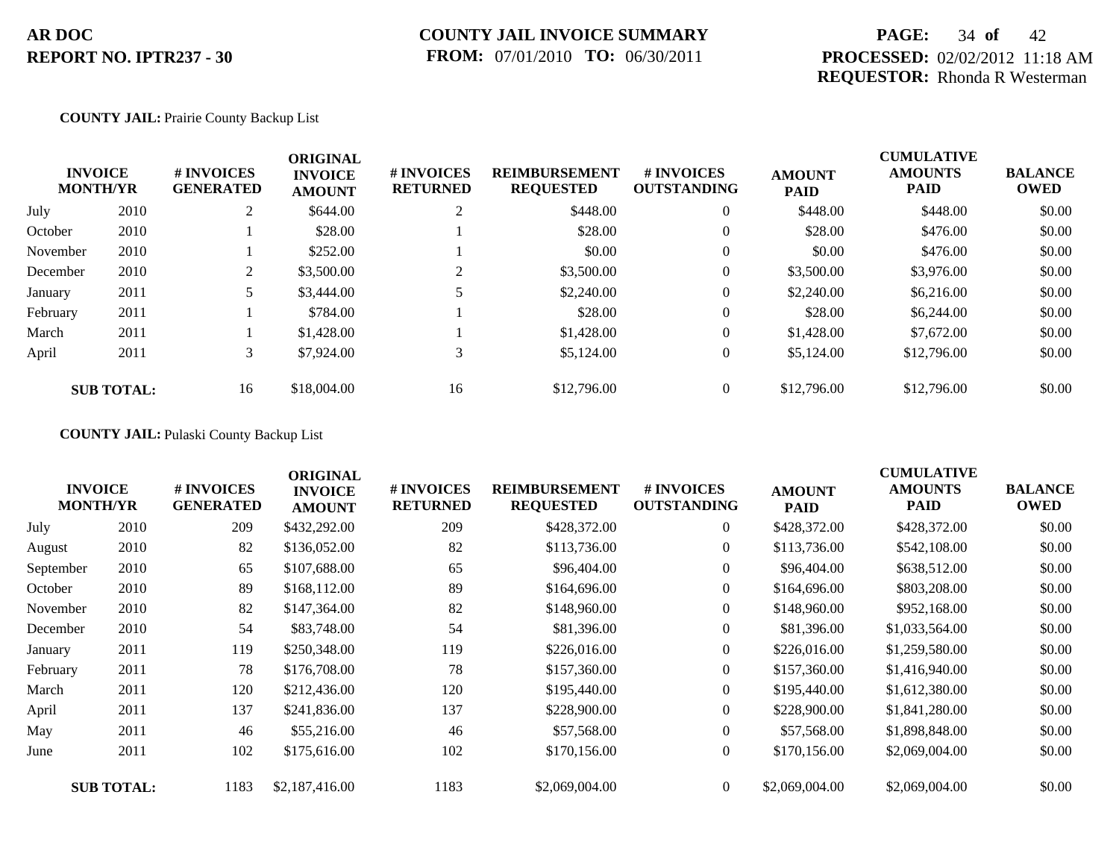## **PAGE:** 34 **of** 42 **PROCESSED:** 02/02/2012 11:18 AM **REQUESTOR:** Rhonda R Westerman

#### **COUNTY JAIL:** Prairie County Backup List

|          | <b>INVOICE</b><br><b>MONTH/YR</b> | # INVOICES<br><b>GENERATED</b> | <b>ORIGINAL</b><br><b>INVOICE</b><br><b>AMOUNT</b> | # INVOICES<br><b>RETURNED</b> | <b>REIMBURSEMENT</b><br><b>REQUESTED</b> | <b>#INVOICES</b><br><b>OUTSTANDING</b> | <b>AMOUNT</b><br><b>PAID</b> | <b>CUMULATIVE</b><br><b>AMOUNTS</b><br><b>PAID</b> | <b>BALANCE</b><br><b>OWED</b> |
|----------|-----------------------------------|--------------------------------|----------------------------------------------------|-------------------------------|------------------------------------------|----------------------------------------|------------------------------|----------------------------------------------------|-------------------------------|
| July     | 2010                              | ∠                              | \$644.00                                           | ◠                             | \$448.00                                 | $\overline{0}$                         | \$448.00                     | \$448.00                                           | \$0.00                        |
| October  | 2010                              |                                | \$28.00                                            |                               | \$28.00                                  | $\overline{0}$                         | \$28.00                      | \$476.00                                           | \$0.00                        |
| November | 2010                              |                                | \$252.00                                           |                               | \$0.00                                   | $\overline{0}$                         | \$0.00                       | \$476.00                                           | \$0.00                        |
| December | 2010                              |                                | \$3,500.00                                         |                               | \$3,500.00                               | $\overline{0}$                         | \$3,500.00                   | \$3,976.00                                         | \$0.00                        |
| January  | 2011                              |                                | \$3,444.00                                         |                               | \$2,240.00                               | $\overline{0}$                         | \$2,240.00                   | \$6,216.00                                         | \$0.00                        |
| February | 2011                              |                                | \$784.00                                           |                               | \$28.00                                  | $\overline{0}$                         | \$28.00                      | \$6,244.00                                         | \$0.00                        |
| March    | 2011                              |                                | \$1,428.00                                         |                               | \$1,428.00                               | $\overline{0}$                         | \$1,428.00                   | \$7,672.00                                         | \$0.00                        |
| April    | 2011                              | 3                              | \$7,924.00                                         | 3                             | \$5,124.00                               | $\overline{0}$                         | \$5,124.00                   | \$12,796.00                                        | \$0.00                        |
|          | <b>SUB TOTAL:</b>                 | 16                             | \$18,004.00                                        | 16                            | \$12,796.00                              | $\Omega$                               | \$12,796.00                  | \$12,796.00                                        | \$0.00                        |

### **COUNTY JAIL:** Pulaski County Backup List

|           | <b>INVOICE</b><br><b>MONTH/YR</b> | # INVOICES<br><b>GENERATED</b> | <b>ORIGINAL</b><br><b>INVOICE</b><br><b>AMOUNT</b> | # INVOICES<br><b>RETURNED</b> | <b>REIMBURSEMENT</b><br><b>REQUESTED</b> | <b># INVOICES</b><br><b>OUTSTANDING</b> | <b>AMOUNT</b><br><b>PAID</b> | <b>CUMULATIVE</b><br><b>AMOUNTS</b><br>PAID | <b>BALANCE</b><br><b>OWED</b> |
|-----------|-----------------------------------|--------------------------------|----------------------------------------------------|-------------------------------|------------------------------------------|-----------------------------------------|------------------------------|---------------------------------------------|-------------------------------|
| July      | 2010                              | 209                            | \$432,292.00                                       | 209                           | \$428,372.00                             | $\overline{0}$                          | \$428,372.00                 | \$428,372.00                                | \$0.00                        |
| August    | 2010                              | 82                             | \$136,052.00                                       | 82                            | \$113,736.00                             | $\overline{0}$                          | \$113,736.00                 | \$542,108.00                                | \$0.00                        |
| September | 2010                              | 65                             | \$107,688.00                                       | 65                            | \$96,404.00                              | $\overline{0}$                          | \$96,404.00                  | \$638,512.00                                | \$0.00                        |
| October   | 2010                              | 89                             | \$168,112.00                                       | 89                            | \$164,696.00                             | $\overline{0}$                          | \$164,696.00                 | \$803,208.00                                | \$0.00                        |
| November  | 2010                              | 82                             | \$147,364.00                                       | 82                            | \$148,960.00                             | $\overline{0}$                          | \$148,960.00                 | \$952,168.00                                | \$0.00                        |
| December  | 2010                              | 54                             | \$83,748.00                                        | 54                            | \$81,396.00                              | $\overline{0}$                          | \$81,396.00                  | \$1,033,564.00                              | \$0.00                        |
| January   | 2011                              | 119                            | \$250,348.00                                       | 119                           | \$226,016.00                             | $\overline{0}$                          | \$226,016.00                 | \$1,259,580.00                              | \$0.00                        |
| February  | 2011                              | 78                             | \$176,708.00                                       | 78                            | \$157,360.00                             | $\overline{0}$                          | \$157,360.00                 | \$1,416,940.00                              | \$0.00                        |
| March     | 2011                              | 120                            | \$212,436.00                                       | 120                           | \$195,440.00                             | $\Omega$                                | \$195,440.00                 | \$1,612,380.00                              | \$0.00                        |
| April     | 2011                              | 137                            | \$241,836.00                                       | 137                           | \$228,900.00                             | $\overline{0}$                          | \$228,900.00                 | \$1,841,280.00                              | \$0.00                        |
| May       | 2011                              | 46                             | \$55,216.00                                        | 46                            | \$57,568.00                              | $\overline{0}$                          | \$57,568.00                  | \$1,898,848.00                              | \$0.00                        |
| June      | 2011                              | 102                            | \$175,616.00                                       | 102                           | \$170,156.00                             | $\overline{0}$                          | \$170,156.00                 | \$2,069,004.00                              | \$0.00                        |
|           | <b>SUB TOTAL:</b>                 | 1183                           | \$2,187,416.00                                     | 1183                          | \$2,069,004.00                           | $\overline{0}$                          | \$2,069,004.00               | \$2,069,004.00                              | \$0.00                        |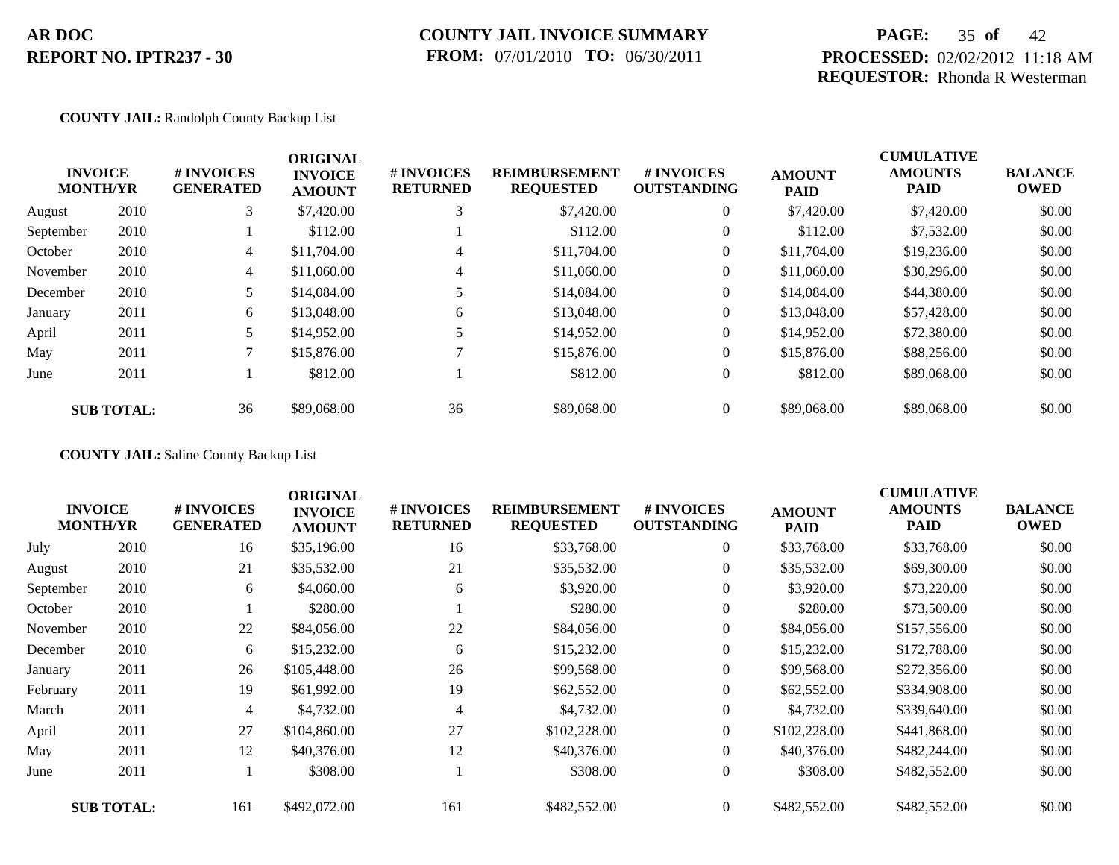## **COUNTY JAIL INVOICE SUMMARY FROM:** 07/01/2010 **TO:** 06/30/2011

## **PAGE:** 35 **of** 42 **PROCESSED:** 02/02/2012 11:18 AM **REQUESTOR:** Rhonda R Westerman

#### **COUNTY JAIL:** Randolph County Backup List

|           | <b>INVOICE</b><br><b>MONTH/YR</b> | <b>#INVOICES</b><br><b>GENERATED</b> | <b>ORIGINAL</b><br><b>INVOICE</b><br><b>AMOUNT</b> | # INVOICES<br><b>RETURNED</b> | <b>REIMBURSEMENT</b><br><b>REQUESTED</b> | <b>#INVOICES</b><br><b>OUTSTANDING</b> | <b>AMOUNT</b><br><b>PAID</b> | <b>CUMULATIVE</b><br><b>AMOUNTS</b><br><b>PAID</b> | <b>BALANCE</b><br><b>OWED</b> |
|-----------|-----------------------------------|--------------------------------------|----------------------------------------------------|-------------------------------|------------------------------------------|----------------------------------------|------------------------------|----------------------------------------------------|-------------------------------|
| August    | 2010                              | 3                                    | \$7,420.00                                         |                               | \$7,420.00                               | $\overline{0}$                         | \$7,420.00                   | \$7,420.00                                         | \$0.00                        |
| September | 2010                              |                                      | \$112.00                                           |                               | \$112.00                                 | $\overline{0}$                         | \$112.00                     | \$7,532.00                                         | \$0.00                        |
| October   | 2010                              | 4                                    | \$11,704.00                                        | 4                             | \$11,704.00                              | $\overline{0}$                         | \$11,704.00                  | \$19,236.00                                        | \$0.00                        |
| November  | 2010                              | 4                                    | \$11,060.00                                        | 4                             | \$11,060.00                              | $\overline{0}$                         | \$11,060.00                  | \$30,296.00                                        | \$0.00                        |
| December  | 2010                              | 5                                    | \$14,084.00                                        |                               | \$14,084.00                              | $\overline{0}$                         | \$14,084.00                  | \$44,380.00                                        | \$0.00                        |
| January   | 2011                              | 6                                    | \$13,048.00                                        | 6                             | \$13,048.00                              | $\overline{0}$                         | \$13,048.00                  | \$57,428.00                                        | \$0.00                        |
| April     | 2011                              | 5                                    | \$14,952.00                                        |                               | \$14,952.00                              | $\overline{0}$                         | \$14,952.00                  | \$72,380.00                                        | \$0.00                        |
| May       | 2011                              | 7                                    | \$15,876.00                                        |                               | \$15,876.00                              | $\overline{0}$                         | \$15,876.00                  | \$88,256.00                                        | \$0.00                        |
| June      | 2011                              |                                      | \$812.00                                           |                               | \$812.00                                 | $\overline{0}$                         | \$812.00                     | \$89,068,00                                        | \$0.00                        |
|           | <b>SUB TOTAL:</b>                 | 36                                   | \$89,068.00                                        | 36                            | \$89,068.00                              | $\overline{0}$                         | \$89,068.00                  | \$89,068.00                                        | \$0.00                        |

**COUNTY JAIL:** Saline County Backup List

|           | <b>INVOICE</b><br><b>MONTH/YR</b> | # INVOICES<br><b>GENERATED</b> | <b>ORIGINAL</b><br><b>INVOICE</b><br><b>AMOUNT</b> | # INVOICES<br><b>RETURNED</b> | <b>REIMBURSEMENT</b><br><b>REQUESTED</b> | # INVOICES<br><b>OUTSTANDING</b> | <b>AMOUNT</b><br><b>PAID</b> | <b>CUMULATIVE</b><br><b>AMOUNTS</b><br><b>PAID</b> | <b>BALANCE</b><br><b>OWED</b> |
|-----------|-----------------------------------|--------------------------------|----------------------------------------------------|-------------------------------|------------------------------------------|----------------------------------|------------------------------|----------------------------------------------------|-------------------------------|
| July      | 2010                              | 16                             | \$35,196.00                                        | 16                            | \$33,768.00                              | $\overline{0}$                   | \$33,768.00                  | \$33,768.00                                        | \$0.00                        |
| August    | 2010                              | 21                             | \$35,532.00                                        | 21                            | \$35,532.00                              | $\overline{0}$                   | \$35,532.00                  | \$69,300.00                                        | \$0.00                        |
| September | 2010                              | 6                              | \$4,060.00                                         | 6                             | \$3,920.00                               | $\overline{0}$                   | \$3,920.00                   | \$73,220.00                                        | \$0.00                        |
| October   | 2010                              |                                | \$280.00                                           |                               | \$280.00                                 | $\overline{0}$                   | \$280.00                     | \$73,500.00                                        | \$0.00                        |
| November  | 2010                              | 22                             | \$84,056.00                                        | 22                            | \$84,056.00                              | $\overline{0}$                   | \$84,056.00                  | \$157,556.00                                       | \$0.00                        |
| December  | 2010                              | 6                              | \$15,232.00                                        | 6                             | \$15,232.00                              | $\overline{0}$                   | \$15,232.00                  | \$172,788.00                                       | \$0.00                        |
| January   | 2011                              | 26                             | \$105,448.00                                       | 26                            | \$99,568.00                              | $\boldsymbol{0}$                 | \$99,568.00                  | \$272,356.00                                       | \$0.00                        |
| February  | 2011                              | 19                             | \$61,992.00                                        | 19                            | \$62,552.00                              | $\overline{0}$                   | \$62,552.00                  | \$334,908.00                                       | \$0.00                        |
| March     | 2011                              | 4                              | \$4,732.00                                         |                               | \$4,732.00                               | $\overline{0}$                   | \$4,732.00                   | \$339,640.00                                       | \$0.00                        |
| April     | 2011                              | 27                             | \$104,860.00                                       | 27                            | \$102,228.00                             | $\overline{0}$                   | \$102,228.00                 | \$441,868.00                                       | \$0.00                        |
| May       | 2011                              | 12                             | \$40,376.00                                        | 12                            | \$40,376.00                              | $\overline{0}$                   | \$40,376.00                  | \$482,244.00                                       | \$0.00                        |
| June      | 2011                              |                                | \$308.00                                           |                               | \$308.00                                 | $\overline{0}$                   | \$308.00                     | \$482,552.00                                       | \$0.00                        |
|           | <b>SUB TOTAL:</b>                 | 161                            | \$492,072.00                                       | 161                           | \$482,552.00                             | $\overline{0}$                   | \$482,552.00                 | \$482,552.00                                       | \$0.00                        |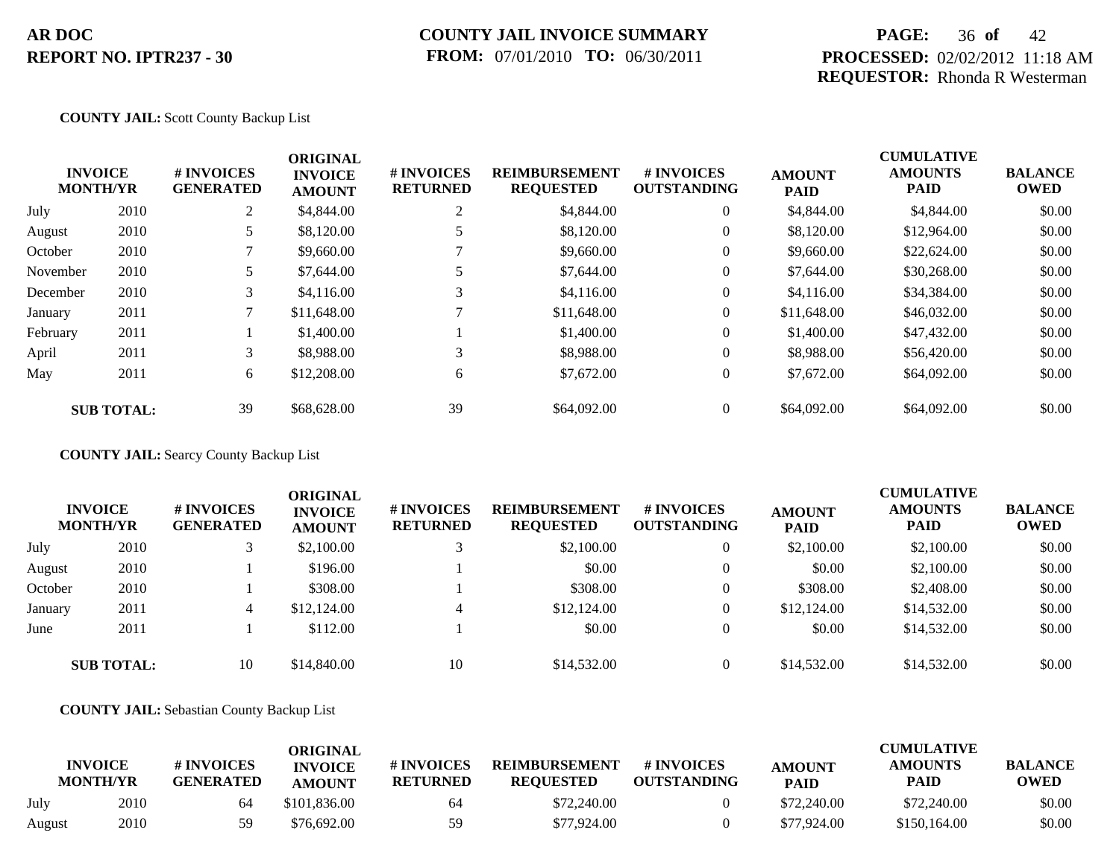## **PAGE:** 36 **of** 42 **PROCESSED:** 02/02/2012 11:18 AM **REQUESTOR:** Rhonda R Westerman

#### **COUNTY JAIL:** Scott County Backup List

|          | <b>INVOICE</b><br><b>MONTH/YR</b> | # INVOICES<br><b>GENERATED</b> | <b>ORIGINAL</b><br><b>INVOICE</b><br><b>AMOUNT</b> | <b># INVOICES</b><br><b>RETURNED</b> | <b>REIMBURSEMENT</b><br><b>REQUESTED</b> | <b>#INVOICES</b><br><b>OUTSTANDING</b> | <b>AMOUNT</b><br><b>PAID</b> | <b>CUMULATIVE</b><br><b>AMOUNTS</b><br><b>PAID</b> | <b>BALANCE</b><br><b>OWED</b> |
|----------|-----------------------------------|--------------------------------|----------------------------------------------------|--------------------------------------|------------------------------------------|----------------------------------------|------------------------------|----------------------------------------------------|-------------------------------|
| July     | 2010                              | 2                              | \$4,844.00                                         | ◠                                    | \$4,844.00                               | $\overline{0}$                         | \$4,844.00                   | \$4,844.00                                         | \$0.00                        |
| August   | 2010                              |                                | \$8,120.00                                         |                                      | \$8,120.00                               | $\overline{0}$                         | \$8,120.00                   | \$12,964.00                                        | \$0.00                        |
| October  | 2010                              |                                | \$9,660.00                                         |                                      | \$9,660.00                               | $\overline{0}$                         | \$9,660.00                   | \$22,624.00                                        | \$0.00                        |
| November | 2010                              | 5                              | \$7,644.00                                         |                                      | \$7,644.00                               | $\overline{0}$                         | \$7,644.00                   | \$30,268.00                                        | \$0.00                        |
| December | 2010                              | 3 <sup>1</sup>                 | \$4,116.00                                         | 3                                    | \$4,116.00                               | $\overline{0}$                         | \$4,116.00                   | \$34,384.00                                        | \$0.00                        |
| January  | 2011                              |                                | \$11,648.00                                        |                                      | \$11,648.00                              | $\overline{0}$                         | \$11,648.00                  | \$46,032.00                                        | \$0.00                        |
| February | 2011                              |                                | \$1,400.00                                         |                                      | \$1,400.00                               | $\overline{0}$                         | \$1,400.00                   | \$47,432.00                                        | \$0.00                        |
| April    | 2011                              | 3                              | \$8,988.00                                         | 3                                    | \$8,988.00                               | $\overline{0}$                         | \$8,988.00                   | \$56,420.00                                        | \$0.00                        |
| May      | 2011                              | 6                              | \$12,208.00                                        | 6                                    | \$7,672.00                               | $\overline{0}$                         | \$7,672.00                   | \$64,092.00                                        | \$0.00                        |
|          | <b>SUB TOTAL:</b>                 | 39                             | \$68,628.00                                        | 39                                   | \$64,092.00                              | $\overline{0}$                         | \$64,092.00                  | \$64,092.00                                        | \$0.00                        |

**COUNTY JAIL:** Searcy County Backup List

|         | <b>INVOICE</b><br><b>MONTH/YR</b> | # INVOICES<br><b>GENERATED</b> | <b>ORIGINAL</b><br><b>INVOICE</b><br><b>AMOUNT</b> | # INVOICES<br><b>RETURNED</b> | <b>REIMBURSEMENT</b><br><b>REQUESTED</b> | <b># INVOICES</b><br><b>OUTSTANDING</b> | <b>AMOUNT</b><br><b>PAID</b> | <b>CUMULATIVE</b><br><b>AMOUNTS</b><br><b>PAID</b> | <b>BALANCE</b><br><b>OWED</b> |
|---------|-----------------------------------|--------------------------------|----------------------------------------------------|-------------------------------|------------------------------------------|-----------------------------------------|------------------------------|----------------------------------------------------|-------------------------------|
| July    | 2010                              |                                | \$2,100.00                                         |                               | \$2,100.00                               | $\overline{0}$                          | \$2,100.00                   | \$2,100.00                                         | \$0.00                        |
| August  | 2010                              |                                | \$196.00                                           |                               | \$0.00                                   | $\overline{0}$                          | \$0.00                       | \$2,100.00                                         | \$0.00                        |
| October | 2010                              |                                | \$308.00                                           |                               | \$308.00                                 | $\theta$                                | \$308.00                     | \$2,408.00                                         | \$0.00                        |
| January | 2011                              | 4                              | \$12,124.00                                        | 4                             | \$12,124.00                              | $\overline{0}$                          | \$12,124.00                  | \$14,532.00                                        | \$0.00                        |
| June    | 2011                              |                                | \$112.00                                           |                               | \$0.00                                   | $\Omega$                                | \$0.00                       | \$14,532.00                                        | \$0.00                        |
|         | <b>SUB TOTAL:</b>                 | 10                             | \$14,840.00                                        | 10                            | \$14,532.00                              | $\Omega$                                | \$14,532.00                  | \$14,532.00                                        | \$0.00                        |

**COUNTY JAIL:** Sebastian County Backup List

| <b>INVOICE</b><br><b>MONTH/YR</b> |      | # INVOICES<br><b>GENERATED</b> | ORIGINAL<br><b>INVOICE</b><br><b>AMOUNT</b> | # INVOICES<br><b>RETURNED</b> | <b>REIMBURSEMENT</b><br><b>REQUESTED</b> | # INVOICES<br><b>OUTSTANDING</b> | <b>AMOUNT</b><br><b>PAID</b> | <b>CUMULATIVE</b><br><b>AMOUNTS</b><br>PAID | <b>BALANCE</b><br><b>OWED</b> |
|-----------------------------------|------|--------------------------------|---------------------------------------------|-------------------------------|------------------------------------------|----------------------------------|------------------------------|---------------------------------------------|-------------------------------|
| July                              | 2010 | 64                             | \$101.836.00                                | 64                            | \$72,240.00                              |                                  | \$72,240.00                  | \$72,240.00                                 | \$0.00                        |
| August                            | 2010 | 59                             | \$76,692.00                                 | 59                            | \$77,924.00                              |                                  | \$77,924.00                  | \$150,164.00                                | \$0.00                        |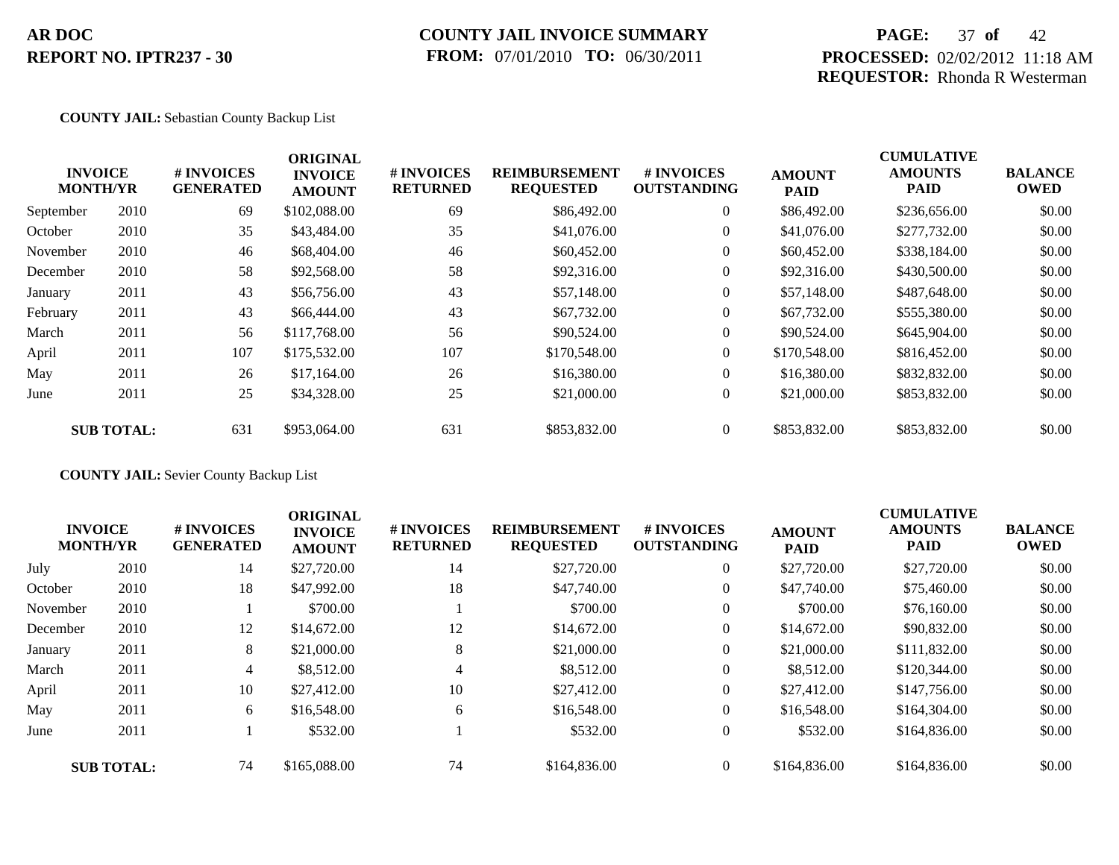## **COUNTY JAIL INVOICE SUMMARY FROM:** 07/01/2010 **TO:** 06/30/2011

## **PAGE:** 37 **of** 42 **PROCESSED:** 02/02/2012 11:18 AM **REQUESTOR:** Rhonda R Westerman

#### **COUNTY JAIL:** Sebastian County Backup List

|           | <b>INVOICE</b><br><b>MONTH/YR</b> | # INVOICES<br><b>GENERATED</b> | <b>ORIGINAL</b><br><b>INVOICE</b><br><b>AMOUNT</b> | # INVOICES<br><b>RETURNED</b> | <b>REIMBURSEMENT</b><br><b>REQUESTED</b> | <b># INVOICES</b><br><b>OUTSTANDING</b> | <b>AMOUNT</b><br><b>PAID</b> | <b>CUMULATIVE</b><br><b>AMOUNTS</b><br><b>PAID</b> | <b>BALANCE</b><br><b>OWED</b> |
|-----------|-----------------------------------|--------------------------------|----------------------------------------------------|-------------------------------|------------------------------------------|-----------------------------------------|------------------------------|----------------------------------------------------|-------------------------------|
| September | 2010                              | 69                             | \$102,088.00                                       | 69                            | \$86,492.00                              | $\overline{0}$                          | \$86,492.00                  | \$236,656.00                                       | \$0.00                        |
| October   | 2010                              | 35                             | \$43,484.00                                        | 35                            | \$41,076.00                              | $\overline{0}$                          | \$41,076.00                  | \$277,732.00                                       | \$0.00                        |
| November  | 2010                              | 46                             | \$68,404.00                                        | 46                            | \$60,452.00                              | $\overline{0}$                          | \$60,452.00                  | \$338,184.00                                       | \$0.00                        |
| December  | 2010                              | 58                             | \$92,568.00                                        | 58                            | \$92,316.00                              | $\overline{0}$                          | \$92,316.00                  | \$430,500.00                                       | \$0.00                        |
| January   | 2011                              | 43                             | \$56,756.00                                        | 43                            | \$57,148.00                              | $\overline{0}$                          | \$57,148.00                  | \$487,648.00                                       | \$0.00                        |
| February  | 2011                              | 43                             | \$66,444.00                                        | 43                            | \$67,732.00                              | $\overline{0}$                          | \$67,732.00                  | \$555,380.00                                       | \$0.00                        |
| March     | 2011                              | 56                             | \$117,768.00                                       | 56                            | \$90,524.00                              | $\overline{0}$                          | \$90,524.00                  | \$645,904.00                                       | \$0.00                        |
| April     | 2011                              | 107                            | \$175,532.00                                       | 107                           | \$170,548.00                             | $\overline{0}$                          | \$170,548.00                 | \$816,452.00                                       | \$0.00                        |
| May       | 2011                              | 26                             | \$17,164.00                                        | 26                            | \$16,380.00                              | $\overline{0}$                          | \$16,380.00                  | \$832,832.00                                       | \$0.00                        |
| June      | 2011                              | 25                             | \$34,328.00                                        | 25                            | \$21,000.00                              | $\overline{0}$                          | \$21,000.00                  | \$853,832.00                                       | \$0.00                        |
|           | <b>SUB TOTAL:</b>                 | 631                            | \$953,064.00                                       | 631                           | \$853,832.00                             | $\theta$                                | \$853,832.00                 | \$853,832.00                                       | \$0.00                        |

**COUNTY JAIL:** Sevier County Backup List

|          | <b>INVOICE</b><br><b>MONTH/YR</b> | # INVOICES<br><b>GENERATED</b> | <b>ORIGINAL</b><br><b>INVOICE</b><br><b>AMOUNT</b> | # INVOICES<br><b>RETURNED</b> | <b>REIMBURSEMENT</b><br><b>REQUESTED</b> | <b>#INVOICES</b><br><b>OUTSTANDING</b> | <b>AMOUNT</b><br><b>PAID</b> | <b>CUMULATIVE</b><br><b>AMOUNTS</b><br><b>PAID</b> | <b>BALANCE</b><br><b>OWED</b> |
|----------|-----------------------------------|--------------------------------|----------------------------------------------------|-------------------------------|------------------------------------------|----------------------------------------|------------------------------|----------------------------------------------------|-------------------------------|
| July     | 2010                              | 14                             | \$27,720.00                                        | 14                            | \$27,720.00                              | $\overline{0}$                         | \$27,720.00                  | \$27,720.00                                        | \$0.00                        |
| October  | 2010                              | 18                             | \$47,992.00                                        | 18                            | \$47,740.00                              | $\overline{0}$                         | \$47,740.00                  | \$75,460.00                                        | \$0.00                        |
| November | 2010                              |                                | \$700.00                                           |                               | \$700.00                                 | $\overline{0}$                         | \$700.00                     | \$76,160.00                                        | \$0.00                        |
| December | 2010                              | 12                             | \$14,672.00                                        | 12                            | \$14,672.00                              | $\overline{0}$                         | \$14,672.00                  | \$90,832.00                                        | \$0.00                        |
| January  | 2011                              | 8                              | \$21,000.00                                        | 8                             | \$21,000.00                              | $\overline{0}$                         | \$21,000.00                  | \$111,832.00                                       | \$0.00                        |
| March    | 2011                              | $\overline{4}$                 | \$8,512.00                                         | 4                             | \$8,512.00                               | $\overline{0}$                         | \$8,512.00                   | \$120,344.00                                       | \$0.00                        |
| April    | 2011                              | 10                             | \$27,412.00                                        | 10                            | \$27,412.00                              | $\overline{0}$                         | \$27,412.00                  | \$147,756.00                                       | \$0.00                        |
| May      | 2011                              | 6                              | \$16,548.00                                        | 6                             | \$16,548.00                              | $\overline{0}$                         | \$16,548.00                  | \$164,304.00                                       | \$0.00                        |
| June     | 2011                              |                                | \$532.00                                           |                               | \$532.00                                 | $\overline{0}$                         | \$532.00                     | \$164,836.00                                       | \$0.00                        |
|          | <b>SUB TOTAL:</b>                 | 74                             | \$165,088.00                                       | 74                            | \$164,836.00                             | $\Omega$                               | \$164,836.00                 | \$164,836.00                                       | \$0.00                        |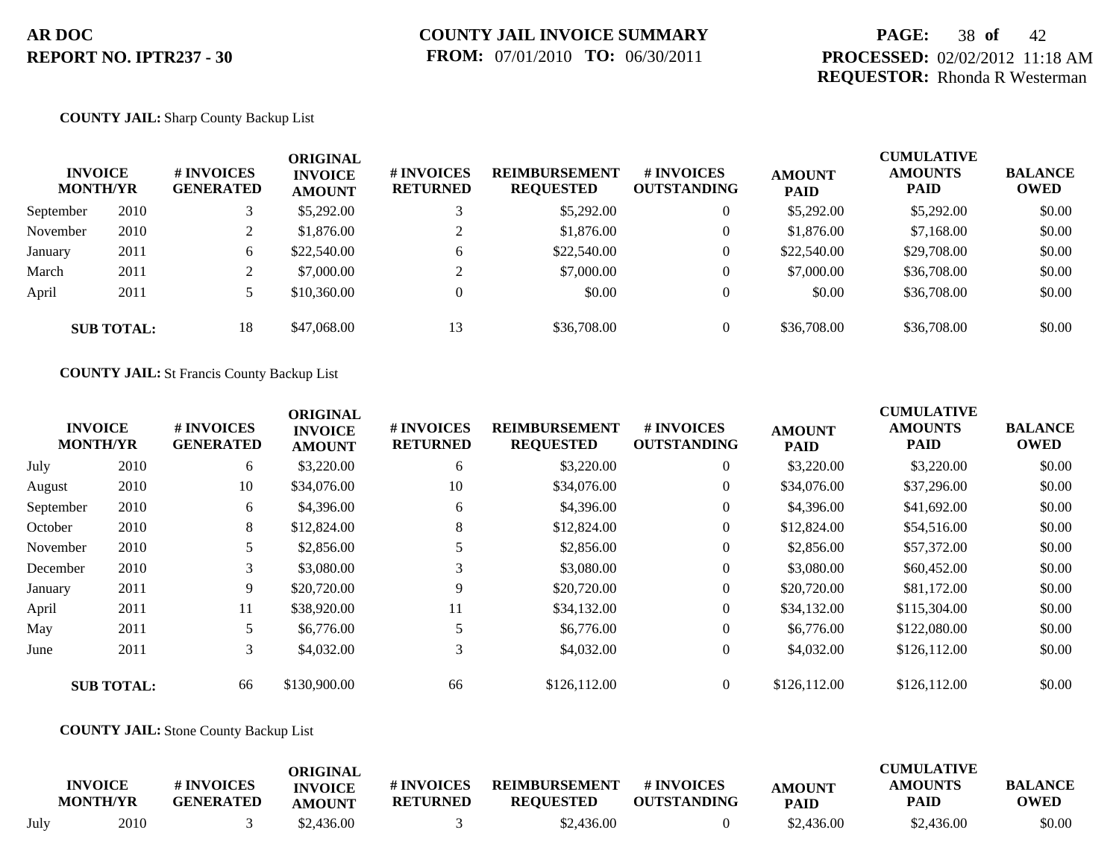## **PAGE:** 38 **of** 42 **PROCESSED:** 02/02/2012 11:18 AM **REQUESTOR:** Rhonda R Westerman

#### **COUNTY JAIL:** Sharp County Backup List

| <b>INVOICE</b><br><b>MONTH/YR</b> |                   | # INVOICES<br><b>GENERATED</b> | <b>ORIGINAL</b><br><b>INVOICE</b><br><b>AMOUNT</b> | # INVOICES<br><b>RETURNED</b> | <b>REIMBURSEMENT</b><br><b>REQUESTED</b> | <b>#INVOICES</b><br><b>OUTSTANDING</b> | <b>AMOUNT</b><br><b>PAID</b> | <b>CUMULATIVE</b><br><b>AMOUNTS</b><br><b>PAID</b> | <b>BALANCE</b><br><b>OWED</b> |
|-----------------------------------|-------------------|--------------------------------|----------------------------------------------------|-------------------------------|------------------------------------------|----------------------------------------|------------------------------|----------------------------------------------------|-------------------------------|
| September                         | 2010              |                                | \$5,292.00                                         |                               | \$5,292.00                               | $\overline{0}$                         | \$5,292.00                   | \$5,292.00                                         | \$0.00                        |
| November                          | 2010              |                                | \$1,876.00                                         |                               | \$1,876.00                               | $\overline{0}$                         | \$1,876.00                   | \$7,168,00                                         | \$0.00                        |
| January                           | 2011              | 6                              | \$22,540.00                                        | 6                             | \$22,540.00                              | $\overline{0}$                         | \$22,540.00                  | \$29,708.00                                        | \$0.00                        |
| March                             | 2011              |                                | \$7,000.00                                         | ◠                             | \$7,000.00                               | $\overline{0}$                         | \$7,000.00                   | \$36,708.00                                        | \$0.00                        |
| April                             | 2011              |                                | \$10,360.00                                        |                               | \$0.00                                   | $\overline{0}$                         | \$0.00                       | \$36,708.00                                        | \$0.00                        |
|                                   | <b>SUB TOTAL:</b> | 18                             | \$47,068.00                                        | 13                            | \$36,708.00                              | $\theta$                               | \$36,708.00                  | \$36,708.00                                        | \$0.00                        |

**COUNTY JAIL:** St Francis County Backup List

|           | <b>INVOICE</b><br><b>MONTH/YR</b> | # INVOICES<br><b>GENERATED</b> | <b>ORIGINAL</b><br><b>INVOICE</b><br><b>AMOUNT</b> | # INVOICES<br><b>RETURNED</b> | <b>REIMBURSEMENT</b><br><b>REQUESTED</b> | # INVOICES<br><b>OUTSTANDING</b> | <b>AMOUNT</b><br><b>PAID</b> | <b>CUMULATIVE</b><br><b>AMOUNTS</b><br><b>PAID</b> | <b>BALANCE</b><br><b>OWED</b> |
|-----------|-----------------------------------|--------------------------------|----------------------------------------------------|-------------------------------|------------------------------------------|----------------------------------|------------------------------|----------------------------------------------------|-------------------------------|
| July      | 2010                              | 6                              | \$3,220.00                                         | 6                             | \$3,220.00                               | $\overline{0}$                   | \$3,220.00                   | \$3,220.00                                         | \$0.00                        |
| August    | 2010                              | 10                             | \$34,076.00                                        | 10                            | \$34,076.00                              | $\overline{0}$                   | \$34,076.00                  | \$37,296.00                                        | \$0.00                        |
| September | 2010                              | 6                              | \$4,396.00                                         | 6                             | \$4,396.00                               | $\overline{0}$                   | \$4,396.00                   | \$41,692.00                                        | \$0.00                        |
| October   | 2010                              | 8                              | \$12,824.00                                        | 8                             | \$12,824.00                              | $\overline{0}$                   | \$12,824.00                  | \$54,516.00                                        | \$0.00                        |
| November  | 2010                              |                                | \$2,856.00                                         |                               | \$2,856.00                               | $\overline{0}$                   | \$2,856.00                   | \$57,372.00                                        | \$0.00                        |
| December  | 2010                              | 3                              | \$3,080.00                                         | 3                             | \$3,080.00                               | $\overline{0}$                   | \$3,080.00                   | \$60,452.00                                        | \$0.00                        |
| January   | 2011                              | 9                              | \$20,720.00                                        | 9                             | \$20,720.00                              | $\overline{0}$                   | \$20,720.00                  | \$81,172.00                                        | \$0.00                        |
| April     | 2011                              | 11                             | \$38,920.00                                        | 11                            | \$34,132.00                              | $\overline{0}$                   | \$34,132.00                  | \$115,304.00                                       | \$0.00                        |
| May       | 2011                              |                                | \$6,776.00                                         | 5                             | \$6,776.00                               | $\overline{0}$                   | \$6,776.00                   | \$122,080.00                                       | \$0.00                        |
| June      | 2011                              | 3 <sup>1</sup>                 | \$4,032.00                                         | 3                             | \$4,032.00                               | $\overline{0}$                   | \$4,032.00                   | \$126,112.00                                       | \$0.00                        |
|           | <b>SUB TOTAL:</b>                 | 66                             | \$130,900.00                                       | 66                            | \$126,112.00                             | $\Omega$                         | \$126,112.00                 | \$126,112.00                                       | \$0.00                        |

#### **COUNTY JAIL:** Stone County Backup List

|      | <b>INVOICE</b><br><b>MONTH/YR</b> | # INVOICES<br><b>GENERATED</b> | ORIGINAL<br><b>INVOICE</b><br>AMOUNT | # INVOICES<br><b>RETURNED</b> | <b>REIMBURSEMENT</b><br><b>REQUESTED</b> | # INVOICES<br><b>OUTSTANDING</b> | <b>AMOUNT</b><br><b>PAID</b> | CUMULATIVE<br><b>AMOUNTS</b><br>PAID | <b>BALANCE</b><br><b>OWED</b> |
|------|-----------------------------------|--------------------------------|--------------------------------------|-------------------------------|------------------------------------------|----------------------------------|------------------------------|--------------------------------------|-------------------------------|
| July | 2010                              |                                | \$2.436.00                           |                               | \$2,436.00                               |                                  | \$2,436.00                   | \$2,436.00                           | \$0.00                        |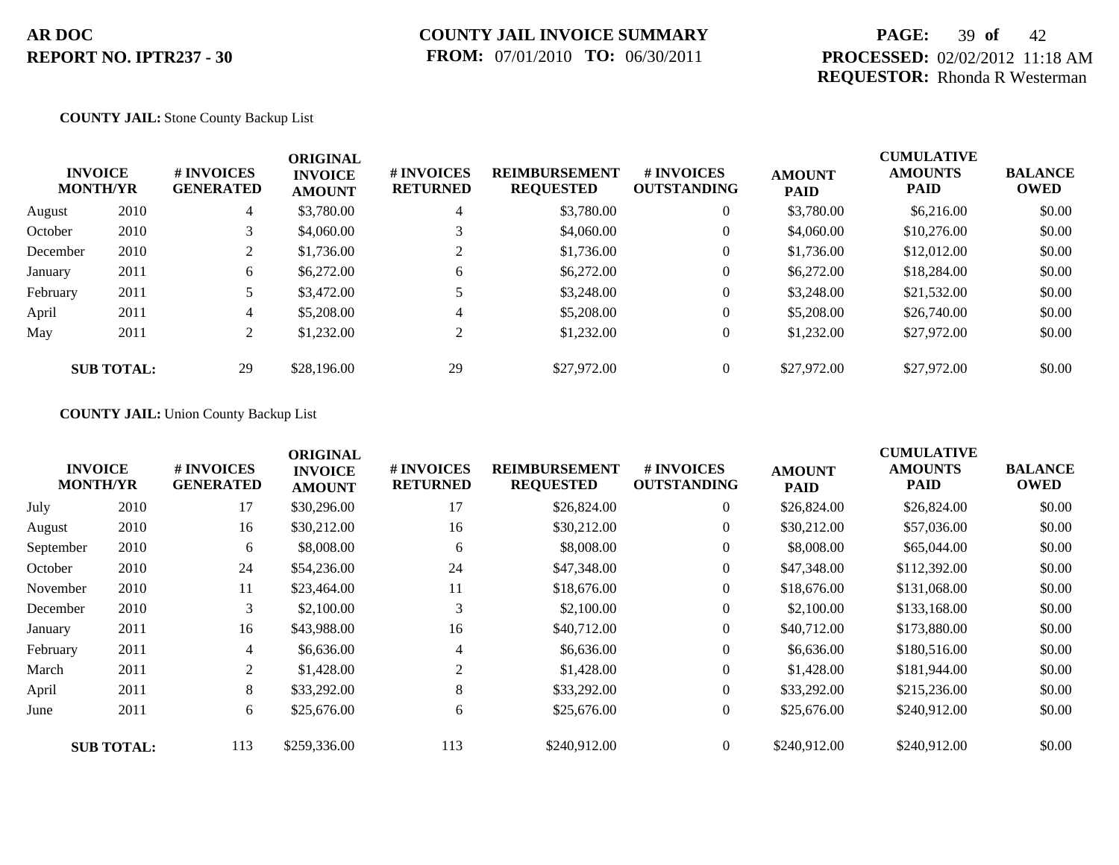## **PAGE:** 39 **of** 42 **PROCESSED:** 02/02/2012 11:18 AM **REQUESTOR:** Rhonda R Westerman

#### **COUNTY JAIL:** Stone County Backup List

| <b>INVOICE</b><br><b>MONTH/YR</b> |                   | # INVOICES<br><b>GENERATED</b> | <b>ORIGINAL</b><br><b>INVOICE</b><br><b>AMOUNT</b> | # INVOICES<br><b>RETURNED</b> | <b>REIMBURSEMENT</b><br><b>REQUESTED</b> | # INVOICES<br><b>OUTSTANDING</b> | <b>AMOUNT</b><br><b>PAID</b> | <b>CUMULATIVE</b><br><b>AMOUNTS</b><br>PAID | <b>BALANCE</b><br>OWED |
|-----------------------------------|-------------------|--------------------------------|----------------------------------------------------|-------------------------------|------------------------------------------|----------------------------------|------------------------------|---------------------------------------------|------------------------|
| August                            | 2010              | 4                              | \$3,780.00                                         | $\overline{4}$                | \$3,780.00                               | $\theta$                         | \$3,780.00                   | \$6,216.00                                  | \$0.00                 |
| October                           | 2010              |                                | \$4,060.00                                         |                               | \$4,060.00                               | $\overline{0}$                   | \$4,060.00                   | \$10,276.00                                 | \$0.00                 |
| December                          | 2010              | $\mathcal{L}$<br>∠             | \$1,736.00                                         | $\gamma$                      | \$1,736.00                               | $\overline{0}$                   | \$1,736.00                   | \$12,012.00                                 | \$0.00                 |
| January                           | 2011              | 6                              | \$6,272.00                                         | 6                             | \$6,272.00                               | $\theta$                         | \$6,272.00                   | \$18,284.00                                 | \$0.00                 |
| February                          | 2011              |                                | \$3,472.00                                         |                               | \$3,248.00                               | $\overline{0}$                   | \$3,248.00                   | \$21,532.00                                 | \$0.00                 |
| April                             | 2011              | 4                              | \$5,208.00                                         | 4                             | \$5,208.00                               | $\overline{0}$                   | \$5,208,00                   | \$26,740.00                                 | \$0.00                 |
| May                               | 2011              | 2                              | \$1,232.00                                         | 2                             | \$1,232.00                               | $\overline{0}$                   | \$1,232.00                   | \$27,972.00                                 | \$0.00                 |
|                                   | <b>SUB TOTAL:</b> | 29                             | \$28,196.00                                        | 29                            | \$27,972.00                              | $\overline{0}$                   | \$27,972.00                  | \$27,972.00                                 | \$0.00                 |

#### **COUNTY JAIL:** Union County Backup List

|           | <b>INVOICE</b>    | # INVOICES       | <b>ORIGINAL</b><br><b>INVOICE</b> | # INVOICES      | <b>REIMBURSEMENT</b> | <b># INVOICES</b>  | <b>AMOUNT</b> | <b>CUMULATIVE</b><br><b>AMOUNTS</b> | <b>BALANCE</b> |
|-----------|-------------------|------------------|-----------------------------------|-----------------|----------------------|--------------------|---------------|-------------------------------------|----------------|
|           | <b>MONTH/YR</b>   | <b>GENERATED</b> | <b>AMOUNT</b>                     | <b>RETURNED</b> | <b>REQUESTED</b>     | <b>OUTSTANDING</b> | <b>PAID</b>   | PAID                                | <b>OWED</b>    |
| July      | 2010              | 17               | \$30,296.00                       | 17              | \$26,824.00          | $\overline{0}$     | \$26,824.00   | \$26,824.00                         | \$0.00         |
| August    | 2010              | 16               | \$30,212.00                       | 16              | \$30,212.00          | 0                  | \$30,212.00   | \$57,036.00                         | \$0.00         |
| September | 2010              | 6                | \$8,008.00                        | 6               | \$8,008.00           | $\overline{0}$     | \$8,008.00    | \$65,044.00                         | \$0.00         |
| October   | 2010              | 24               | \$54,236.00                       | 24              | \$47,348.00          | $\overline{0}$     | \$47,348.00   | \$112,392.00                        | \$0.00         |
| November  | 2010              | 11               | \$23,464.00                       | 11              | \$18,676.00          | $\overline{0}$     | \$18,676.00   | \$131,068.00                        | \$0.00         |
| December  | 2010              | 3                | \$2,100.00                        | 3               | \$2,100.00           | $\overline{0}$     | \$2,100.00    | \$133,168.00                        | \$0.00         |
| January   | 2011              | 16               | \$43,988.00                       | 16              | \$40,712.00          | $\overline{0}$     | \$40,712.00   | \$173,880.00                        | \$0.00         |
| February  | 2011              | 4                | \$6,636.00                        | 4               | \$6,636.00           | $\overline{0}$     | \$6,636.00    | \$180,516.00                        | \$0.00         |
| March     | 2011              | $\overline{2}$   | \$1,428.00                        | 2               | \$1,428.00           | $\overline{0}$     | \$1,428.00    | \$181,944.00                        | \$0.00         |
| April     | 2011              | 8                | \$33,292.00                       | 8               | \$33,292.00          | $\Omega$           | \$33,292.00   | \$215,236.00                        | \$0.00         |
| June      | 2011              | 6                | \$25,676.00                       | 6               | \$25,676.00          | $\overline{0}$     | \$25,676.00   | \$240,912.00                        | \$0.00         |
|           | <b>SUB TOTAL:</b> | 113              | \$259,336.00                      | 113             | \$240,912.00         | $\theta$           | \$240,912.00  | \$240,912.00                        | \$0.00         |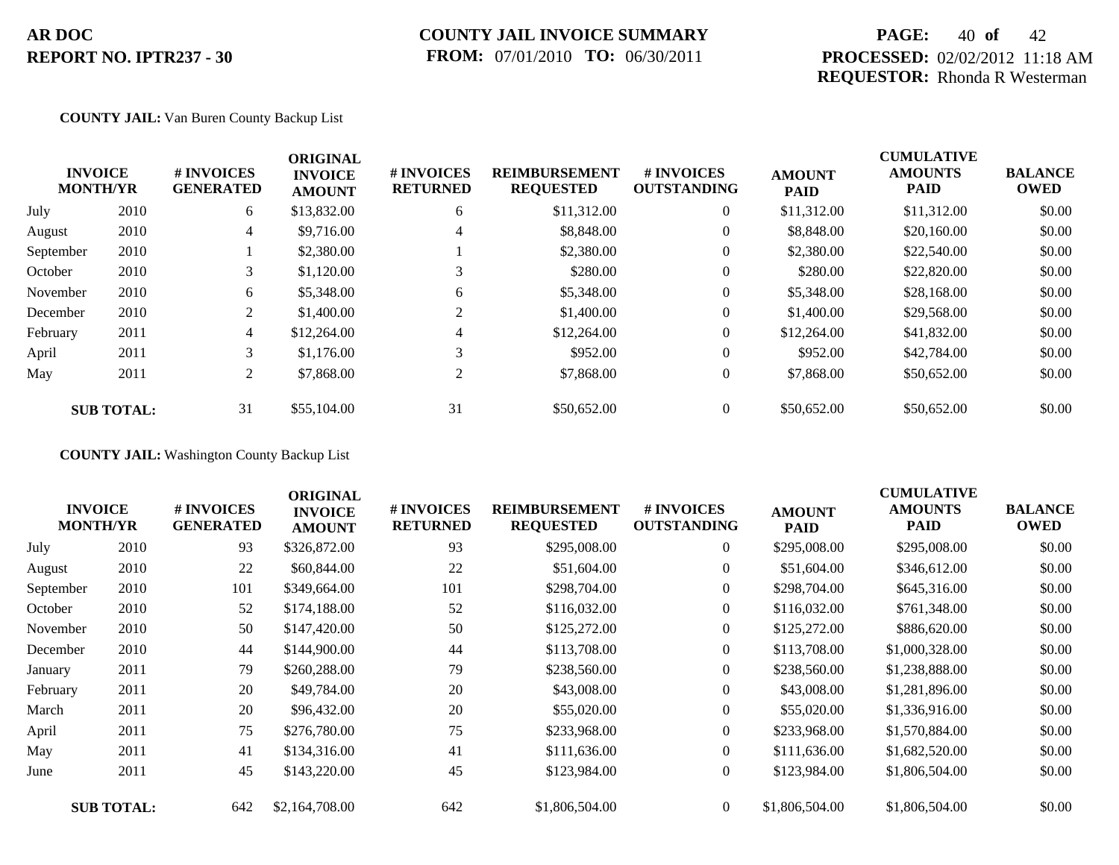## **COUNTY JAIL INVOICE SUMMARY FROM:** 07/01/2010 **TO:** 06/30/2011

## **PAGE:** 40 **of** 42 **PROCESSED:** 02/02/2012 11:18 AM **REQUESTOR:** Rhonda R Westerman

#### **COUNTY JAIL:** Van Buren County Backup List

|           | <b>INVOICE</b><br><b>MONTH/YR</b> | # INVOICES<br><b>GENERATED</b> | <b>ORIGINAL</b><br><b>INVOICE</b><br><b>AMOUNT</b> | <b># INVOICES</b><br><b>RETURNED</b> | <b>REIMBURSEMENT</b><br><b>REQUESTED</b> | <b>#INVOICES</b><br><b>OUTSTANDING</b> | <b>AMOUNT</b><br><b>PAID</b> | <b>CUMULATIVE</b><br><b>AMOUNTS</b><br><b>PAID</b> | <b>BALANCE</b><br><b>OWED</b> |
|-----------|-----------------------------------|--------------------------------|----------------------------------------------------|--------------------------------------|------------------------------------------|----------------------------------------|------------------------------|----------------------------------------------------|-------------------------------|
| July      | 2010                              | 6                              | \$13,832.00                                        | 6                                    | \$11,312.00                              | $\overline{0}$                         | \$11,312.00                  | \$11,312.00                                        | \$0.00                        |
| August    | 2010                              | 4                              | \$9,716.00                                         | 4                                    | \$8,848.00                               | $\overline{0}$                         | \$8,848.00                   | \$20,160.00                                        | \$0.00                        |
| September | 2010                              |                                | \$2,380.00                                         |                                      | \$2,380.00                               | $\overline{0}$                         | \$2,380.00                   | \$22,540.00                                        | \$0.00                        |
| October   | 2010                              | 3                              | \$1,120.00                                         | 3                                    | \$280.00                                 | $\overline{0}$                         | \$280.00                     | \$22,820.00                                        | \$0.00                        |
| November  | 2010                              | 6                              | \$5,348.00                                         | 6                                    | \$5,348.00                               | $\overline{0}$                         | \$5,348.00                   | \$28,168,00                                        | \$0.00                        |
| December  | 2010                              | 2                              | \$1,400.00                                         | 2                                    | \$1,400.00                               | $\overline{0}$                         | \$1,400.00                   | \$29,568.00                                        | \$0.00                        |
| February  | 2011                              | $\overline{4}$                 | \$12,264.00                                        | 4                                    | \$12,264.00                              | $\overline{0}$                         | \$12,264.00                  | \$41,832.00                                        | \$0.00                        |
| April     | 2011                              | 3                              | \$1,176.00                                         | 3                                    | \$952.00                                 | $\overline{0}$                         | \$952.00                     | \$42,784.00                                        | \$0.00                        |
| May       | 2011                              | 2                              | \$7,868.00                                         | 2                                    | \$7,868.00                               | $\overline{0}$                         | \$7,868.00                   | \$50,652.00                                        | \$0.00                        |
|           | <b>SUB TOTAL:</b>                 | 31                             | \$55,104.00                                        | 31                                   | \$50,652.00                              | $\overline{0}$                         | \$50,652.00                  | \$50,652.00                                        | \$0.00                        |

**COUNTY JAIL:** Washington County Backup List

|           | <b>INVOICE</b><br><b>MONTH/YR</b> | # INVOICES<br><b>GENERATED</b> | <b>ORIGINAL</b><br><b>INVOICE</b><br><b>AMOUNT</b> | # INVOICES<br><b>RETURNED</b> | <b>REIMBURSEMENT</b><br><b>REQUESTED</b> | # INVOICES<br><b>OUTSTANDING</b> | <b>AMOUNT</b><br><b>PAID</b> | <b>CUMULATIVE</b><br><b>AMOUNTS</b><br><b>PAID</b> | <b>BALANCE</b><br><b>OWED</b> |
|-----------|-----------------------------------|--------------------------------|----------------------------------------------------|-------------------------------|------------------------------------------|----------------------------------|------------------------------|----------------------------------------------------|-------------------------------|
| July      | 2010                              | 93                             | \$326,872.00                                       | 93                            | \$295,008.00                             | $\overline{0}$                   | \$295,008.00                 | \$295,008.00                                       | \$0.00                        |
| August    | 2010                              | 22                             | \$60,844.00                                        | 22                            | \$51,604.00                              | $\overline{0}$                   | \$51,604.00                  | \$346,612.00                                       | \$0.00                        |
| September | 2010                              | 101                            | \$349,664.00                                       | 101                           | \$298,704.00                             | $\overline{0}$                   | \$298,704.00                 | \$645,316.00                                       | \$0.00                        |
| October   | 2010                              | 52                             | \$174,188.00                                       | 52                            | \$116,032.00                             | $\overline{0}$                   | \$116,032.00                 | \$761,348.00                                       | \$0.00                        |
| November  | 2010                              | 50                             | \$147,420.00                                       | 50                            | \$125,272.00                             | $\overline{0}$                   | \$125,272.00                 | \$886,620.00                                       | \$0.00                        |
| December  | 2010                              | 44                             | \$144,900.00                                       | 44                            | \$113,708.00                             | $\overline{0}$                   | \$113,708.00                 | \$1,000,328.00                                     | \$0.00                        |
| January   | 2011                              | 79                             | \$260,288.00                                       | 79                            | \$238,560.00                             | $\boldsymbol{0}$                 | \$238,560.00                 | \$1,238,888.00                                     | \$0.00                        |
| February  | 2011                              | 20                             | \$49,784.00                                        | 20                            | \$43,008.00                              | $\overline{0}$                   | \$43,008.00                  | \$1,281,896.00                                     | \$0.00                        |
| March     | 2011                              | 20                             | \$96,432.00                                        | 20                            | \$55,020.00                              | $\overline{0}$                   | \$55,020.00                  | \$1,336,916.00                                     | \$0.00                        |
| April     | 2011                              | 75                             | \$276,780.00                                       | 75                            | \$233,968.00                             | $\boldsymbol{0}$                 | \$233,968.00                 | \$1,570,884.00                                     | \$0.00                        |
| May       | 2011                              | 41                             | \$134,316.00                                       | 41                            | \$111,636.00                             | $\overline{0}$                   | \$111,636.00                 | \$1,682,520.00                                     | \$0.00                        |
| June      | 2011                              | 45                             | \$143,220.00                                       | 45                            | \$123,984.00                             | $\overline{0}$                   | \$123,984.00                 | \$1,806,504.00                                     | \$0.00                        |
|           | <b>SUB TOTAL:</b>                 | 642                            | \$2,164,708.00                                     | 642                           | \$1,806,504.00                           | $\overline{0}$                   | \$1,806,504.00               | \$1,806,504.00                                     | \$0.00                        |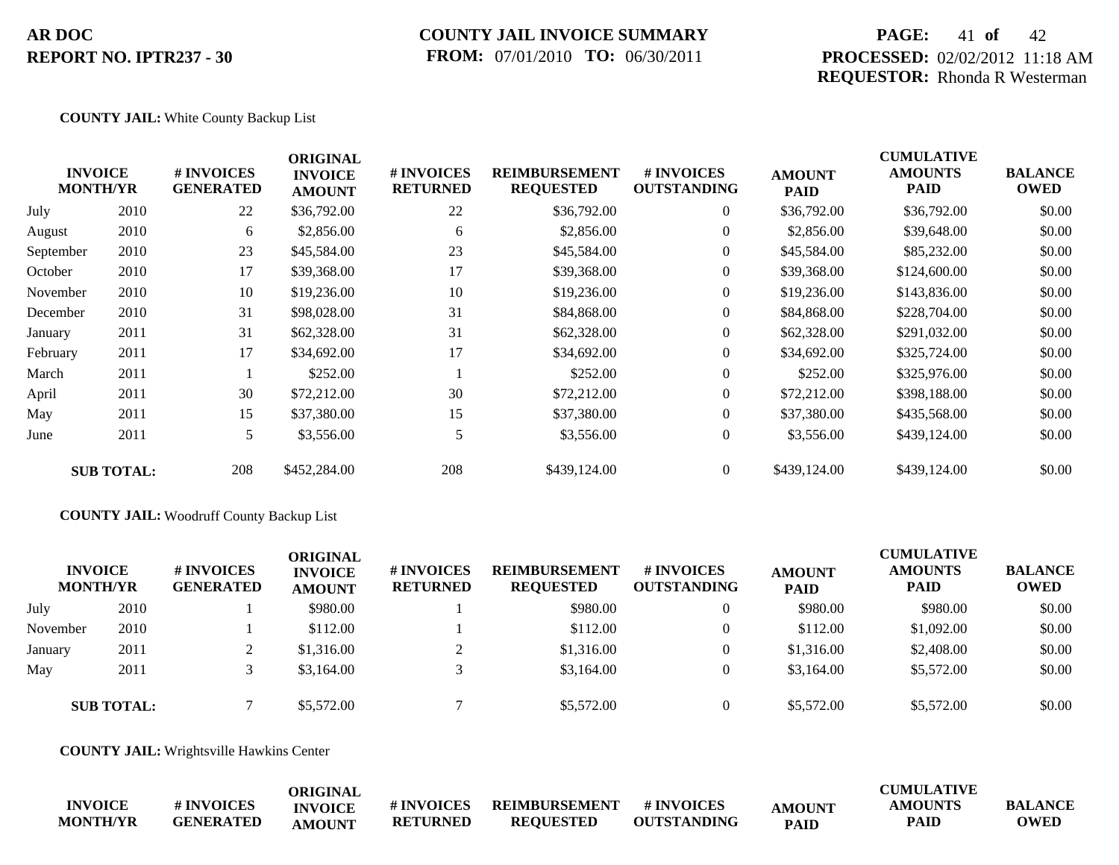### **COUNTY JAIL INVOICE SUMMARY FROM:** 07/01/2010 **TO:** 06/30/2011

## **PAGE:** 41 **of** 42 **PROCESSED:** 02/02/2012 11:18 AM **REQUESTOR:** Rhonda R Westerman

#### **COUNTY JAIL:** White County Backup List

|           | <b>INVOICE</b><br><b>MONTH/YR</b> | # INVOICES<br><b>GENERATED</b> | <b>ORIGINAL</b><br><b>INVOICE</b><br><b>AMOUNT</b> | # INVOICES<br><b>RETURNED</b> | <b>REIMBURSEMENT</b><br><b>REQUESTED</b> | # INVOICES<br><b>OUTSTANDING</b> | <b>AMOUNT</b><br><b>PAID</b> | <b>CUMULATIVE</b><br><b>AMOUNTS</b><br>PAID | <b>BALANCE</b><br><b>OWED</b> |
|-----------|-----------------------------------|--------------------------------|----------------------------------------------------|-------------------------------|------------------------------------------|----------------------------------|------------------------------|---------------------------------------------|-------------------------------|
| July      | 2010                              | 22                             | \$36,792.00                                        | 22                            | \$36,792.00                              | $\overline{0}$                   | \$36,792.00                  | \$36,792.00                                 | \$0.00                        |
| August    | 2010                              | 6                              | \$2,856.00                                         | 6                             | \$2,856.00                               | $\overline{0}$                   | \$2,856.00                   | \$39,648.00                                 | \$0.00                        |
| September | 2010                              | 23                             | \$45,584.00                                        | 23                            | \$45,584.00                              | $\overline{0}$                   | \$45,584.00                  | \$85,232.00                                 | \$0.00                        |
| October   | 2010                              | 17                             | \$39,368.00                                        | 17                            | \$39,368.00                              | $\overline{0}$                   | \$39,368.00                  | \$124,600.00                                | \$0.00                        |
| November  | 2010                              | 10                             | \$19,236.00                                        | 10                            | \$19,236.00                              | $\overline{0}$                   | \$19,236.00                  | \$143,836.00                                | \$0.00                        |
| December  | 2010                              | 31                             | \$98,028.00                                        | 31                            | \$84,868.00                              | $\overline{0}$                   | \$84,868.00                  | \$228,704.00                                | \$0.00                        |
| January   | 2011                              | 31                             | \$62,328.00                                        | 31                            | \$62,328.00                              | $\overline{0}$                   | \$62,328.00                  | \$291,032.00                                | \$0.00                        |
| February  | 2011                              | 17                             | \$34,692.00                                        | 17                            | \$34,692.00                              | $\overline{0}$                   | \$34,692.00                  | \$325,724.00                                | \$0.00                        |
| March     | 2011                              |                                | \$252.00                                           |                               | \$252.00                                 | $\overline{0}$                   | \$252.00                     | \$325,976.00                                | \$0.00                        |
| April     | 2011                              | 30                             | \$72,212.00                                        | 30                            | \$72,212.00                              | $\overline{0}$                   | \$72,212.00                  | \$398,188.00                                | \$0.00                        |
| May       | 2011                              | 15                             | \$37,380.00                                        | 15                            | \$37,380.00                              | $\overline{0}$                   | \$37,380.00                  | \$435,568.00                                | \$0.00                        |
| June      | 2011                              | 5                              | \$3,556.00                                         | 5                             | \$3,556.00                               | $\overline{0}$                   | \$3,556.00                   | \$439,124.00                                | \$0.00                        |
|           | <b>SUB TOTAL:</b>                 | 208                            | \$452,284.00                                       | 208                           | \$439,124.00                             | $\overline{0}$                   | \$439,124.00                 | \$439,124.00                                | \$0.00                        |

#### **COUNTY JAIL:** Woodruff County Backup List

| <b>INVOICE</b><br><b>MONTH/YR</b> |      | # INVOICES<br><b>GENERATED</b> | ORIGINAL<br><b>INVOICE</b><br><b>AMOUNT</b> | # INVOICES<br><b>RETURNED</b> | <b>REIMBURSEMENT</b><br><b>REQUESTED</b> | # INVOICES<br><b>OUTSTANDING</b> | <b>AMOUNT</b><br><b>PAID</b> | <b>CUMULATIVE</b><br><b>AMOUNTS</b><br><b>PAID</b> | <b>BALANCE</b><br><b>OWED</b> |
|-----------------------------------|------|--------------------------------|---------------------------------------------|-------------------------------|------------------------------------------|----------------------------------|------------------------------|----------------------------------------------------|-------------------------------|
| July                              | 2010 |                                | \$980.00                                    |                               | \$980.00                                 | 0                                | \$980.00                     | \$980.00                                           | \$0.00                        |
| November                          | 2010 |                                | \$112.00                                    |                               | \$112.00                                 | 0                                | \$112.00                     | \$1,092.00                                         | \$0.00                        |
| January                           | 2011 | ∠                              | \$1,316.00                                  |                               | \$1,316.00                               | $\overline{0}$                   | \$1,316.00                   | \$2,408.00                                         | \$0.00                        |
| May                               | 2011 |                                | \$3,164.00                                  |                               | \$3,164.00                               | $\overline{0}$                   | \$3,164.00                   | \$5,572.00                                         | \$0.00                        |
| <b>SUB TOTAL:</b>                 |      |                                | \$5,572.00                                  |                               | \$5,572.00                               | $\Omega$                         | \$5,572.00                   | \$5,572.00                                         | \$0.00                        |

**COUNTY JAIL:** Wrightsville Hawkins Center

|                 |                  | ORIGINAL       |                 |                  |                    |               | <b>CUMULATIVE</b> |                |
|-----------------|------------------|----------------|-----------------|------------------|--------------------|---------------|-------------------|----------------|
| <b>INVOICE</b>  | # INVOICES       | <b>INVOICE</b> | # INVOICES      | REIMBURSEMENT    | # INVOICES         | <b>AMOUNT</b> | <b>AMOUNTS</b>    | <b>BALANCE</b> |
| <b>MONTH/YR</b> | <b>GENERATED</b> | AMOUNT         | <b>RETURNED</b> | <b>REOUESTED</b> | <b>OUTSTANDING</b> | <b>PAID</b>   | <b>PAID</b>       | OWED           |